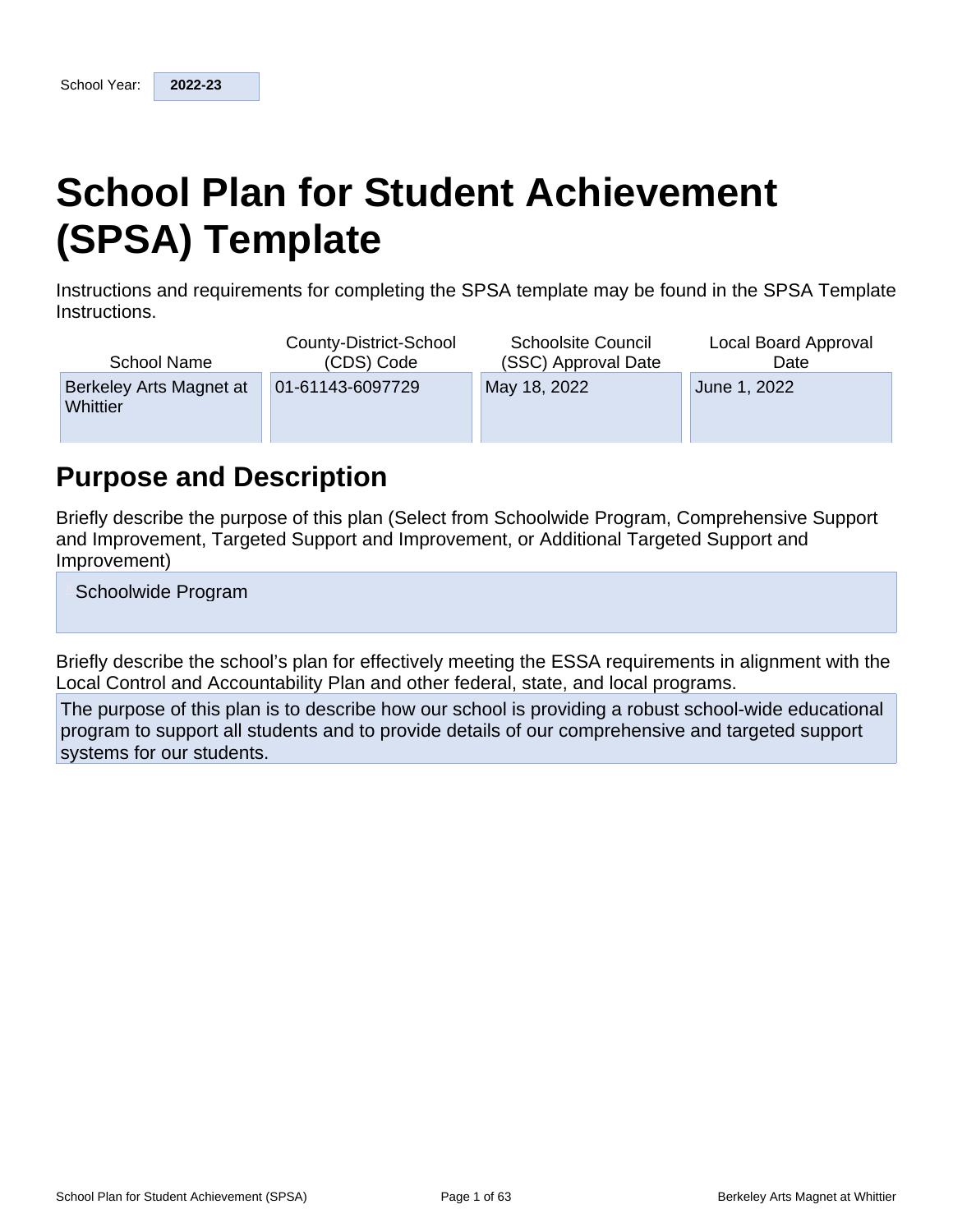# **School Plan for Student Achievement (SPSA) Template**

Instructions and requirements for completing the SPSA template may be found in the SPSA Template Instructions.

| School Name                         | County-District-School | <b>Schoolsite Council</b> | Local Board Approval |
|-------------------------------------|------------------------|---------------------------|----------------------|
|                                     | (CDS) Code             | (SSC) Approval Date       | Date                 |
| Berkeley Arts Magnet at<br>Whittier | 01-61143-6097729       | May 18, 2022              | June 1, 2022         |

## **Purpose and Description**

Briefly describe the purpose of this plan (Select from Schoolwide Program, Comprehensive Support and Improvement, Targeted Support and Improvement, or Additional Targeted Support and Improvement)

Schoolwide Program

Briefly describe the school's plan for effectively meeting the ESSA requirements in alignment with the Local Control and Accountability Plan and other federal, state, and local programs.

The purpose of this plan is to describe how our school is providing a robust school-wide educational program to support all students and to provide details of our comprehensive and targeted support systems for our students.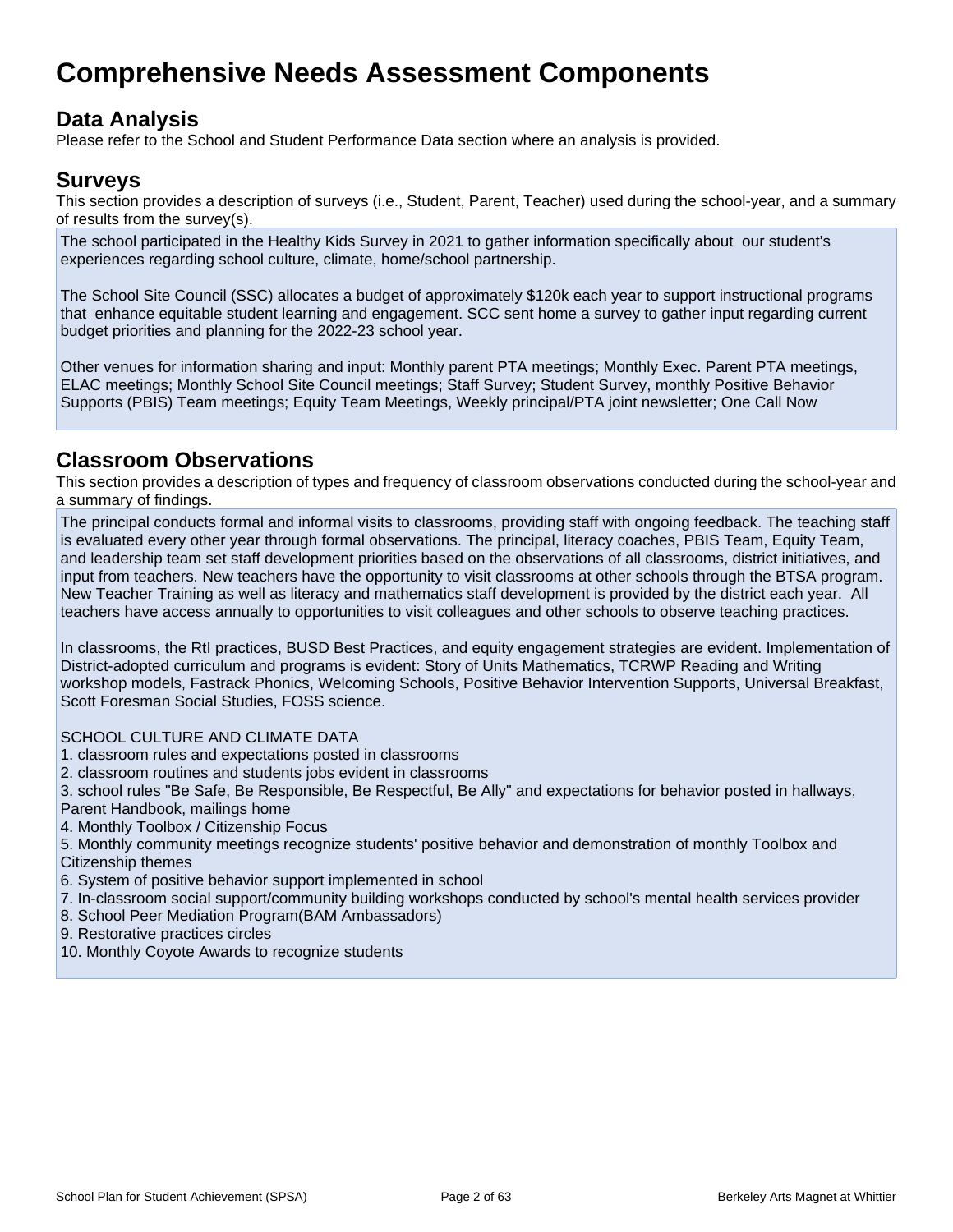## **Comprehensive Needs Assessment Components**

## **Data Analysis**

Please refer to the School and Student Performance Data section where an analysis is provided.

## **Surveys**

This section provides a description of surveys (i.e., Student, Parent, Teacher) used during the school-year, and a summary of results from the survey(s).

The school participated in the Healthy Kids Survey in 2021 to gather information specifically about our student's experiences regarding school culture, climate, home/school partnership.

The School Site Council (SSC) allocates a budget of approximately \$120k each year to support instructional programs that enhance equitable student learning and engagement. SCC sent home a survey to gather input regarding current budget priorities and planning for the 2022-23 school year.

Other venues for information sharing and input: Monthly parent PTA meetings; Monthly Exec. Parent PTA meetings, ELAC meetings; Monthly School Site Council meetings; Staff Survey; Student Survey, monthly Positive Behavior Supports (PBIS) Team meetings; Equity Team Meetings, Weekly principal/PTA joint newsletter; One Call Now

## **Classroom Observations**

This section provides a description of types and frequency of classroom observations conducted during the school-year and a summary of findings.

The principal conducts formal and informal visits to classrooms, providing staff with ongoing feedback. The teaching staff is evaluated every other year through formal observations. The principal, literacy coaches, PBIS Team, Equity Team, and leadership team set staff development priorities based on the observations of all classrooms, district initiatives, and input from teachers. New teachers have the opportunity to visit classrooms at other schools through the BTSA program. New Teacher Training as well as literacy and mathematics staff development is provided by the district each year. All teachers have access annually to opportunities to visit colleagues and other schools to observe teaching practices.

In classrooms, the RtI practices, BUSD Best Practices, and equity engagement strategies are evident. Implementation of District-adopted curriculum and programs is evident: Story of Units Mathematics, TCRWP Reading and Writing workshop models, Fastrack Phonics, Welcoming Schools, Positive Behavior Intervention Supports, Universal Breakfast, Scott Foresman Social Studies, FOSS science.

SCHOOL CULTURE AND CLIMATE DATA

- 1. classroom rules and expectations posted in classrooms
- 2. classroom routines and students jobs evident in classrooms

3. school rules "Be Safe, Be Responsible, Be Respectful, Be Ally" and expectations for behavior posted in hallways, Parent Handbook, mailings home

4. Monthly Toolbox / Citizenship Focus

5. Monthly community meetings recognize students' positive behavior and demonstration of monthly Toolbox and Citizenship themes

6. System of positive behavior support implemented in school

7. In-classroom social support/community building workshops conducted by school's mental health services provider

8. School Peer Mediation Program(BAM Ambassadors)

9. Restorative practices circles

10. Monthly Coyote Awards to recognize students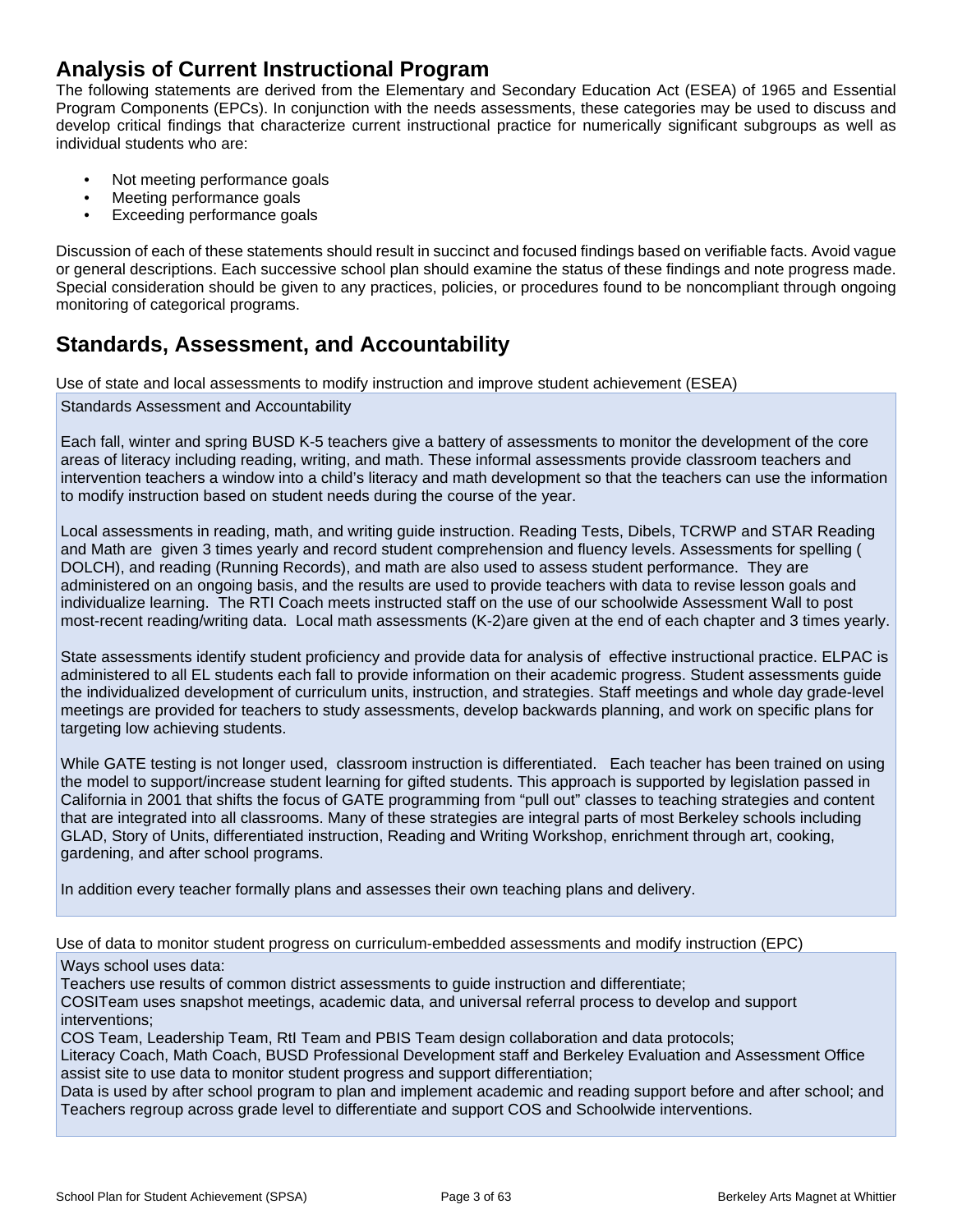## **Analysis of Current Instructional Program**

The following statements are derived from the Elementary and Secondary Education Act (ESEA) of 1965 and Essential Program Components (EPCs). In conjunction with the needs assessments, these categories may be used to discuss and develop critical findings that characterize current instructional practice for numerically significant subgroups as well as individual students who are:

- Not meeting performance goals
- Meeting performance goals
- Exceeding performance goals

Discussion of each of these statements should result in succinct and focused findings based on verifiable facts. Avoid vague or general descriptions. Each successive school plan should examine the status of these findings and note progress made. Special consideration should be given to any practices, policies, or procedures found to be noncompliant through ongoing monitoring of categorical programs.

## **Standards, Assessment, and Accountability**

Use of state and local assessments to modify instruction and improve student achievement (ESEA)

Standards Assessment and Accountability

Each fall, winter and spring BUSD K-5 teachers give a battery of assessments to monitor the development of the core areas of literacy including reading, writing, and math. These informal assessments provide classroom teachers and intervention teachers a window into a child's literacy and math development so that the teachers can use the information to modify instruction based on student needs during the course of the year.

Local assessments in reading, math, and writing guide instruction. Reading Tests, Dibels, TCRWP and STAR Reading and Math are given 3 times yearly and record student comprehension and fluency levels. Assessments for spelling ( DOLCH), and reading (Running Records), and math are also used to assess student performance. They are administered on an ongoing basis, and the results are used to provide teachers with data to revise lesson goals and individualize learning. The RTI Coach meets instructed staff on the use of our schoolwide Assessment Wall to post most-recent reading/writing data. Local math assessments (K-2)are given at the end of each chapter and 3 times yearly.

State assessments identify student proficiency and provide data for analysis of effective instructional practice. ELPAC is administered to all EL students each fall to provide information on their academic progress. Student assessments guide the individualized development of curriculum units, instruction, and strategies. Staff meetings and whole day grade-level meetings are provided for teachers to study assessments, develop backwards planning, and work on specific plans for targeting low achieving students.

While GATE testing is not longer used, classroom instruction is differentiated. Each teacher has been trained on using the model to support/increase student learning for gifted students. This approach is supported by legislation passed in California in 2001 that shifts the focus of GATE programming from "pull out" classes to teaching strategies and content that are integrated into all classrooms. Many of these strategies are integral parts of most Berkeley schools including GLAD, Story of Units, differentiated instruction, Reading and Writing Workshop, enrichment through art, cooking, gardening, and after school programs.

In addition every teacher formally plans and assesses their own teaching plans and delivery.

Use of data to monitor student progress on curriculum-embedded assessments and modify instruction (EPC)

#### Ways school uses data:

Teachers use results of common district assessments to guide instruction and differentiate;

COSITeam uses snapshot meetings, academic data, and universal referral process to develop and support interventions;

COS Team, Leadership Team, RtI Team and PBIS Team design collaboration and data protocols;

Literacy Coach, Math Coach, BUSD Professional Development staff and Berkeley Evaluation and Assessment Office assist site to use data to monitor student progress and support differentiation;

Data is used by after school program to plan and implement academic and reading support before and after school; and Teachers regroup across grade level to differentiate and support COS and Schoolwide interventions.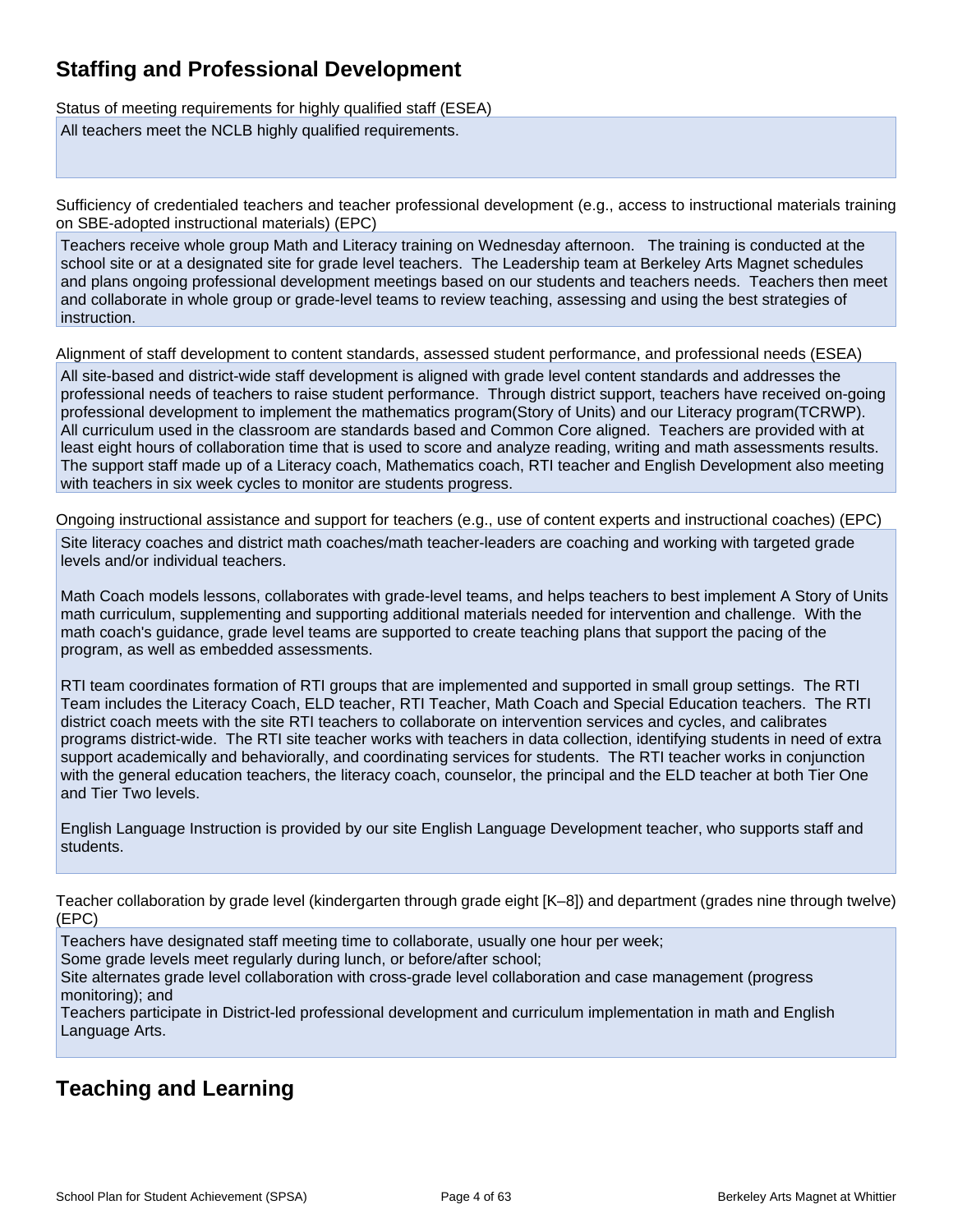## **Staffing and Professional Development**

Status of meeting requirements for highly qualified staff (ESEA)

All teachers meet the NCLB highly qualified requirements.

Sufficiency of credentialed teachers and teacher professional development (e.g., access to instructional materials training on SBE-adopted instructional materials) (EPC)

Teachers receive whole group Math and Literacy training on Wednesday afternoon. The training is conducted at the school site or at a designated site for grade level teachers. The Leadership team at Berkeley Arts Magnet schedules and plans ongoing professional development meetings based on our students and teachers needs. Teachers then meet and collaborate in whole group or grade-level teams to review teaching, assessing and using the best strategies of instruction.

Alignment of staff development to content standards, assessed student performance, and professional needs (ESEA)

All site-based and district-wide staff development is aligned with grade level content standards and addresses the professional needs of teachers to raise student performance. Through district support, teachers have received on-going professional development to implement the mathematics program(Story of Units) and our Literacy program(TCRWP). All curriculum used in the classroom are standards based and Common Core aligned. Teachers are provided with at least eight hours of collaboration time that is used to score and analyze reading, writing and math assessments results. The support staff made up of a Literacy coach, Mathematics coach, RTI teacher and English Development also meeting with teachers in six week cycles to monitor are students progress.

Ongoing instructional assistance and support for teachers (e.g., use of content experts and instructional coaches) (EPC)

Site literacy coaches and district math coaches/math teacher-leaders are coaching and working with targeted grade levels and/or individual teachers.

Math Coach models lessons, collaborates with grade-level teams, and helps teachers to best implement A Story of Units math curriculum, supplementing and supporting additional materials needed for intervention and challenge. With the math coach's guidance, grade level teams are supported to create teaching plans that support the pacing of the program, as well as embedded assessments.

RTI team coordinates formation of RTI groups that are implemented and supported in small group settings. The RTI Team includes the Literacy Coach, ELD teacher, RTI Teacher, Math Coach and Special Education teachers. The RTI district coach meets with the site RTI teachers to collaborate on intervention services and cycles, and calibrates programs district-wide. The RTI site teacher works with teachers in data collection, identifying students in need of extra support academically and behaviorally, and coordinating services for students. The RTI teacher works in conjunction with the general education teachers, the literacy coach, counselor, the principal and the ELD teacher at both Tier One and Tier Two levels.

English Language Instruction is provided by our site English Language Development teacher, who supports staff and students.

Teacher collaboration by grade level (kindergarten through grade eight [K–8]) and department (grades nine through twelve) (EPC)

Teachers have designated staff meeting time to collaborate, usually one hour per week; Some grade levels meet regularly during lunch, or before/after school;

Site alternates grade level collaboration with cross-grade level collaboration and case management (progress

monitoring); and

Teachers participate in District-led professional development and curriculum implementation in math and English Language Arts.

## **Teaching and Learning**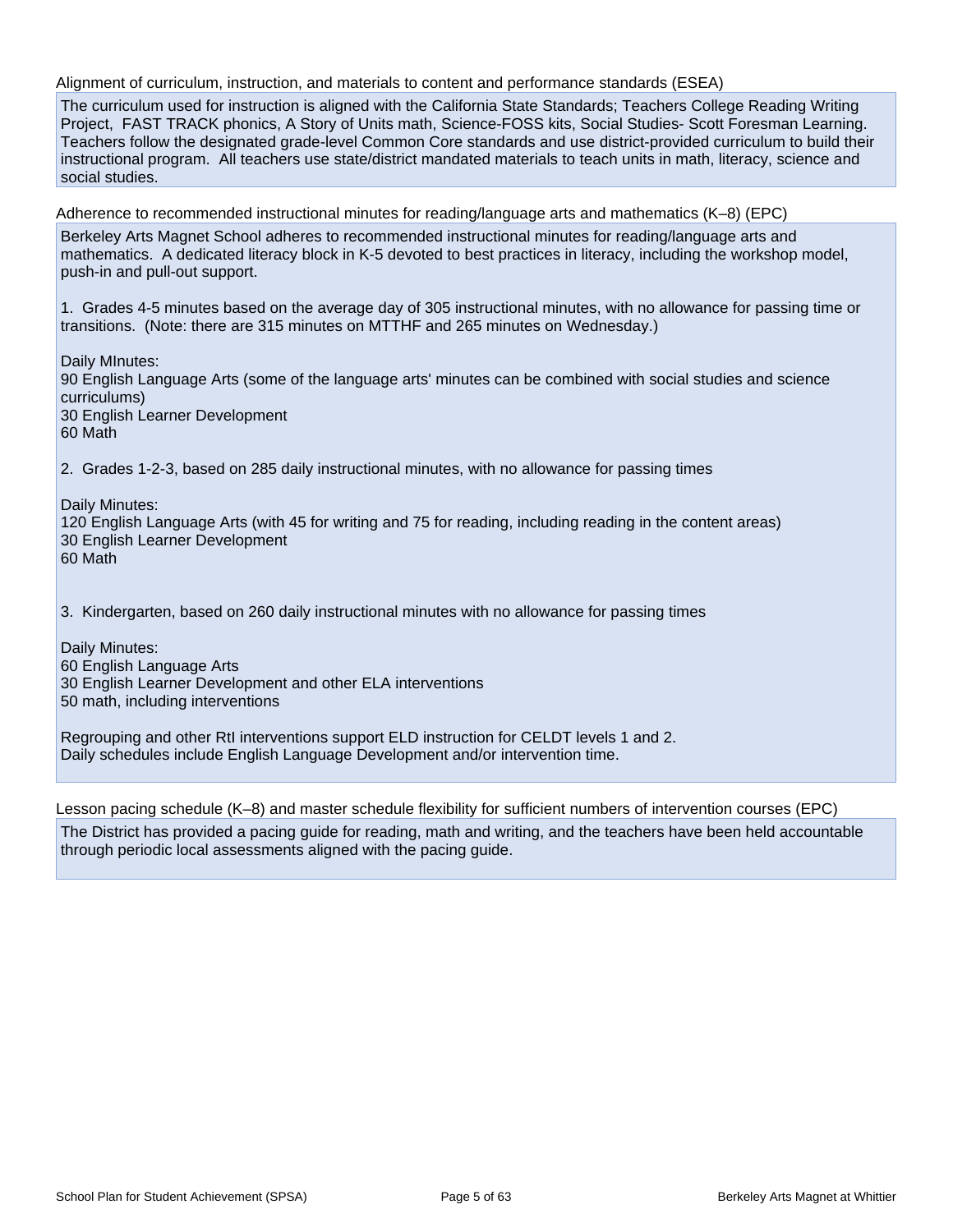Alignment of curriculum, instruction, and materials to content and performance standards (ESEA)

The curriculum used for instruction is aligned with the California State Standards; Teachers College Reading Writing Project, FAST TRACK phonics, A Story of Units math, Science-FOSS kits, Social Studies- Scott Foresman Learning. Teachers follow the designated grade-level Common Core standards and use district-provided curriculum to build their instructional program. All teachers use state/district mandated materials to teach units in math, literacy, science and social studies.

Adherence to recommended instructional minutes for reading/language arts and mathematics (K–8) (EPC) Berkeley Arts Magnet School adheres to recommended instructional minutes for reading/language arts and mathematics. A dedicated literacy block in K-5 devoted to best practices in literacy, including the workshop model, push-in and pull-out support.

1. Grades 4-5 minutes based on the average day of 305 instructional minutes, with no allowance for passing time or transitions. (Note: there are 315 minutes on MTTHF and 265 minutes on Wednesday.)

Daily MInutes: 90 English Language Arts (some of the language arts' minutes can be combined with social studies and science curriculums) 30 English Learner Development 60 Math

2. Grades 1-2-3, based on 285 daily instructional minutes, with no allowance for passing times

Daily Minutes:

120 English Language Arts (with 45 for writing and 75 for reading, including reading in the content areas) 30 English Learner Development 60 Math

3. Kindergarten, based on 260 daily instructional minutes with no allowance for passing times

Daily Minutes:

60 English Language Arts

30 English Learner Development and other ELA interventions

50 math, including interventions

Regrouping and other RtI interventions support ELD instruction for CELDT levels 1 and 2. Daily schedules include English Language Development and/or intervention time.

Lesson pacing schedule (K–8) and master schedule flexibility for sufficient numbers of intervention courses (EPC)

The District has provided a pacing guide for reading, math and writing, and the teachers have been held accountable through periodic local assessments aligned with the pacing guide.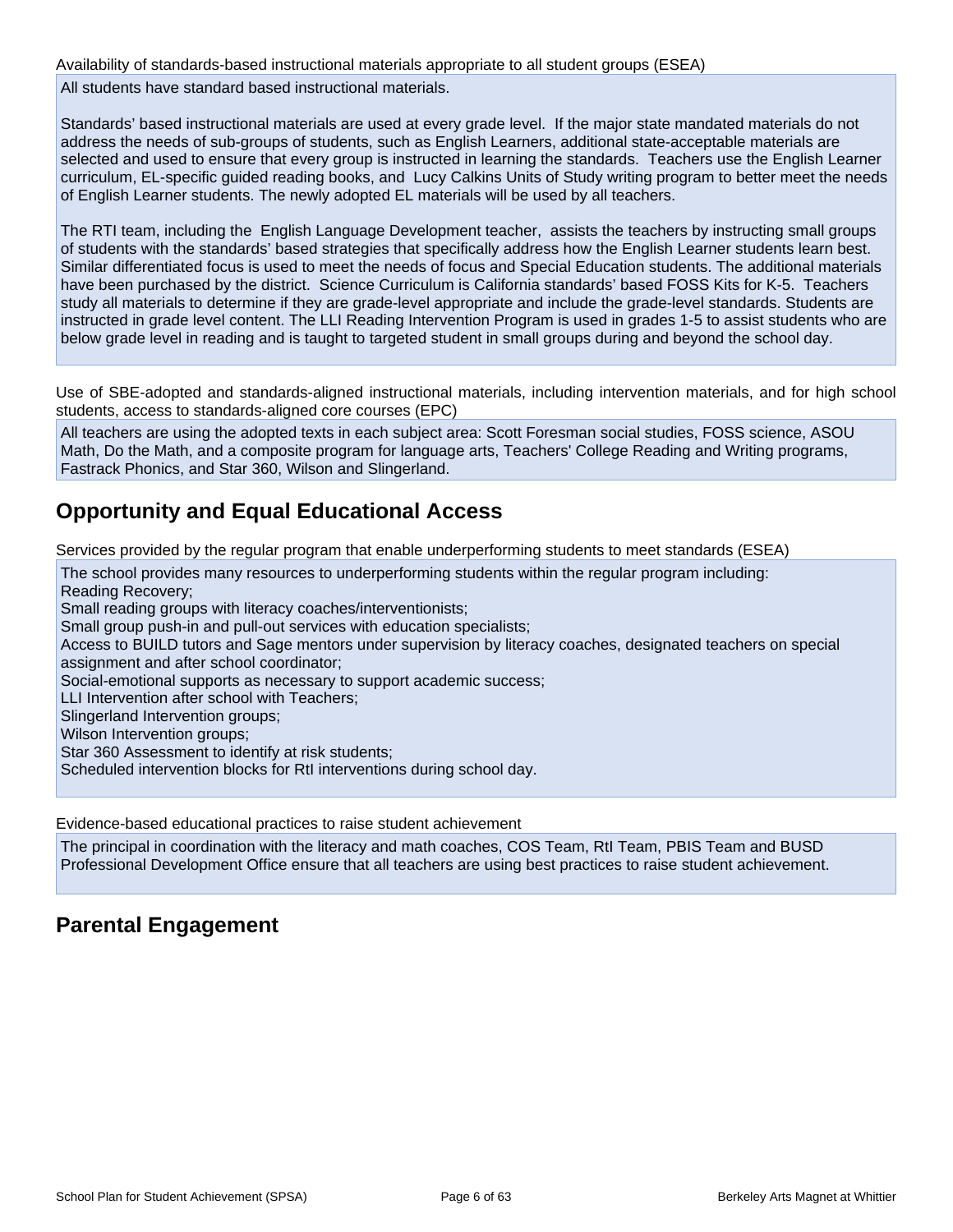Availability of standards-based instructional materials appropriate to all student groups (ESEA)

All students have standard based instructional materials.

Standards' based instructional materials are used at every grade level. If the major state mandated materials do not address the needs of sub-groups of students, such as English Learners, additional state-acceptable materials are selected and used to ensure that every group is instructed in learning the standards. Teachers use the English Learner curriculum, EL-specific guided reading books, and Lucy Calkins Units of Study writing program to better meet the needs of English Learner students. The newly adopted EL materials will be used by all teachers.

The RTI team, including the English Language Development teacher, assists the teachers by instructing small groups of students with the standards' based strategies that specifically address how the English Learner students learn best. Similar differentiated focus is used to meet the needs of focus and Special Education students. The additional materials have been purchased by the district. Science Curriculum is California standards' based FOSS Kits for K-5. Teachers study all materials to determine if they are grade-level appropriate and include the grade-level standards. Students are instructed in grade level content. The LLI Reading Intervention Program is used in grades 1-5 to assist students who are below grade level in reading and is taught to targeted student in small groups during and beyond the school day.

Use of SBE-adopted and standards-aligned instructional materials, including intervention materials, and for high school students, access to standards-aligned core courses (EPC)

All teachers are using the adopted texts in each subject area: Scott Foresman social studies, FOSS science, ASOU Math, Do the Math, and a composite program for language arts, Teachers' College Reading and Writing programs, Fastrack Phonics, and Star 360, Wilson and Slingerland.

## **Opportunity and Equal Educational Access**

Services provided by the regular program that enable underperforming students to meet standards (ESEA)

The school provides many resources to underperforming students within the regular program including: Reading Recovery; Small reading groups with literacy coaches/interventionists; Small group push-in and pull-out services with education specialists; Access to BUILD tutors and Sage mentors under supervision by literacy coaches, designated teachers on special assignment and after school coordinator;

Social-emotional supports as necessary to support academic success;

LLI Intervention after school with Teachers;

Slingerland Intervention groups;

Wilson Intervention groups;

Star 360 Assessment to identify at risk students;

Scheduled intervention blocks for RtI interventions during school day.

Evidence-based educational practices to raise student achievement

The principal in coordination with the literacy and math coaches, COS Team, RtI Team, PBIS Team and BUSD Professional Development Office ensure that all teachers are using best practices to raise student achievement.

## **Parental Engagement**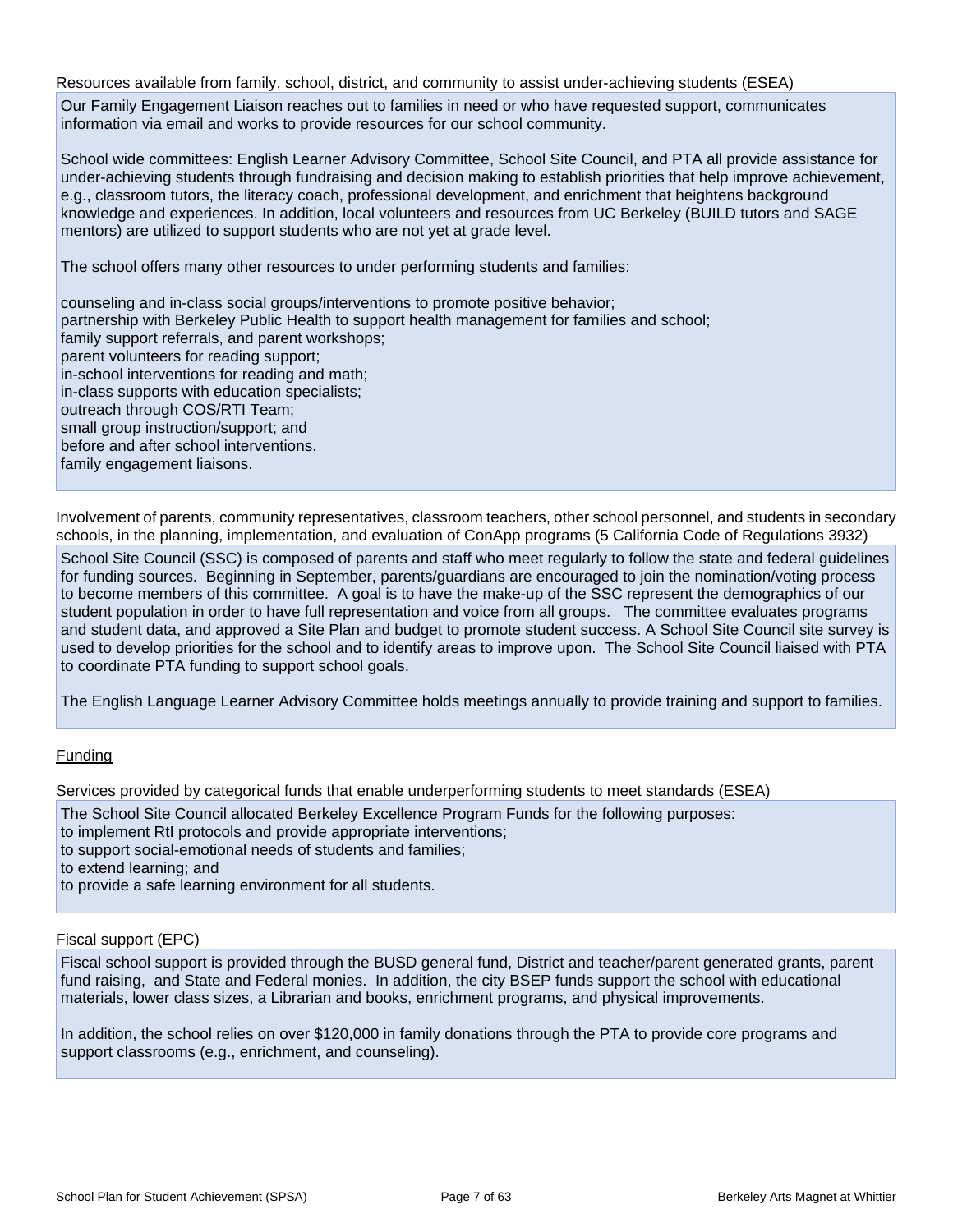Resources available from family, school, district, and community to assist under-achieving students (ESEA)

Our Family Engagement Liaison reaches out to families in need or who have requested support, communicates information via email and works to provide resources for our school community.

School wide committees: English Learner Advisory Committee, School Site Council, and PTA all provide assistance for under-achieving students through fundraising and decision making to establish priorities that help improve achievement, e.g., classroom tutors, the literacy coach, professional development, and enrichment that heightens background knowledge and experiences. In addition, local volunteers and resources from UC Berkeley (BUILD tutors and SAGE mentors) are utilized to support students who are not yet at grade level.

The school offers many other resources to under performing students and families:

counseling and in-class social groups/interventions to promote positive behavior; partnership with Berkeley Public Health to support health management for families and school; family support referrals, and parent workshops; parent volunteers for reading support; in-school interventions for reading and math; in-class supports with education specialists; outreach through COS/RTI Team; small group instruction/support; and before and after school interventions. family engagement liaisons.

Involvement of parents, community representatives, classroom teachers, other school personnel, and students in secondary schools, in the planning, implementation, and evaluation of ConApp programs (5 California Code of Regulations 3932)

School Site Council (SSC) is composed of parents and staff who meet regularly to follow the state and federal guidelines for funding sources. Beginning in September, parents/guardians are encouraged to join the nomination/voting process to become members of this committee. A goal is to have the make-up of the SSC represent the demographics of our student population in order to have full representation and voice from all groups. The committee evaluates programs and student data, and approved a Site Plan and budget to promote student success. A School Site Council site survey is used to develop priorities for the school and to identify areas to improve upon. The School Site Council liaised with PTA to coordinate PTA funding to support school goals.

The English Language Learner Advisory Committee holds meetings annually to provide training and support to families.

#### Funding

Services provided by categorical funds that enable underperforming students to meet standards (ESEA)

- The School Site Council allocated Berkeley Excellence Program Funds for the following purposes:
- to implement RtI protocols and provide appropriate interventions;
- to support social-emotional needs of students and families;

to extend learning; and

to provide a safe learning environment for all students.

#### Fiscal support (EPC)

Fiscal school support is provided through the BUSD general fund, District and teacher/parent generated grants, parent fund raising, and State and Federal monies. In addition, the city BSEP funds support the school with educational materials, lower class sizes, a Librarian and books, enrichment programs, and physical improvements.

In addition, the school relies on over \$120,000 in family donations through the PTA to provide core programs and support classrooms (e.g., enrichment, and counseling).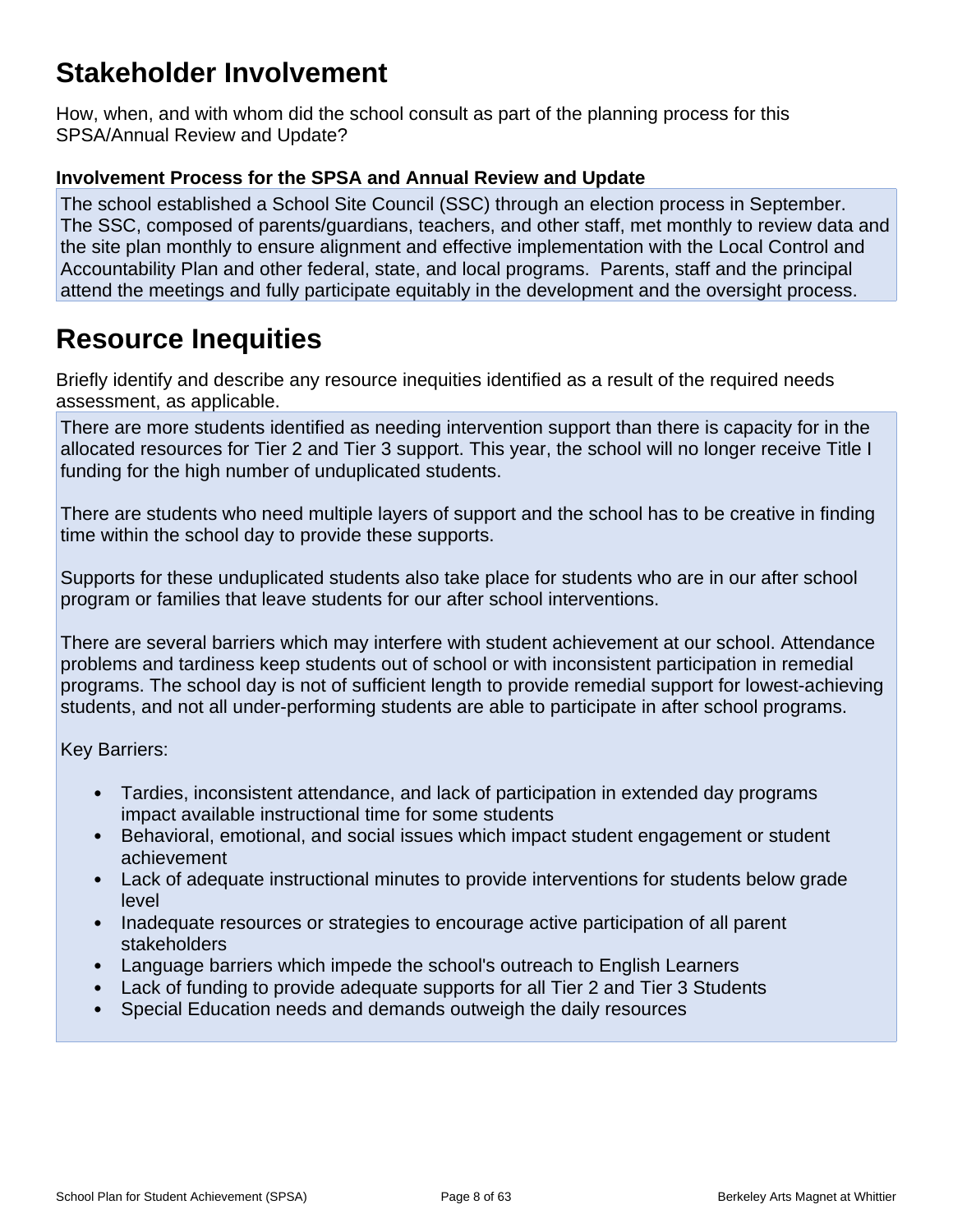## **Stakeholder Involvement**

How, when, and with whom did the school consult as part of the planning process for this SPSA/Annual Review and Update?

## **Involvement Process for the SPSA and Annual Review and Update**

The school established a School Site Council (SSC) through an election process in September. The SSC, composed of parents/guardians, teachers, and other staff, met monthly to review data and the site plan monthly to ensure alignment and effective implementation with the Local Control and Accountability Plan and other federal, state, and local programs. Parents, staff and the principal attend the meetings and fully participate equitably in the development and the oversight process.

## **Resource Inequities**

Briefly identify and describe any resource inequities identified as a result of the required needs assessment, as applicable.

There are more students identified as needing intervention support than there is capacity for in the allocated resources for Tier 2 and Tier 3 support. This year, the school will no longer receive Title I funding for the high number of unduplicated students.

There are students who need multiple layers of support and the school has to be creative in finding time within the school day to provide these supports.

Supports for these unduplicated students also take place for students who are in our after school program or families that leave students for our after school interventions.

There are several barriers which may interfere with student achievement at our school. Attendance problems and tardiness keep students out of school or with inconsistent participation in remedial programs. The school day is not of sufficient length to provide remedial support for lowest-achieving students, and not all under-performing students are able to participate in after school programs.

Key Barriers:

- Tardies, inconsistent attendance, and lack of participation in extended day programs impact available instructional time for some students
- Behavioral, emotional, and social issues which impact student engagement or student achievement
- Lack of adequate instructional minutes to provide interventions for students below grade level
- Inadequate resources or strategies to encourage active participation of all parent stakeholders
- Language barriers which impede the school's outreach to English Learners
- Lack of funding to provide adequate supports for all Tier 2 and Tier 3 Students
- Special Education needs and demands outweigh the daily resources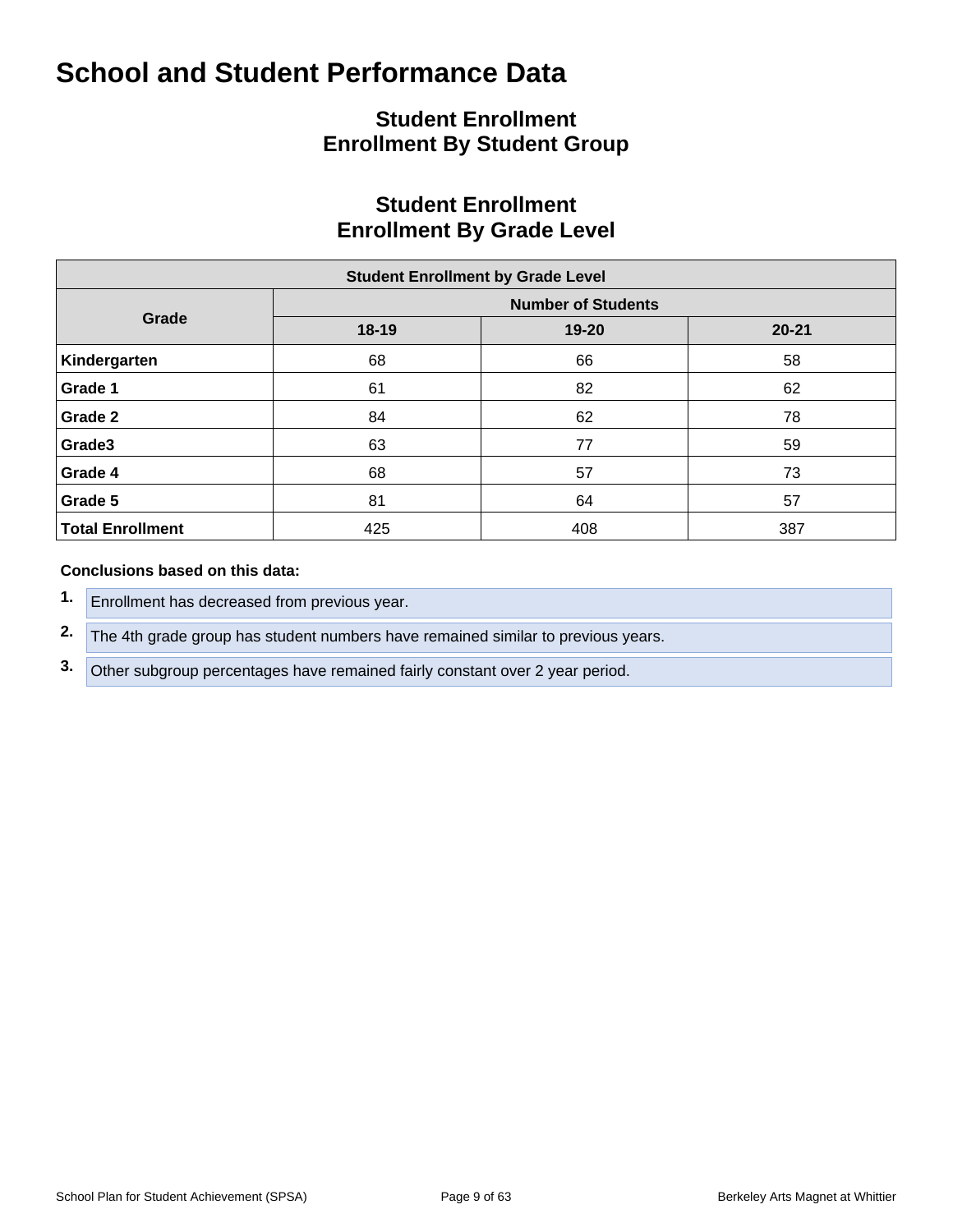## **Student Enrollment Enrollment By Student Group**

## **Student Enrollment Enrollment By Grade Level**

| <b>Student Enrollment by Grade Level</b> |           |                           |           |  |  |  |  |  |  |  |  |
|------------------------------------------|-----------|---------------------------|-----------|--|--|--|--|--|--|--|--|
|                                          |           | <b>Number of Students</b> |           |  |  |  |  |  |  |  |  |
| Grade                                    | $18 - 19$ | 19-20                     | $20 - 21$ |  |  |  |  |  |  |  |  |
| Kindergarten                             | 68        | 66                        | 58        |  |  |  |  |  |  |  |  |
| Grade 1                                  | 61        | 82                        | 62        |  |  |  |  |  |  |  |  |
| Grade 2                                  | 84        | 62                        | 78        |  |  |  |  |  |  |  |  |
| Grade3                                   | 63        | 77                        | 59        |  |  |  |  |  |  |  |  |
| Grade 4                                  | 68        | 57                        | 73        |  |  |  |  |  |  |  |  |
| Grade 5                                  | 81        | 64                        | 57        |  |  |  |  |  |  |  |  |
| <b>Total Enrollment</b>                  | 425       | 408                       | 387       |  |  |  |  |  |  |  |  |

#### **Conclusions based on this data:**

- **1.** Enrollment has decreased from previous year.
- **2.** The 4th grade group has student numbers have remained similar to previous years.
- **3.** Other subgroup percentages have remained fairly constant over 2 year period.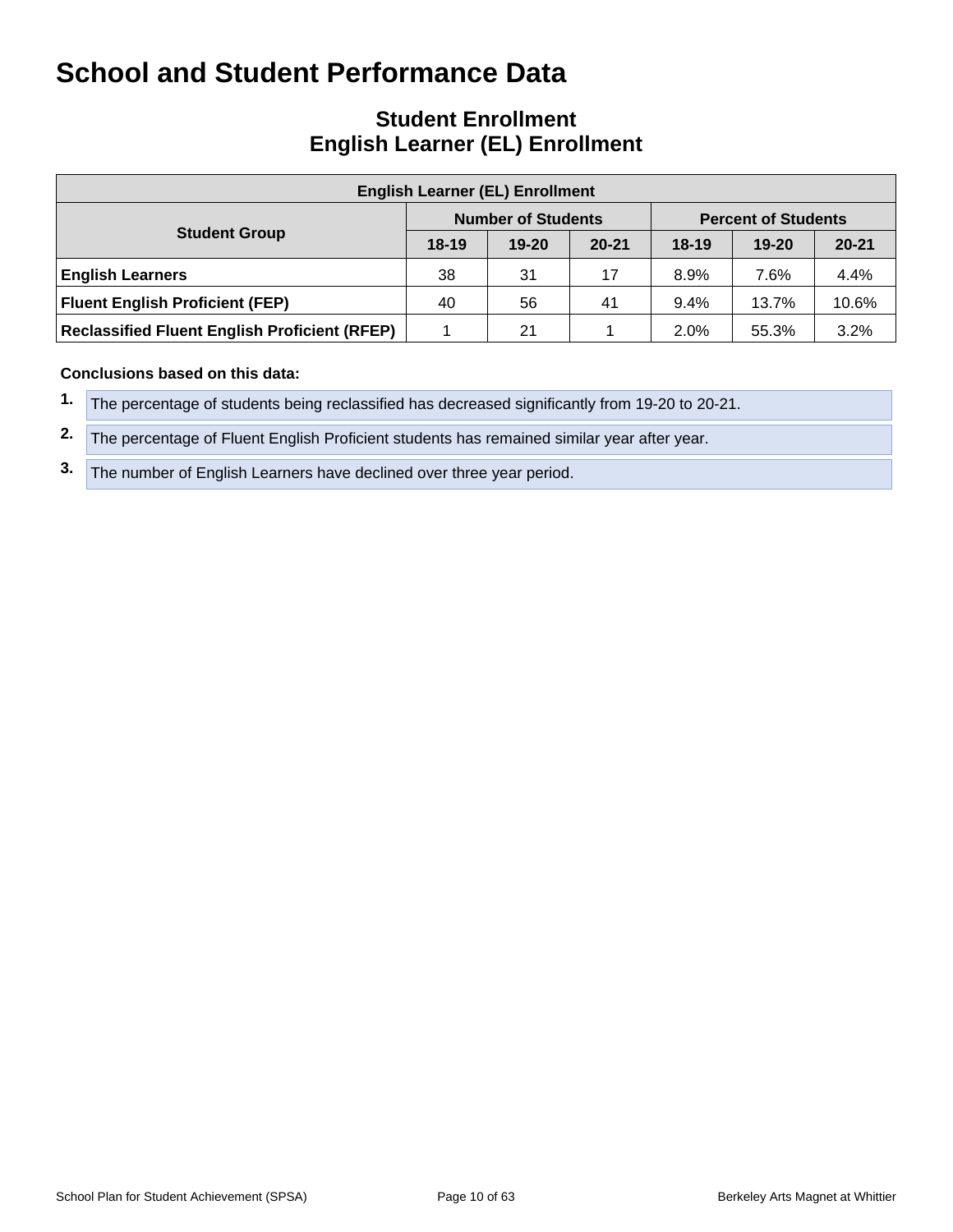## **Student Enrollment English Learner (EL) Enrollment**

| <b>English Learner (EL) Enrollment</b>               |         |                           |           |         |                            |           |  |  |  |  |  |
|------------------------------------------------------|---------|---------------------------|-----------|---------|----------------------------|-----------|--|--|--|--|--|
|                                                      |         | <b>Number of Students</b> |           |         | <b>Percent of Students</b> |           |  |  |  |  |  |
| <b>Student Group</b>                                 | $18-19$ | $19 - 20$                 | $20 - 21$ | $18-19$ | $19 - 20$                  | $20 - 21$ |  |  |  |  |  |
| <b>English Learners</b>                              | 38      | 31                        | 17        | 8.9%    | 7.6%                       | 4.4%      |  |  |  |  |  |
| <b>Fluent English Proficient (FEP)</b>               | 40      | 56                        | -41       | 9.4%    | 13.7%                      | 10.6%     |  |  |  |  |  |
| <b>Reclassified Fluent English Proficient (RFEP)</b> |         | 21                        |           | 2.0%    | 55.3%                      | 3.2%      |  |  |  |  |  |

#### **Conclusions based on this data:**

- **1.** The percentage of students being reclassified has decreased significantly from 19-20 to 20-21.
- **2.** The percentage of Fluent English Proficient students has remained similar year after year.
- **3.** The number of English Learners have declined over three year period.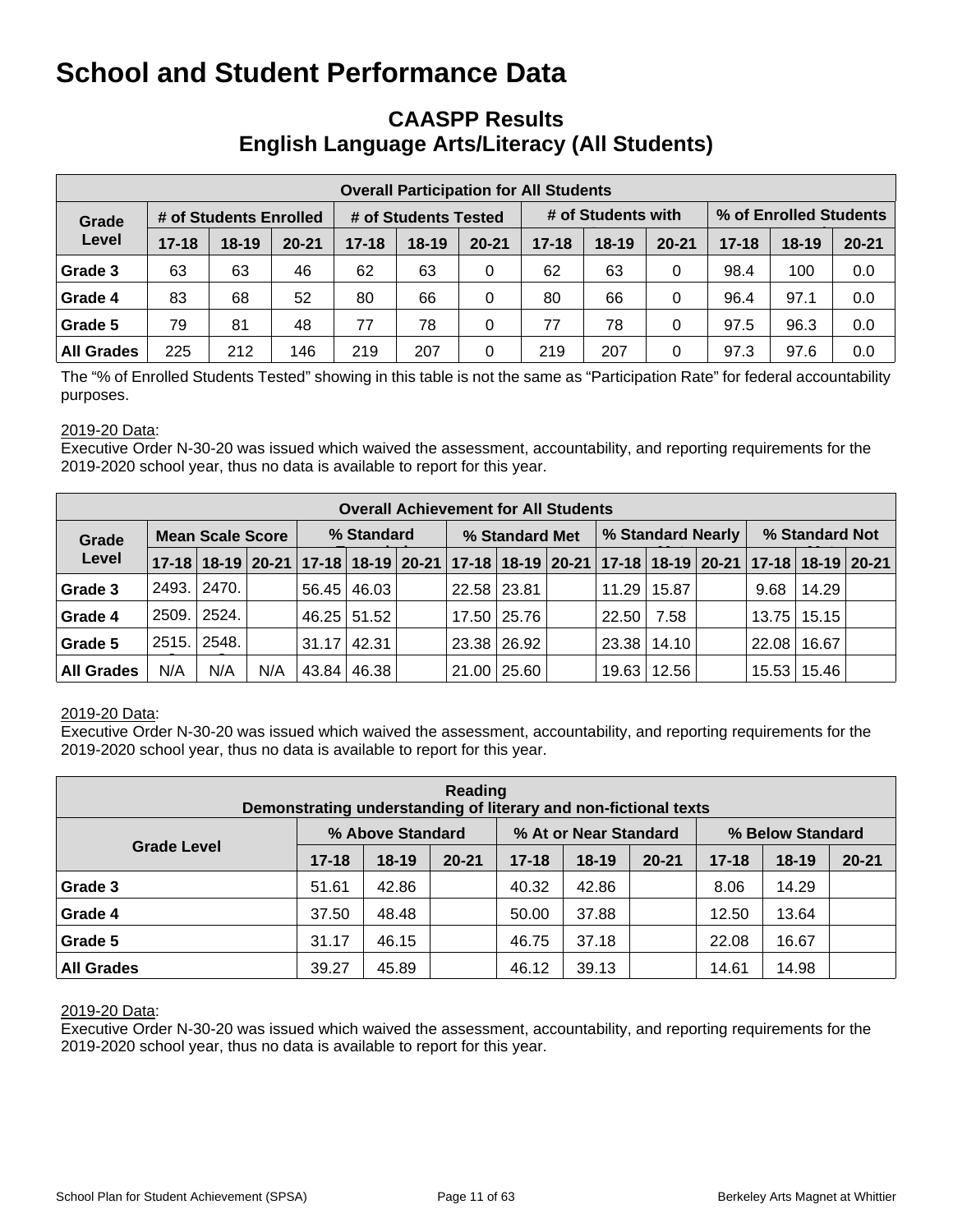## **CAASPP Results English Language Arts/Literacy (All Students)**

| <b>Overall Participation for All Students</b> |           |       |           |           |                      |           |           |                    |           |                        |           |           |  |
|-----------------------------------------------|-----------|-------|-----------|-----------|----------------------|-----------|-----------|--------------------|-----------|------------------------|-----------|-----------|--|
| # of Students Enrolled<br>Grade               |           |       |           |           | # of Students Tested |           |           | # of Students with |           | % of Enrolled Students |           |           |  |
| Level                                         | $17 - 18$ | 18-19 | $20 - 21$ | $17 - 18$ | $18-19$              | $20 - 21$ | $17 - 18$ | $18-19$            | $20 - 21$ | $17 - 18$              | $18 - 19$ | $20 - 21$ |  |
| Grade 3                                       | 63        | 63    | 46        | 62        | 63                   | 0         | 62        | 63                 | 0         | 98.4                   | 100       | 0.0       |  |
| Grade 4                                       | 83        | 68    | 52        | 80        | 66                   | 0         | 80        | 66                 | 0         | 96.4                   | 97.1      | 0.0       |  |
| Grade 5                                       | 79        | 81    | 48        | 77        | 78                   | 0         | 77        | 78                 | 0         | 97.5                   | 96.3      | 0.0       |  |
| <b>All Grades</b>                             | 225       | 212   | 146       | 219       | 207                  | 0         | 219       | 207                | 0         | 97.3                   | 97.6      | 0.0       |  |

The "% of Enrolled Students Tested" showing in this table is not the same as "Participation Rate" for federal accountability purposes.

#### 2019-20 Data:

Executive Order N-30-20 was issued which waived the assessment, accountability, and reporting requirements for the 2019-2020 school year, thus no data is available to report for this year.

|                   | <b>Overall Achievement for All Students</b> |                                                                                           |     |                    |             |  |                |               |  |                   |                    |  |                |               |  |
|-------------------|---------------------------------------------|-------------------------------------------------------------------------------------------|-----|--------------------|-------------|--|----------------|---------------|--|-------------------|--------------------|--|----------------|---------------|--|
| Grade             |                                             | <b>Mean Scale Score</b>                                                                   |     | % Standard         |             |  | % Standard Met |               |  | % Standard Nearly |                    |  | % Standard Not |               |  |
| Level             |                                             | 17-18 18-19 20-21 17-18 18-19 20-21 17-18 18-19 20-21 17-18 18-19 20-21 17-18 18-19 20-21 |     |                    |             |  |                |               |  |                   |                    |  |                |               |  |
| Grade 3           | 2493.1                                      | 2470.                                                                                     |     |                    | 56.45 46.03 |  |                | 22.58 23.81   |  |                   | $11.29$   15.87    |  | 9.68           | 14.29         |  |
| Grade 4           |                                             | 2509. 2524.                                                                               |     |                    | 46.25 51.52 |  |                | 17.50   25.76 |  | 22.50             | 7.58               |  | 13.75          | 15.15         |  |
| Grade 5           | 2515.                                       | 2548.                                                                                     |     | $31.17 \mid 42.31$ |             |  |                | 23.38 26.92   |  |                   | 23.38   14.10      |  | 22.08          | 16.67         |  |
| <b>All Grades</b> | N/A                                         | N/A                                                                                       | N/A |                    | 43.84 46.38 |  |                | 21.00   25.60 |  |                   | $19.63 \mid 12.56$ |  |                | 15.53   15.46 |  |

#### 2019-20 Data:

Executive Order N-30-20 was issued which waived the assessment, accountability, and reporting requirements for the 2019-2020 school year, thus no data is available to report for this year.

| Reading<br>Demonstrating understanding of literary and non-fictional texts |           |                  |           |           |                       |           |                  |         |           |  |  |  |  |
|----------------------------------------------------------------------------|-----------|------------------|-----------|-----------|-----------------------|-----------|------------------|---------|-----------|--|--|--|--|
|                                                                            |           | % Above Standard |           |           | % At or Near Standard |           | % Below Standard |         |           |  |  |  |  |
| <b>Grade Level</b>                                                         | $17 - 18$ | $18-19$          | $20 - 21$ | $17 - 18$ | $18 - 19$             | $20 - 21$ | $17 - 18$        | $18-19$ | $20 - 21$ |  |  |  |  |
| Grade 3                                                                    | 51.61     | 42.86            |           | 40.32     | 42.86                 |           | 8.06             | 14.29   |           |  |  |  |  |
| Grade 4                                                                    | 37.50     | 48.48            |           | 50.00     | 37.88                 |           | 12.50            | 13.64   |           |  |  |  |  |
| Grade 5                                                                    | 31.17     | 46.15            |           | 46.75     | 37.18                 |           | 22.08            | 16.67   |           |  |  |  |  |
| <b>All Grades</b>                                                          | 39.27     | 45.89            |           | 46.12     | 39.13                 |           | 14.61            | 14.98   |           |  |  |  |  |

#### 2019-20 Data: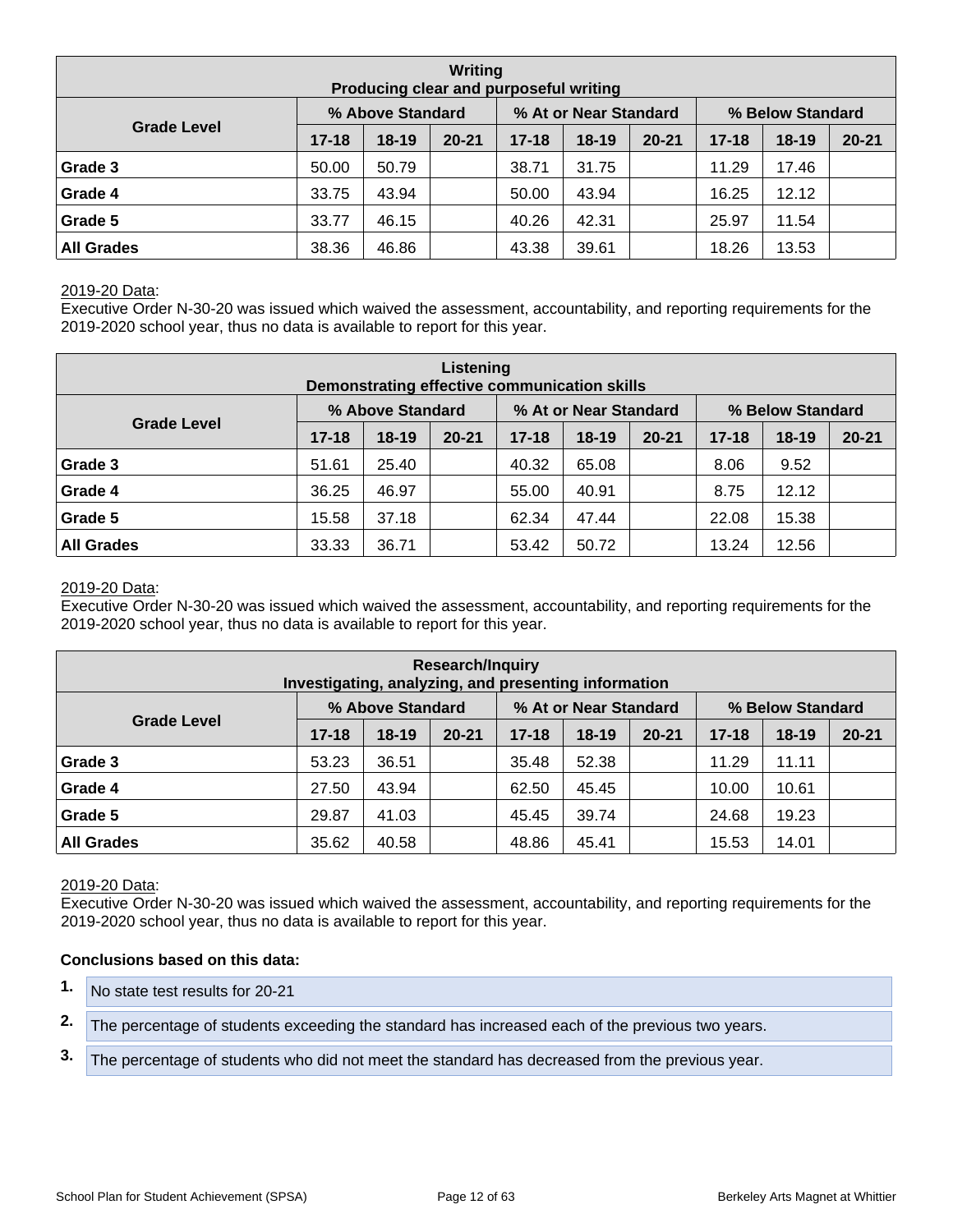| Writing<br>Producing clear and purposeful writing |           |                  |           |           |                       |           |                  |           |           |  |  |  |  |
|---------------------------------------------------|-----------|------------------|-----------|-----------|-----------------------|-----------|------------------|-----------|-----------|--|--|--|--|
|                                                   |           | % Above Standard |           |           | % At or Near Standard |           | % Below Standard |           |           |  |  |  |  |
| <b>Grade Level</b>                                | $17 - 18$ | $18 - 19$        | $20 - 21$ | $17 - 18$ | $18 - 19$             | $20 - 21$ | $17 - 18$        | $18 - 19$ | $20 - 21$ |  |  |  |  |
| Grade 3                                           | 50.00     | 50.79            |           | 38.71     | 31.75                 |           | 11.29            | 17.46     |           |  |  |  |  |
| Grade 4                                           | 33.75     | 43.94            |           | 50.00     | 43.94                 |           | 16.25            | 12.12     |           |  |  |  |  |
| Grade 5                                           | 33.77     | 46.15            |           | 40.26     | 42.31                 |           | 25.97            | 11.54     |           |  |  |  |  |
| <b>All Grades</b>                                 | 38.36     | 46.86            |           | 43.38     | 39.61                 |           | 18.26            | 13.53     |           |  |  |  |  |

Executive Order N-30-20 was issued which waived the assessment, accountability, and reporting requirements for the 2019-2020 school year, thus no data is available to report for this year.

| Listening<br>Demonstrating effective communication skills |           |                  |           |           |                       |           |                  |         |           |  |  |  |  |
|-----------------------------------------------------------|-----------|------------------|-----------|-----------|-----------------------|-----------|------------------|---------|-----------|--|--|--|--|
|                                                           |           | % Above Standard |           |           | % At or Near Standard |           | % Below Standard |         |           |  |  |  |  |
| <b>Grade Level</b>                                        | $17 - 18$ | $18-19$          | $20 - 21$ | $17 - 18$ | $18 - 19$             | $20 - 21$ | $17 - 18$        | $18-19$ | $20 - 21$ |  |  |  |  |
| Grade 3                                                   | 51.61     | 25.40            |           | 40.32     | 65.08                 |           | 8.06             | 9.52    |           |  |  |  |  |
| Grade 4                                                   | 36.25     | 46.97            |           | 55.00     | 40.91                 |           | 8.75             | 12.12   |           |  |  |  |  |
| Grade 5                                                   | 15.58     | 37.18            |           | 62.34     | 47.44                 |           | 22.08            | 15.38   |           |  |  |  |  |
| <b>All Grades</b>                                         | 33.33     | 36.71            |           | 53.42     | 50.72                 |           | 13.24            | 12.56   |           |  |  |  |  |

#### 2019-20 Data:

Executive Order N-30-20 was issued which waived the assessment, accountability, and reporting requirements for the 2019-2020 school year, thus no data is available to report for this year.

| <b>Research/Inquiry</b><br>Investigating, analyzing, and presenting information |           |                  |           |           |                       |           |                  |           |           |  |  |  |  |
|---------------------------------------------------------------------------------|-----------|------------------|-----------|-----------|-----------------------|-----------|------------------|-----------|-----------|--|--|--|--|
|                                                                                 |           | % Above Standard |           |           | % At or Near Standard |           | % Below Standard |           |           |  |  |  |  |
| <b>Grade Level</b>                                                              | $17 - 18$ | $18-19$          | $20 - 21$ | $17 - 18$ | $18-19$               | $20 - 21$ | $17 - 18$        | $18 - 19$ | $20 - 21$ |  |  |  |  |
| Grade 3                                                                         | 53.23     | 36.51            |           | 35.48     | 52.38                 |           | 11.29            | 11.11     |           |  |  |  |  |
| Grade 4                                                                         | 27.50     | 43.94            |           | 62.50     | 45.45                 |           | 10.00            | 10.61     |           |  |  |  |  |
| Grade 5                                                                         | 29.87     | 41.03            |           | 45.45     | 39.74                 |           | 24.68            | 19.23     |           |  |  |  |  |
| <b>All Grades</b>                                                               | 35.62     | 40.58            |           | 48.86     | 45.41                 |           | 15.53            | 14.01     |           |  |  |  |  |

#### 2019-20 Data:

Executive Order N-30-20 was issued which waived the assessment, accountability, and reporting requirements for the 2019-2020 school year, thus no data is available to report for this year.

#### **Conclusions based on this data:**

- **1.** No state test results for 20-21
- **2.** The percentage of students exceeding the standard has increased each of the previous two years.
- **3.** The percentage of students who did not meet the standard has decreased from the previous year.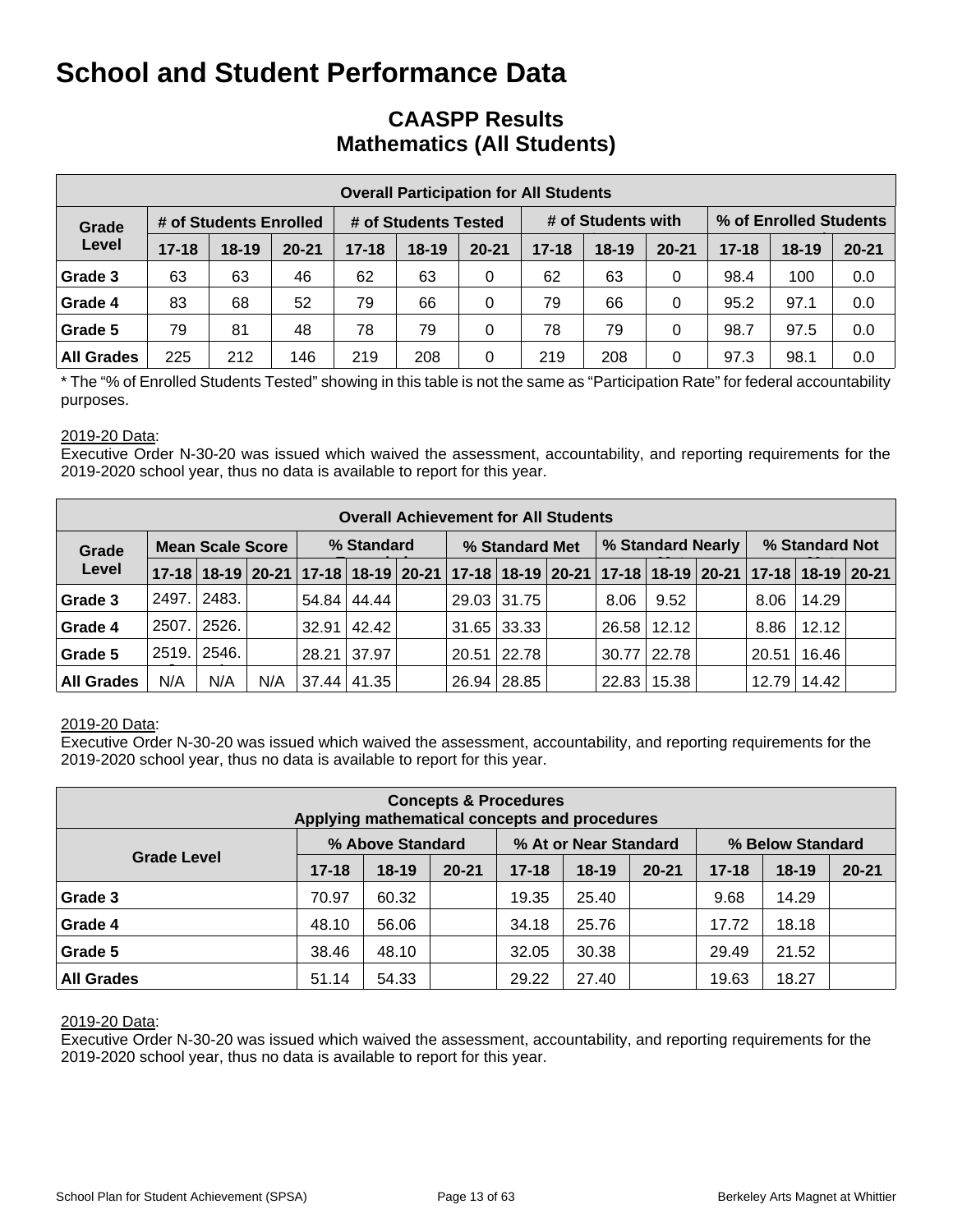## **CAASPP Results Mathematics (All Students)**

|                                 | <b>Overall Participation for All Students</b> |           |           |           |                      |           |           |                    |           |                        |           |           |  |  |
|---------------------------------|-----------------------------------------------|-----------|-----------|-----------|----------------------|-----------|-----------|--------------------|-----------|------------------------|-----------|-----------|--|--|
| # of Students Enrolled<br>Grade |                                               |           |           |           | # of Students Tested |           |           | # of Students with |           | % of Enrolled Students |           |           |  |  |
| Level                           | $17 - 18$                                     | $18 - 19$ | $20 - 21$ | $17 - 18$ | $18 - 19$            | $20 - 21$ | $17 - 18$ | $18-19$            | $20 - 21$ | $17 - 18$              | $18 - 19$ | $20 - 21$ |  |  |
| Grade 3                         | 63                                            | 63        | 46        | 62        | 63                   | 0         | 62        | 63                 | 0         | 98.4                   | 100       | 0.0       |  |  |
| Grade 4                         | 83                                            | 68        | 52        | 79        | 66                   | 0         | 79        | 66                 | 0         | 95.2                   | 97.1      | 0.0       |  |  |
| Grade 5                         | 79                                            | 81        | 48        | 78        | 79                   | 0         | 78        | 79                 | 0         | 98.7                   | 97.5      | 0.0       |  |  |
| <b>All Grades</b>               | 225                                           | 212       | 146       | 219       | 208                  | 0         | 219       | 208                | 0         | 97.3                   | 98.1      | 0.0       |  |  |

\* The "% of Enrolled Students Tested" showing in this table is not the same as "Participation Rate" for federal accountability purposes.

#### 2019-20 Data:

Executive Order N-30-20 was issued which waived the assessment, accountability, and reporting requirements for the 2019-2020 school year, thus no data is available to report for this year.

|                                  | <b>Overall Achievement for All Students</b> |       |            |  |                    |                |  |               |                   |       |                 |                |       |                                                                                           |  |
|----------------------------------|---------------------------------------------|-------|------------|--|--------------------|----------------|--|---------------|-------------------|-------|-----------------|----------------|-------|-------------------------------------------------------------------------------------------|--|
| <b>Mean Scale Score</b><br>Grade |                                             |       | % Standard |  |                    | % Standard Met |  |               | % Standard Nearly |       |                 | % Standard Not |       |                                                                                           |  |
| Level                            |                                             |       |            |  |                    |                |  |               |                   |       |                 |                |       | 17-18 18-19 20-21 17-18 18-19 20-21 17-18 18-19 20-21 17-18 18-19 20-21 17-18 18-19 20-21 |  |
| Grade 3                          | 2497.                                       | 2483. |            |  | 54.84 44.44        |                |  | 29.03 31.75   |                   | 8.06  | 9.52            |                | 8.06  | 14.29                                                                                     |  |
| Grade 4                          | 2507.                                       | 2526. |            |  | $32.91 \mid 42.42$ |                |  | $31.65$ 33.33 |                   |       | $26.58$   12.12 |                | 8.86  | 12.12                                                                                     |  |
| Grade 5                          | 2519.                                       | 2546. |            |  | 28.21 37.97        |                |  | 20.51 22.78   |                   |       | 30.77   22.78   |                | 20.51 | 16.46                                                                                     |  |
| <b>All Grades</b>                | N/A                                         | N/A   | N/A        |  | 37.44 41.35        |                |  | 26.94 28.85   |                   | 22.83 | 15.38           |                | 12.79 | 14.42                                                                                     |  |

#### 2019-20 Data:

Executive Order N-30-20 was issued which waived the assessment, accountability, and reporting requirements for the 2019-2020 school year, thus no data is available to report for this year.

| <b>Concepts &amp; Procedures</b><br>Applying mathematical concepts and procedures |           |                  |           |           |                       |           |                  |           |           |  |  |  |  |
|-----------------------------------------------------------------------------------|-----------|------------------|-----------|-----------|-----------------------|-----------|------------------|-----------|-----------|--|--|--|--|
|                                                                                   |           | % Above Standard |           |           | % At or Near Standard |           | % Below Standard |           |           |  |  |  |  |
| <b>Grade Level</b>                                                                | $17 - 18$ | $18-19$          | $20 - 21$ | $17 - 18$ | $18-19$               | $20 - 21$ | $17 - 18$        | $18 - 19$ | $20 - 21$ |  |  |  |  |
| Grade 3                                                                           | 70.97     | 60.32            |           | 19.35     | 25.40                 |           | 9.68             | 14.29     |           |  |  |  |  |
| Grade 4                                                                           | 48.10     | 56.06            |           | 34.18     | 25.76                 |           | 17.72            | 18.18     |           |  |  |  |  |
| Grade 5                                                                           | 38.46     | 48.10            |           | 32.05     | 30.38                 |           | 29.49            | 21.52     |           |  |  |  |  |
| <b>All Grades</b>                                                                 | 51.14     | 54.33            |           | 29.22     | 27.40                 |           | 19.63            | 18.27     |           |  |  |  |  |

#### 2019-20 Data: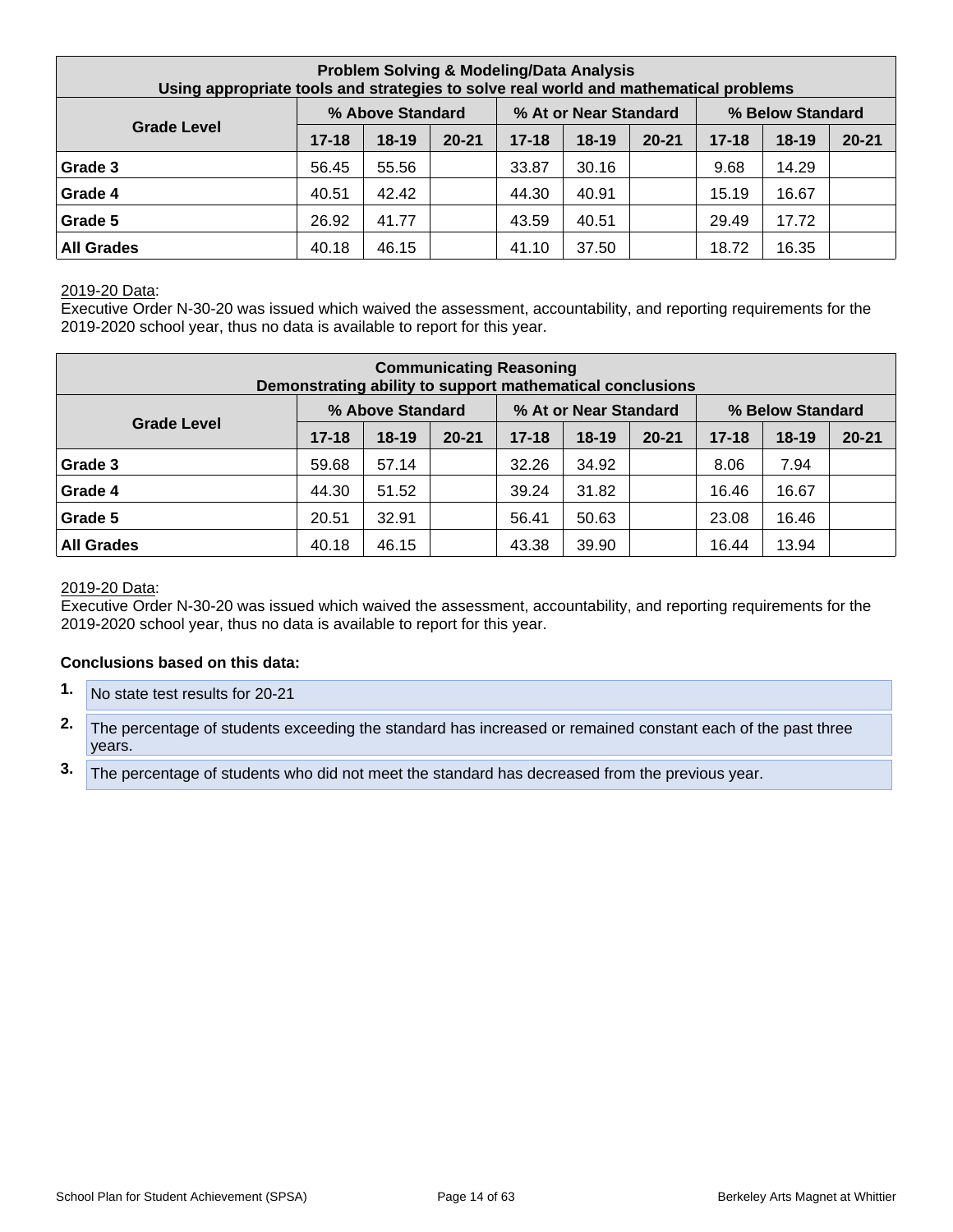| <b>Problem Solving &amp; Modeling/Data Analysis</b><br>Using appropriate tools and strategies to solve real world and mathematical problems |           |                  |           |           |                       |           |           |                  |           |  |  |  |
|---------------------------------------------------------------------------------------------------------------------------------------------|-----------|------------------|-----------|-----------|-----------------------|-----------|-----------|------------------|-----------|--|--|--|
|                                                                                                                                             |           | % Above Standard |           |           | % At or Near Standard |           |           | % Below Standard |           |  |  |  |
| <b>Grade Level</b>                                                                                                                          | $17 - 18$ | $18-19$          | $20 - 21$ | $17 - 18$ | $18 - 19$             | $20 - 21$ | $17 - 18$ | $18 - 19$        | $20 - 21$ |  |  |  |
| Grade 3                                                                                                                                     | 56.45     | 55.56            |           | 33.87     | 30.16                 |           | 9.68      | 14.29            |           |  |  |  |
| Grade 4                                                                                                                                     | 40.51     | 42.42            |           | 44.30     | 40.91                 |           | 15.19     | 16.67            |           |  |  |  |
| Grade 5                                                                                                                                     | 26.92     | 41.77            |           | 43.59     | 40.51                 |           | 29.49     | 17.72            |           |  |  |  |
| <b>All Grades</b>                                                                                                                           | 40.18     | 46.15            |           | 41.10     | 37.50                 |           | 18.72     | 16.35            |           |  |  |  |

Executive Order N-30-20 was issued which waived the assessment, accountability, and reporting requirements for the 2019-2020 school year, thus no data is available to report for this year.

| <b>Communicating Reasoning</b><br>Demonstrating ability to support mathematical conclusions |           |                  |           |           |                       |           |           |                  |           |  |  |
|---------------------------------------------------------------------------------------------|-----------|------------------|-----------|-----------|-----------------------|-----------|-----------|------------------|-----------|--|--|
|                                                                                             |           | % Above Standard |           |           | % At or Near Standard |           |           | % Below Standard |           |  |  |
| <b>Grade Level</b>                                                                          | $17 - 18$ | $18 - 19$        | $20 - 21$ | $17 - 18$ | 18-19                 | $20 - 21$ | $17 - 18$ | $18 - 19$        | $20 - 21$ |  |  |
| Grade 3                                                                                     | 59.68     | 57.14            |           | 32.26     | 34.92                 |           | 8.06      | 7.94             |           |  |  |
| Grade 4                                                                                     | 44.30     | 51.52            |           | 39.24     | 31.82                 |           | 16.46     | 16.67            |           |  |  |
| Grade 5                                                                                     | 20.51     | 32.91            |           | 56.41     | 50.63                 |           | 23.08     | 16.46            |           |  |  |
| <b>All Grades</b>                                                                           | 40.18     | 46.15            |           | 43.38     | 39.90                 |           | 16.44     | 13.94            |           |  |  |

#### 2019-20 Data:

Executive Order N-30-20 was issued which waived the assessment, accountability, and reporting requirements for the 2019-2020 school year, thus no data is available to report for this year.

#### **Conclusions based on this data:**

- **1.** No state test results for 20-21
- **2.** The percentage of students exceeding the standard has increased or remained constant each of the past three years.
- **3.** The percentage of students who did not meet the standard has decreased from the previous year.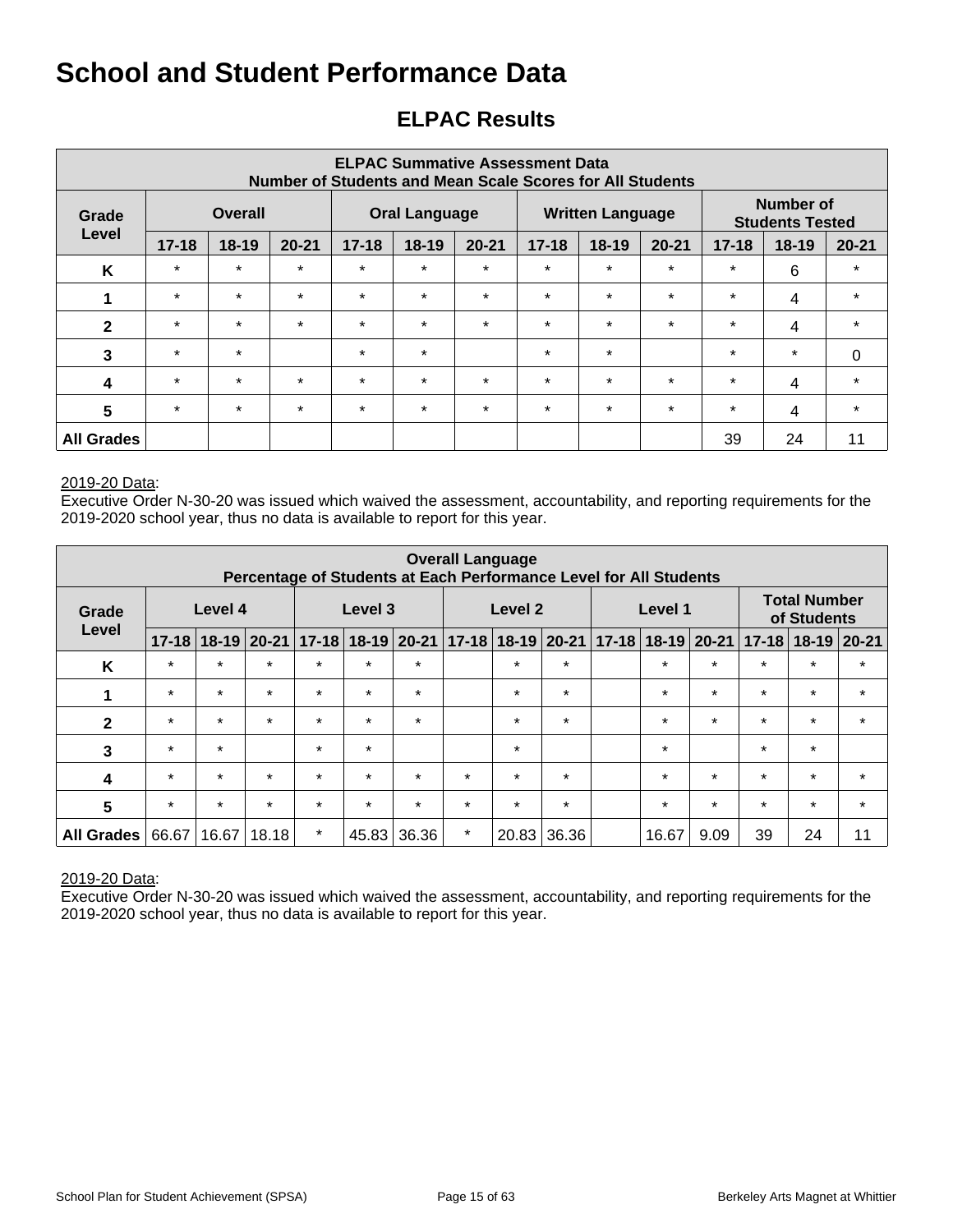## **ELPAC Results**

| <b>ELPAC Summative Assessment Data</b><br>Number of Students and Mean Scale Scores for All Students |                  |           |           |           |                      |           |           |                         |           |           |                                            |           |  |
|-----------------------------------------------------------------------------------------------------|------------------|-----------|-----------|-----------|----------------------|-----------|-----------|-------------------------|-----------|-----------|--------------------------------------------|-----------|--|
| Grade                                                                                               | Overall<br>Level |           |           |           | <b>Oral Language</b> |           |           | <b>Written Language</b> |           |           | <b>Number of</b><br><b>Students Tested</b> |           |  |
|                                                                                                     | $17 - 18$        | $18 - 19$ | $20 - 21$ | $17 - 18$ | 18-19                | $20 - 21$ | $17 - 18$ | $18 - 19$               | $20 - 21$ | $17 - 18$ | $18-19$                                    | $20 - 21$ |  |
| K                                                                                                   | $\star$          | $\star$   | $\star$   | $\star$   | $\star$              | $\star$   | $\star$   | $\star$                 | $\star$   | $\star$   | 6                                          | $\star$   |  |
| 1                                                                                                   | $\star$          | $\star$   | $\star$   | $\star$   | $\star$              | $\star$   | $\star$   | $\star$                 | $\star$   | $\star$   | 4                                          | $\star$   |  |
| $\mathbf{2}$                                                                                        | $\star$          | $\star$   | $\star$   | $\star$   | $\star$              | $\star$   | $\star$   | $\star$                 | $\star$   | $\star$   | 4                                          | $\star$   |  |
| 3                                                                                                   | $\star$          | $\star$   |           | $\star$   | $\star$              |           | $\star$   | $\star$                 |           | $\star$   | $\star$                                    | $\Omega$  |  |
| $\boldsymbol{4}$                                                                                    | $\star$          | $\star$   | $\star$   | $\star$   | $\star$              | $\star$   | $\star$   | $\star$                 | $\star$   | $\star$   | 4                                          | $\star$   |  |
| $5\phantom{1}$                                                                                      | $\star$          | $\star$   | $\star$   | $\star$   | $\star$              | $\star$   | $\star$   | $\star$                 | $\star$   | $\star$   | 4                                          | $\star$   |  |
| <b>All Grades</b>                                                                                   |                  |           |           |           |                      |           |           |                         |           | 39        | 24                                         | 11        |  |

#### 2019-20 Data:

Executive Order N-30-20 was issued which waived the assessment, accountability, and reporting requirements for the 2019-2020 school year, thus no data is available to report for this year.

| <b>Overall Language</b><br>Percentage of Students at Each Performance Level for All Students |           |           |           |         |                     |         |         |                       |         |  |                     |         |           |                                    |           |
|----------------------------------------------------------------------------------------------|-----------|-----------|-----------|---------|---------------------|---------|---------|-----------------------|---------|--|---------------------|---------|-----------|------------------------------------|-----------|
| Grade                                                                                        |           | Level 4   |           |         | Level 3             |         |         | Level 2               |         |  | Level 1             |         |           | <b>Total Number</b><br>of Students |           |
| Level                                                                                        | $17 - 18$ | $18 - 19$ | $20 - 21$ |         | $17-18$ 18-19 20-21 |         |         | 17-18   18-19   20-21 |         |  | $17-18$ 18-19 20-21 |         | $17 - 18$ | $18-19$                            | $ 20-21 $ |
| K                                                                                            | $\star$   | $\star$   | $\star$   | $\star$ | $\star$             | $\star$ |         | $\star$               | $\star$ |  | $\star$             | $\star$ | $\star$   | $\star$                            | $\star$   |
| 1                                                                                            | $\star$   | $\star$   | $\star$   | $\star$ | $\star$             | $\star$ |         | $\star$               | $\star$ |  | $\star$             | $\star$ | $\star$   | $\star$                            | $\star$   |
| $\mathbf{2}$                                                                                 | $\star$   | $\star$   | $\star$   | $\star$ | $\star$             | $\star$ |         | $\star$               | $\star$ |  | $\star$             | $\star$ | $\star$   | $\star$                            | $\star$   |
| 3                                                                                            | $\star$   | $\star$   |           | $\star$ | $\star$             |         |         | $\star$               |         |  | $\star$             |         | $\star$   | $\star$                            |           |
| $\overline{\mathbf{4}}$                                                                      | $\star$   | $\star$   | $\star$   | $\star$ | $\star$             | $\star$ | $\star$ | $\star$               | $\star$ |  | $\star$             | $\star$ | $\star$   | $\star$                            | $\star$   |
| 5                                                                                            | $\star$   | $\star$   | $\star$   | $\star$ | $\star$             | $\star$ | $\star$ | $\star$               | $\star$ |  | $\star$             | $\star$ | $\star$   | $\star$                            | $\star$   |
| <b>All Grades</b>                                                                            | 66.67     | 16.67     | 18.18     | $\star$ | 45.83               | 36.36   | $\star$ | 20.83                 | 36.36   |  | 16.67               | 9.09    | 39        | 24                                 | 11        |

#### 2019-20 Data: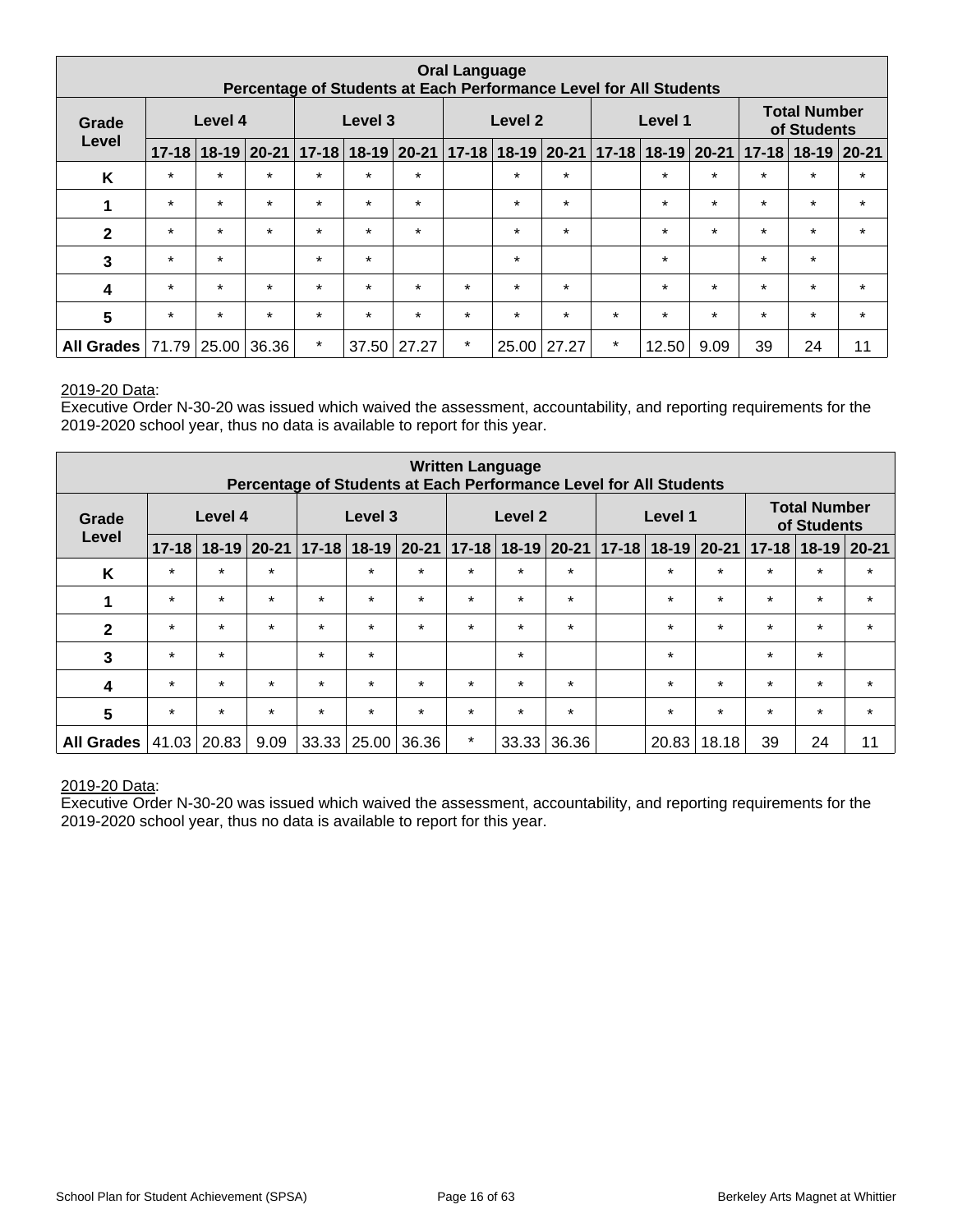| <b>Oral Language</b><br>Percentage of Students at Each Performance Level for All Students |           |         |         |         |         |                                                             |                                                          |         |         |         |         |         |                                     |         |         |
|-------------------------------------------------------------------------------------------|-----------|---------|---------|---------|---------|-------------------------------------------------------------|----------------------------------------------------------|---------|---------|---------|---------|---------|-------------------------------------|---------|---------|
| Grade                                                                                     |           | Level 4 |         |         | Level 3 |                                                             | <b>Total Number</b><br>Level 2<br>Level 1<br>of Students |         |         |         |         |         |                                     |         |         |
| Level                                                                                     | $17 - 18$ |         |         |         |         | 18-19 20-21   17-18   18-19   20-21   17-18   18-19   20-21 |                                                          |         |         |         |         |         | 17-18 18-19 20-21 17-18 18-19 20-21 |         |         |
| K                                                                                         | $\star$   | $\star$ | $\star$ | $\star$ | $\star$ | $\star$                                                     |                                                          | $\star$ | $\star$ |         | $\star$ | $\star$ | $\star$                             | $\star$ | $\star$ |
| 1                                                                                         | $\star$   | $\star$ | $\star$ | $\star$ | $\star$ | $\star$                                                     |                                                          | $\star$ | $\star$ |         | $\star$ | $\star$ | $\star$                             | $\star$ | $\star$ |
| $\mathbf{2}$                                                                              | $\star$   | $\star$ | $\star$ | $\star$ | $\star$ | $\star$                                                     |                                                          | $\star$ | $\star$ |         | $\star$ | $\star$ | $\star$                             | $\star$ | $\star$ |
| 3                                                                                         | $\star$   | $\star$ |         | $\star$ | $\star$ |                                                             |                                                          | $\star$ |         |         | $\star$ |         | $\star$                             | $\star$ |         |
| 4                                                                                         | $\star$   | $\star$ | $\star$ | $\star$ | $\star$ | $\star$                                                     | $\star$                                                  | $\star$ | $\star$ |         | $\star$ | $\star$ | $\star$                             | $\star$ | $\star$ |
| $5\phantom{1}$                                                                            | $\star$   | $\star$ | $\star$ | $\star$ | $\star$ | $\star$                                                     | $\star$                                                  | $\star$ | $\star$ | $\star$ | $\star$ | $\star$ | $\star$                             | $\star$ | $\star$ |
| All Grades   71.79   25.00   36.36                                                        |           |         |         | $\star$ |         | $37.50$ 27.27                                               | $\star$                                                  | 25.00   | 27.27   | $\star$ | 12.50   | 9.09    | 39                                  | 24      | 11      |

Executive Order N-30-20 was issued which waived the assessment, accountability, and reporting requirements for the 2019-2020 school year, thus no data is available to report for this year.

| <b>Written Language</b><br>Percentage of Students at Each Performance Level for All Students |           |           |           |           |                    |         |           |                    |               |  |                           |         |           |                                    |               |
|----------------------------------------------------------------------------------------------|-----------|-----------|-----------|-----------|--------------------|---------|-----------|--------------------|---------------|--|---------------------------|---------|-----------|------------------------------------|---------------|
| Grade                                                                                        |           | Level 4   |           |           | Level 3            |         |           | Level <sub>2</sub> |               |  | Level 1                   |         |           | <b>Total Number</b><br>of Students |               |
| Level                                                                                        | $17 - 18$ | $18 - 19$ | $20 - 21$ | $17 - 18$ | $18-19$ 20-21      |         | $17 - 18$ |                    | $18-19$ 20-21 |  | $17 - 18$ 18 - 19 20 - 21 |         | $17 - 18$ |                                    | $18-19$ 20-21 |
| K                                                                                            | $\star$   | $\star$   | $\star$   |           | $\star$            | $\star$ | $\star$   | $\star$            | $\star$       |  | $\star$                   | $\star$ | $\star$   | $\star$                            | $\star$       |
|                                                                                              | $\star$   | $\star$   | $\star$   | $\star$   | $\star$            | $\star$ | $\star$   | $\star$            | $\star$       |  | $\star$                   | $\star$ | $\star$   | $\star$                            | $\star$       |
| $\mathbf{2}$                                                                                 | $\star$   | $\star$   | $\star$   | $\star$   | $\star$            | $\star$ | $\star$   | $\star$            | $\star$       |  | $\star$                   | $\star$ | $\star$   | $\star$                            | $\star$       |
| 3                                                                                            | $\star$   | $\star$   |           | $\star$   | $\star$            |         |           | $\star$            |               |  | $\star$                   |         | $\star$   | $\star$                            |               |
| 4                                                                                            | $\star$   | $\star$   | $\star$   | $\star$   | $\star$            | $\star$ | $\star$   | $\star$            | $\star$       |  | $\star$                   | $\star$ | $\star$   | $\star$                            | $\star$       |
| 5                                                                                            | $\star$   | $\star$   | $\star$   | $\star$   | $\star$            | $\star$ | $\star$   | $\star$            | $\star$       |  | $\star$                   | $\star$ | $\star$   | $\star$                            | $\star$       |
| <b>All Grades</b>                                                                            | 41.03     | 20.83     | 9.09      |           | $33.33 \mid 25.00$ | 36.36   | $\star$   | 33.33              | 36.36         |  | 20.83                     | 18.18   | 39        | 24                                 | 11            |

#### 2019-20 Data: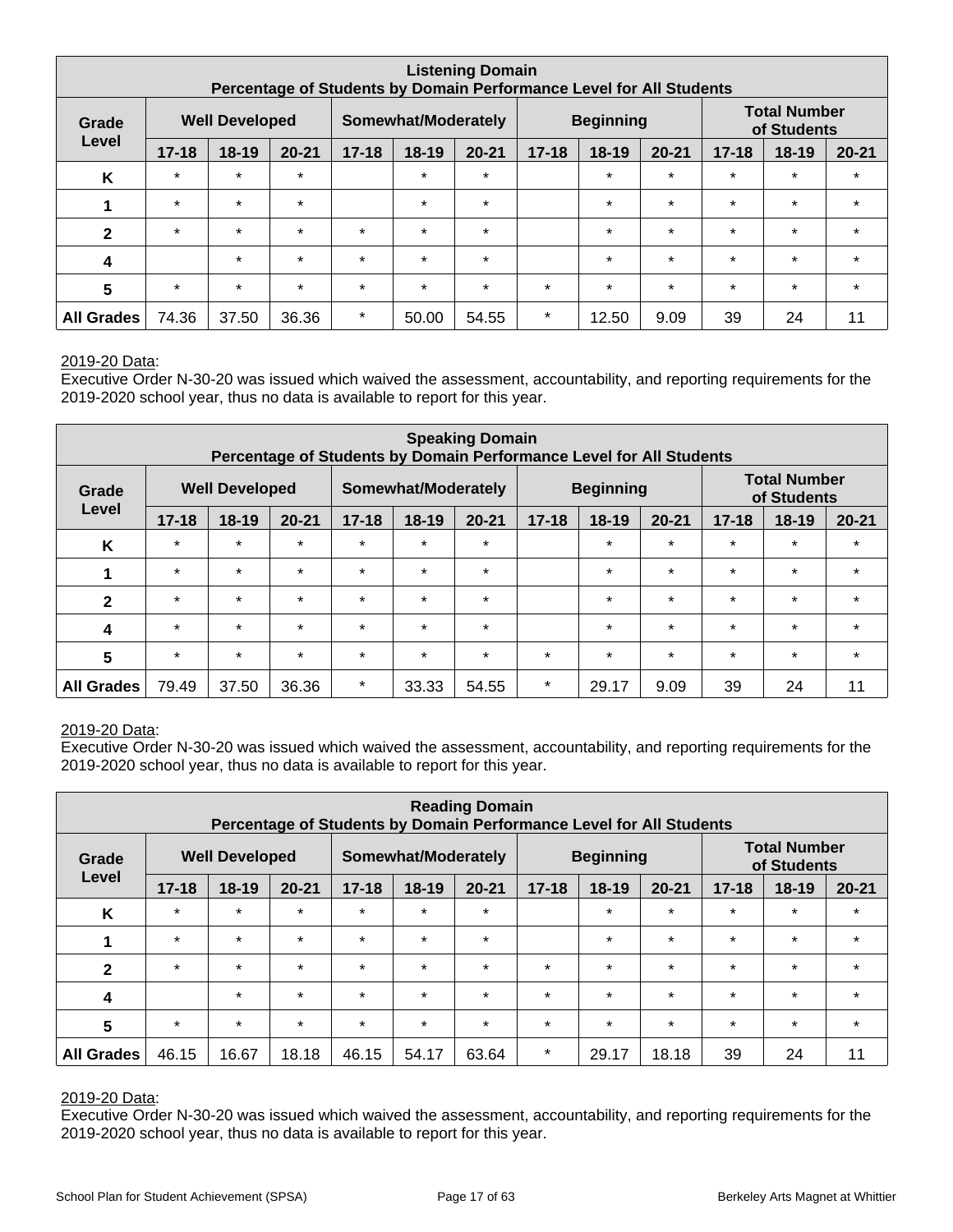| <b>Listening Domain</b><br>Percentage of Students by Domain Performance Level for All Students |           |                       |           |           |                                         |           |           |         |           |           |                                    |           |
|------------------------------------------------------------------------------------------------|-----------|-----------------------|-----------|-----------|-----------------------------------------|-----------|-----------|---------|-----------|-----------|------------------------------------|-----------|
| Grade                                                                                          |           | <b>Well Developed</b> |           |           | <b>Beginning</b><br>Somewhat/Moderately |           |           |         |           |           | <b>Total Number</b><br>of Students |           |
| Level                                                                                          | $17 - 18$ | $18 - 19$             | $20 - 21$ | $17 - 18$ | 18-19                                   | $20 - 21$ | $17 - 18$ | $18-19$ | $20 - 21$ | $17 - 18$ | 18-19                              | $20 - 21$ |
| K                                                                                              | $\star$   | $\star$               | $\star$   |           | $\star$                                 | $\star$   |           | $\star$ | $\star$   | $\star$   | $\star$                            | $\star$   |
| 1                                                                                              | $\star$   | $\star$               | $\star$   |           | $\star$                                 | $\star$   |           | $\star$ | $\star$   | $\star$   | $\star$                            | $\star$   |
| $\mathbf{2}$                                                                                   | $\star$   | $\star$               | $\star$   | $\star$   | $\star$                                 | $\star$   |           | $\star$ | $\star$   | $\star$   | $\star$                            | $\star$   |
| 4                                                                                              |           | $\star$               | $\star$   | $\star$   | $\star$                                 | $\star$   |           | $\star$ | $\star$   | $\star$   | $\star$                            | $\star$   |
| 5                                                                                              | $\star$   | $\star$               | $\star$   | $\star$   | $\star$                                 | $\star$   | $\star$   | $\star$ | $\star$   | $\star$   | $\star$                            | $\star$   |
| <b>All Grades</b>                                                                              | 74.36     | 37.50                 | 36.36     | $\star$   | 50.00                                   | 54.55     | $\star$   | 12.50   | 9.09      | 39        | 24                                 | 11        |

Executive Order N-30-20 was issued which waived the assessment, accountability, and reporting requirements for the 2019-2020 school year, thus no data is available to report for this year.

| <b>Speaking Domain</b><br>Percentage of Students by Domain Performance Level for All Students |           |                       |           |           |                     |           |           |                  |           |           |                                    |           |  |
|-----------------------------------------------------------------------------------------------|-----------|-----------------------|-----------|-----------|---------------------|-----------|-----------|------------------|-----------|-----------|------------------------------------|-----------|--|
| Grade                                                                                         |           | <b>Well Developed</b> |           |           | Somewhat/Moderately |           |           | <b>Beginning</b> |           |           | <b>Total Number</b><br>of Students |           |  |
| Level                                                                                         | $17 - 18$ | $18 - 19$             | $20 - 21$ | $17 - 18$ | 18-19               | $20 - 21$ | $17 - 18$ | $18-19$          | $20 - 21$ | $17 - 18$ | $18 - 19$                          | $20 - 21$ |  |
| K                                                                                             | $\star$   | $\star$               | $\star$   | $\star$   | $\star$             | $\star$   |           | $\star$          | $\star$   | $\star$   | $\star$                            | $\star$   |  |
| 1                                                                                             | $\star$   | $\star$               | $\star$   | $\star$   | $\star$             | $\star$   |           | $\star$          | $\star$   | $\star$   | $\star$                            | $\star$   |  |
| $\mathbf{2}$                                                                                  | $\star$   | $\star$               | $\star$   | $\star$   | $\star$             | $\star$   |           | $\star$          | $\star$   | $\star$   | $\star$                            | $\star$   |  |
| 4                                                                                             | $\star$   | $\star$               | $\star$   | $\star$   | $\star$             | $\star$   |           | $\star$          | $\star$   | $\star$   | $\star$                            | $\star$   |  |
| 5                                                                                             | $\star$   | $\star$               | $\star$   | $\star$   | $\star$             | $\star$   | $\star$   | $\star$          | $\star$   | $\star$   | $\star$                            | $\star$   |  |
| <b>All Grades</b>                                                                             | 79.49     | 37.50                 | 36.36     | $\star$   | 33.33               | 54.55     | $\ast$    | 29.17            | 9.09      | 39        | 24                                 | 11        |  |

#### 2019-20 Data:

Executive Order N-30-20 was issued which waived the assessment, accountability, and reporting requirements for the 2019-2020 school year, thus no data is available to report for this year.

| <b>Reading Domain</b><br>Percentage of Students by Domain Performance Level for All Students |           |           |           |           |         |           |           |                                                        |           |           |           |           |
|----------------------------------------------------------------------------------------------|-----------|-----------|-----------|-----------|---------|-----------|-----------|--------------------------------------------------------|-----------|-----------|-----------|-----------|
| <b>Well Developed</b><br>Somewhat/Moderately<br>Grade<br>Level                               |           |           |           |           |         |           |           | <b>Total Number</b><br><b>Beginning</b><br>of Students |           |           |           |           |
|                                                                                              | $17 - 18$ | $18 - 19$ | $20 - 21$ | $17 - 18$ | $18-19$ | $20 - 21$ | $17 - 18$ | $18-19$                                                | $20 - 21$ | $17 - 18$ | $18 - 19$ | $20 - 21$ |
| K                                                                                            | $\star$   | $\star$   | $\star$   | $\star$   | $\star$ | $\star$   |           | $\star$                                                | $\star$   | $\star$   | $\star$   | $\star$   |
|                                                                                              | $\star$   | $\star$   | $\star$   | $\star$   | $\star$ | $\star$   |           | $\star$                                                | $\star$   | $\star$   | $\star$   | $\star$   |
| $\mathbf{2}$                                                                                 | $\star$   | $\star$   | $\star$   | $\star$   | $\star$ | $\star$   | $\star$   | $\star$                                                | $\star$   | $\star$   | $\star$   | $\star$   |
| 4                                                                                            |           | $\star$   | $\star$   | $\star$   | $\star$ | $\star$   | $\star$   | $\star$                                                | $\star$   | $\star$   | $\star$   | $\star$   |
| 5                                                                                            | $\star$   | $\star$   | $\star$   | $\star$   | $\star$ | $\star$   | $\star$   | $\star$                                                | $\star$   | $\star$   | $\star$   | $\star$   |
| <b>All Grades</b>                                                                            | 46.15     | 16.67     | 18.18     | 46.15     | 54.17   | 63.64     | $\star$   | 29.17                                                  | 18.18     | 39        | 24        | 11        |

#### 2019-20 Data: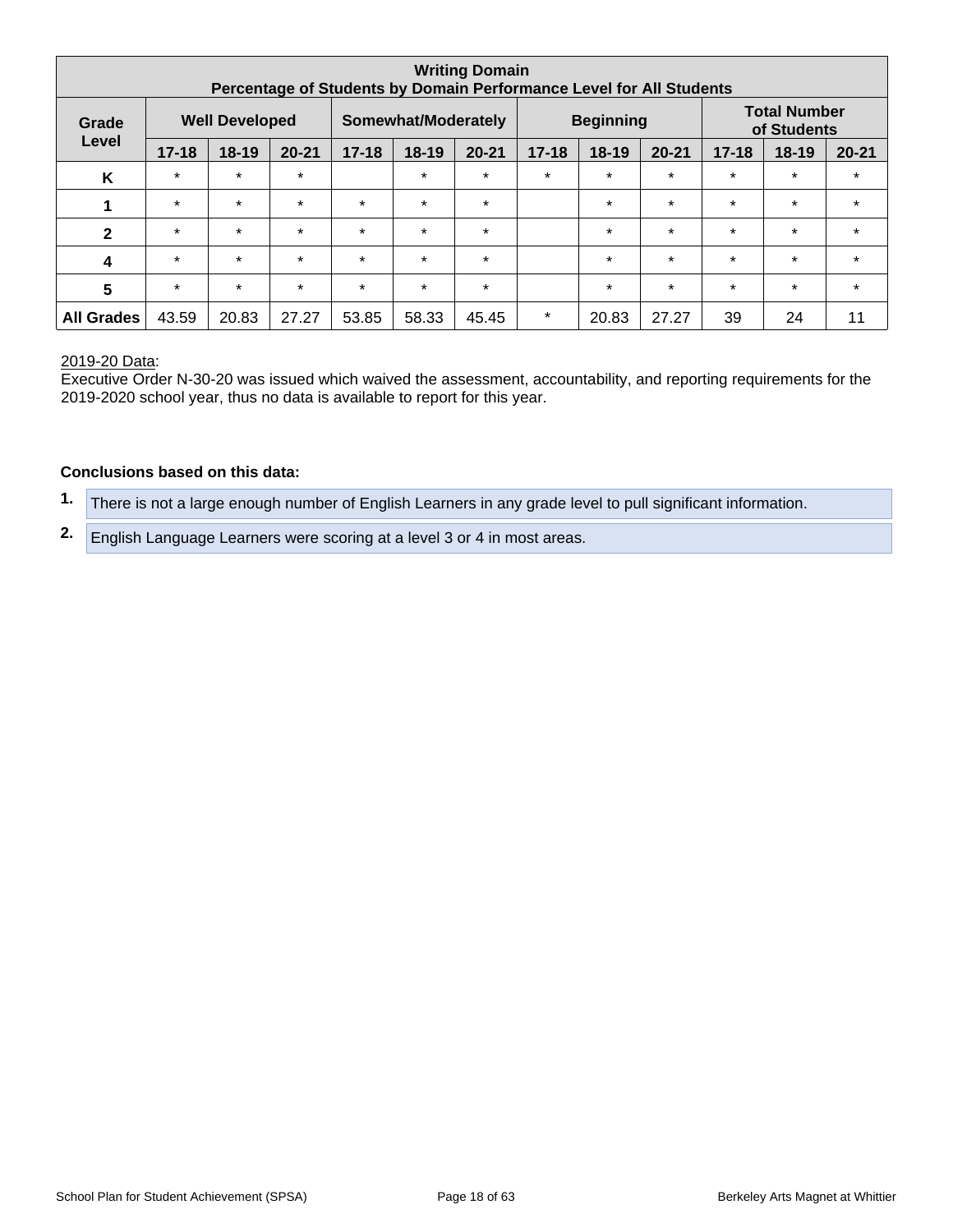| <b>Writing Domain</b><br>Percentage of Students by Domain Performance Level for All Students |           |                       |           |           |                     |           |           |                  |           |           |                                    |           |
|----------------------------------------------------------------------------------------------|-----------|-----------------------|-----------|-----------|---------------------|-----------|-----------|------------------|-----------|-----------|------------------------------------|-----------|
| Grade                                                                                        |           | <b>Well Developed</b> |           |           | Somewhat/Moderately |           |           | <b>Beginning</b> |           |           | <b>Total Number</b><br>of Students |           |
| Level                                                                                        | $17 - 18$ | $18 - 19$             | $20 - 21$ | $17 - 18$ | $18 - 19$           | $20 - 21$ | $17 - 18$ | $18-19$          | $20 - 21$ | $17 - 18$ | $18 - 19$                          | $20 - 21$ |
| K                                                                                            | $\star$   | $\star$               | $\star$   |           | $\star$             | $\star$   | $\star$   | $\star$          | $\star$   | $\star$   | $\star$                            | $\star$   |
| 1                                                                                            | $\star$   | $\star$               | $\star$   | $\star$   | $\star$             | $\star$   |           | $\star$          | $\star$   | $\star$   | $\star$                            | $\star$   |
| $\mathbf{2}$                                                                                 | $\star$   | $\star$               | $\star$   | $\star$   | $\star$             | $\star$   |           | $\star$          | $\star$   | $\star$   | $\star$                            | $\star$   |
| $\boldsymbol{4}$                                                                             | $\star$   | $\star$               | $\star$   | $\star$   | $\star$             | $\star$   |           | $\star$          | $\star$   | $\star$   | $\star$                            | $\star$   |
| $5\phantom{1}$                                                                               | $\star$   | $\star$               | $\star$   | $\star$   | $\star$             | $\star$   |           | $\star$          | $\star$   | $\star$   | $\star$                            | $\star$   |
| <b>Grades</b><br>All                                                                         | 43.59     | 20.83                 | 27.27     | 53.85     | 58.33               | 45.45     | $\star$   | 20.83            | 27.27     | 39        | 24                                 | 11        |

Executive Order N-30-20 was issued which waived the assessment, accountability, and reporting requirements for the 2019-2020 school year, thus no data is available to report for this year.

#### **Conclusions based on this data:**

**1.** There is not a large enough number of English Learners in any grade level to pull significant information.

**2.** English Language Learners were scoring at a level 3 or 4 in most areas.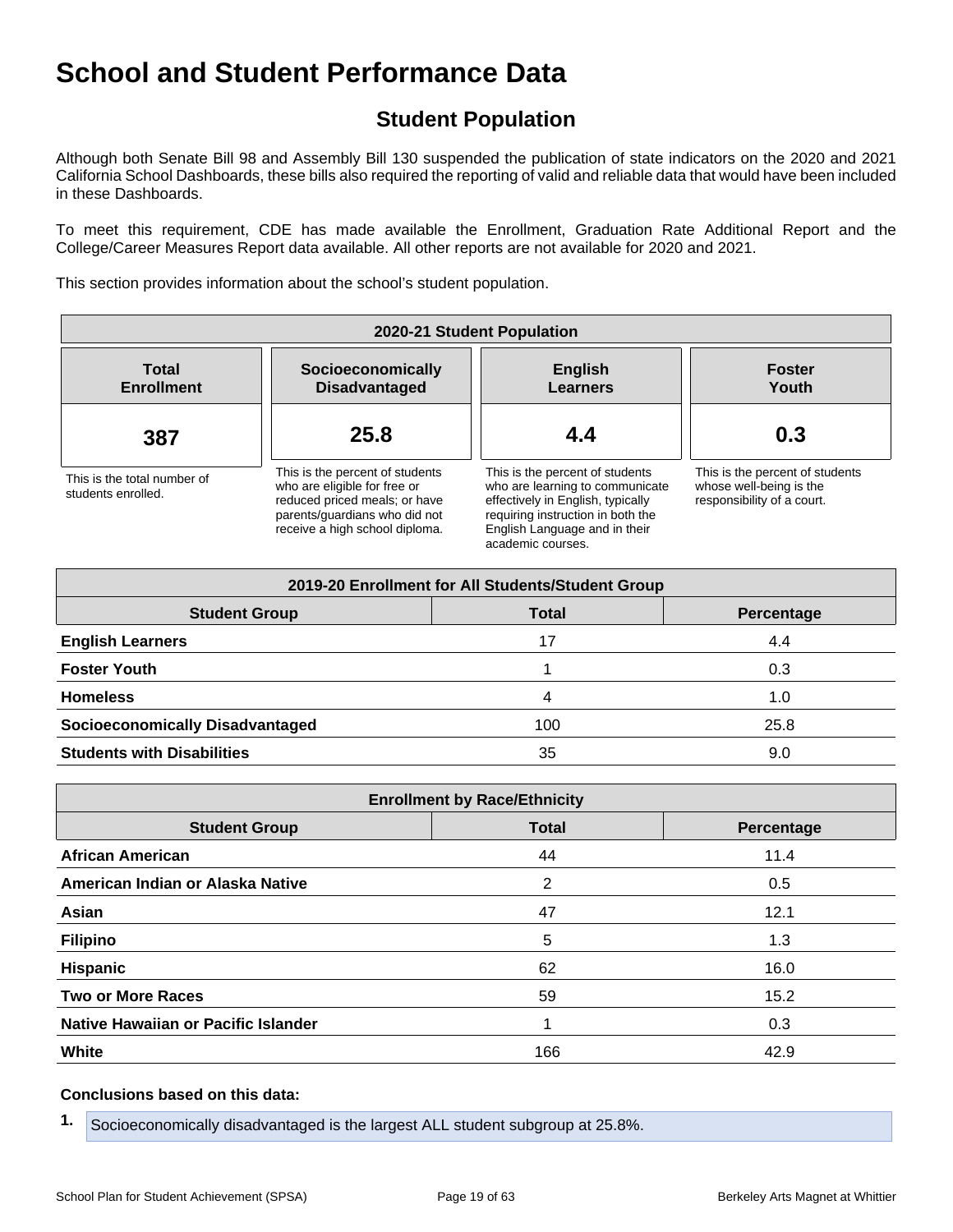## **Student Population**

Although both Senate Bill 98 and Assembly Bill 130 suspended the publication of state indicators on the 2020 and 2021 California School Dashboards, these bills also required the reporting of valid and reliable data that would have been included in these Dashboards.

To meet this requirement, CDE has made available the Enrollment, Graduation Rate Additional Report and the College/Career Measures Report data available. All other reports are not available for 2020 and 2021.

This section provides information about the school's student population.

| 2020-21 Student Population                        |                                                                                                                                                                     |                                                                                                                                                                                                    |                                                                                          |  |  |  |  |  |  |
|---------------------------------------------------|---------------------------------------------------------------------------------------------------------------------------------------------------------------------|----------------------------------------------------------------------------------------------------------------------------------------------------------------------------------------------------|------------------------------------------------------------------------------------------|--|--|--|--|--|--|
| <b>Total</b><br><b>Enrollment</b>                 | Socioeconomically<br><b>Disadvantaged</b>                                                                                                                           | <b>English</b><br>Learners                                                                                                                                                                         | <b>Foster</b><br>Youth                                                                   |  |  |  |  |  |  |
| 387                                               | 25.8                                                                                                                                                                | 4.4                                                                                                                                                                                                | 0.3                                                                                      |  |  |  |  |  |  |
| This is the total number of<br>students enrolled. | This is the percent of students<br>who are eligible for free or<br>reduced priced meals; or have<br>parents/quardians who did not<br>receive a high school diploma. | This is the percent of students<br>who are learning to communicate<br>effectively in English, typically<br>requiring instruction in both the<br>English Language and in their<br>academic courses. | This is the percent of students<br>whose well-being is the<br>responsibility of a court. |  |  |  |  |  |  |

| 2019-20 Enrollment for All Students/Student Group |              |            |  |  |  |  |  |  |  |
|---------------------------------------------------|--------------|------------|--|--|--|--|--|--|--|
| <b>Student Group</b>                              | <b>Total</b> | Percentage |  |  |  |  |  |  |  |
| <b>English Learners</b>                           | 17           | 4.4        |  |  |  |  |  |  |  |
| <b>Foster Youth</b>                               |              | 0.3        |  |  |  |  |  |  |  |
| <b>Homeless</b>                                   | 4            | 1.0        |  |  |  |  |  |  |  |
| <b>Socioeconomically Disadvantaged</b>            | 100          | 25.8       |  |  |  |  |  |  |  |
| <b>Students with Disabilities</b>                 | 35           | 9.0        |  |  |  |  |  |  |  |

| <b>Enrollment by Race/Ethnicity</b>                |     |      |  |  |  |
|----------------------------------------------------|-----|------|--|--|--|
| <b>Student Group</b><br><b>Total</b><br>Percentage |     |      |  |  |  |
| <b>African American</b>                            | 44  | 11.4 |  |  |  |
| American Indian or Alaska Native                   | 2   | 0.5  |  |  |  |
| Asian                                              | 47  | 12.1 |  |  |  |
| <b>Filipino</b>                                    | 5   | 1.3  |  |  |  |
| <b>Hispanic</b>                                    | 62  | 16.0 |  |  |  |
| <b>Two or More Races</b>                           | 59  | 15.2 |  |  |  |
| Native Hawaiian or Pacific Islander                |     | 0.3  |  |  |  |
| White                                              | 166 | 42.9 |  |  |  |

#### **Conclusions based on this data:**

**1.** Socioeconomically disadvantaged is the largest ALL student subgroup at 25.8%.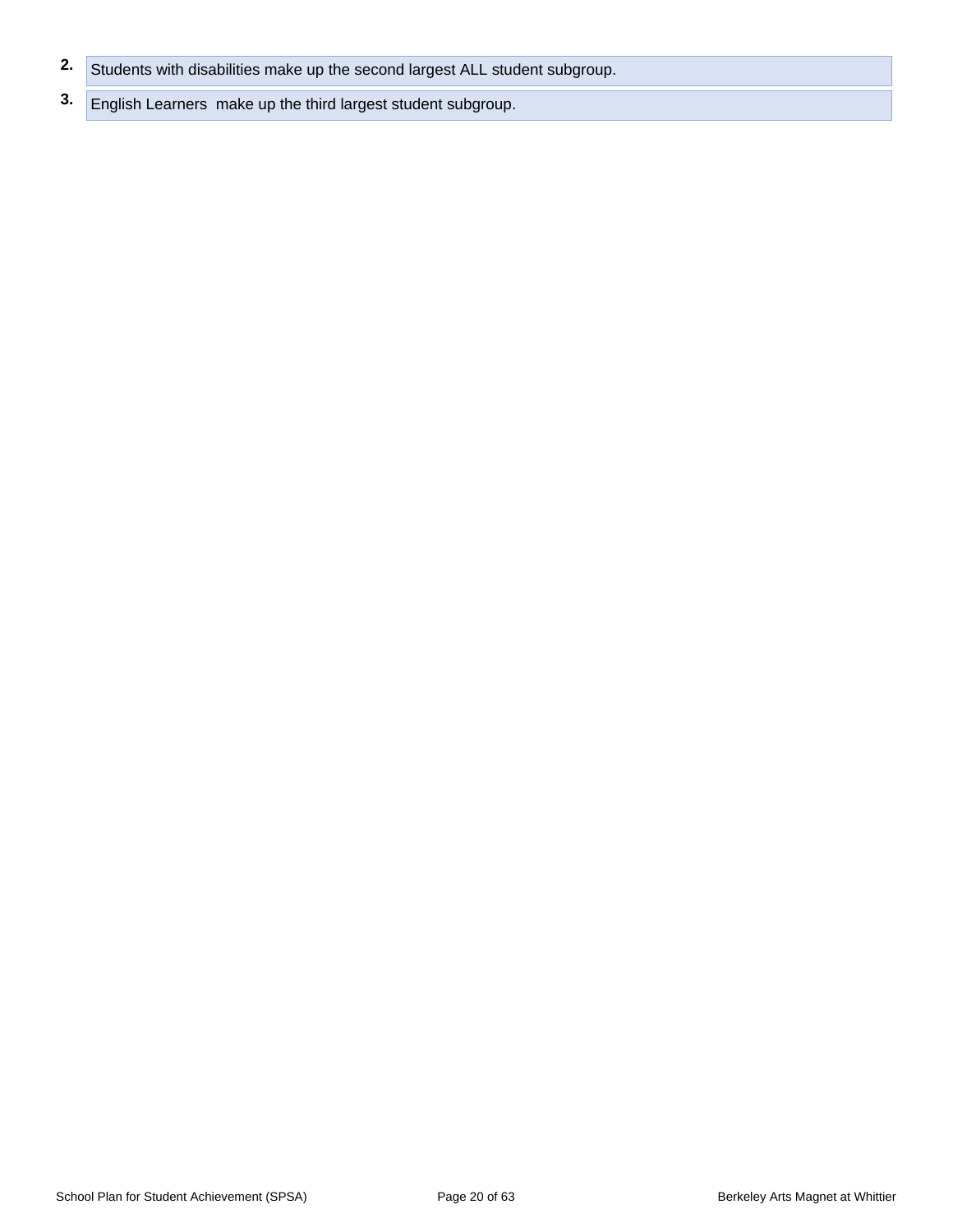- **2.** Students with disabilities make up the second largest ALL student subgroup.
- **3.** English Learners make up the third largest student subgroup.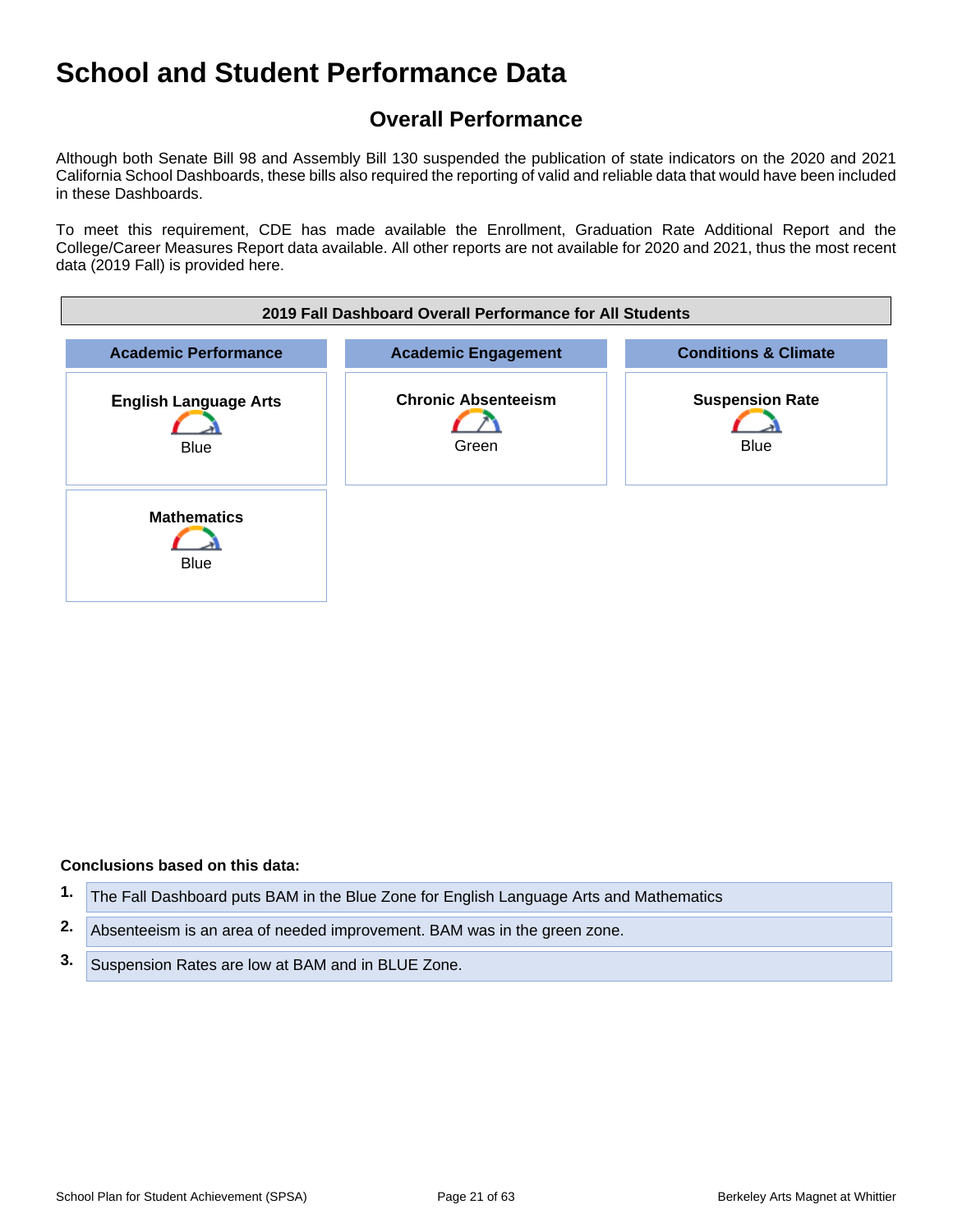## **Overall Performance**

Although both Senate Bill 98 and Assembly Bill 130 suspended the publication of state indicators on the 2020 and 2021 California School Dashboards, these bills also required the reporting of valid and reliable data that would have been included in these Dashboards.

To meet this requirement, CDE has made available the Enrollment, Graduation Rate Additional Report and the College/Career Measures Report data available. All other reports are not available for 2020 and 2021, thus the most recent data (2019 Fall) is provided here.



#### **Conclusions based on this data:**

- **1.** The Fall Dashboard puts BAM in the Blue Zone for English Language Arts and Mathematics
- **2.** Absenteeism is an area of needed improvement. BAM was in the green zone.
- **3.** Suspension Rates are low at BAM and in BLUE Zone.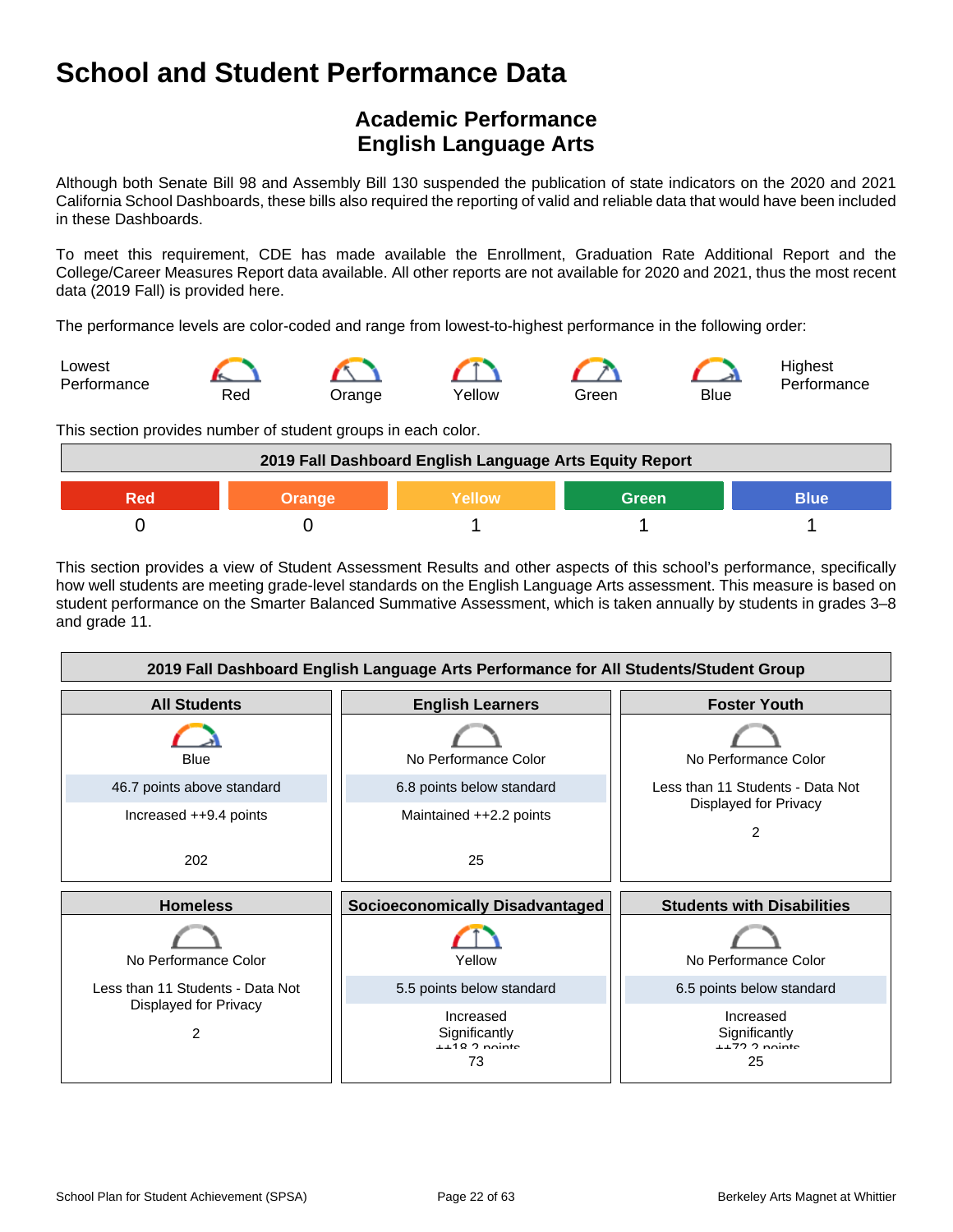## **Academic Performance English Language Arts**

Although both Senate Bill 98 and Assembly Bill 130 suspended the publication of state indicators on the 2020 and 2021 California School Dashboards, these bills also required the reporting of valid and reliable data that would have been included in these Dashboards.

To meet this requirement, CDE has made available the Enrollment, Graduation Rate Additional Report and the College/Career Measures Report data available. All other reports are not available for 2020 and 2021, thus the most recent data (2019 Fall) is provided here.

The performance levels are color-coded and range from lowest-to-highest performance in the following order:



This section provides number of student groups in each color.



This section provides a view of Student Assessment Results and other aspects of this school's performance, specifically how well students are meeting grade-level standards on the English Language Arts assessment. This measure is based on student performance on the Smarter Balanced Summative Assessment, which is taken annually by students in grades 3–8 and grade 11.

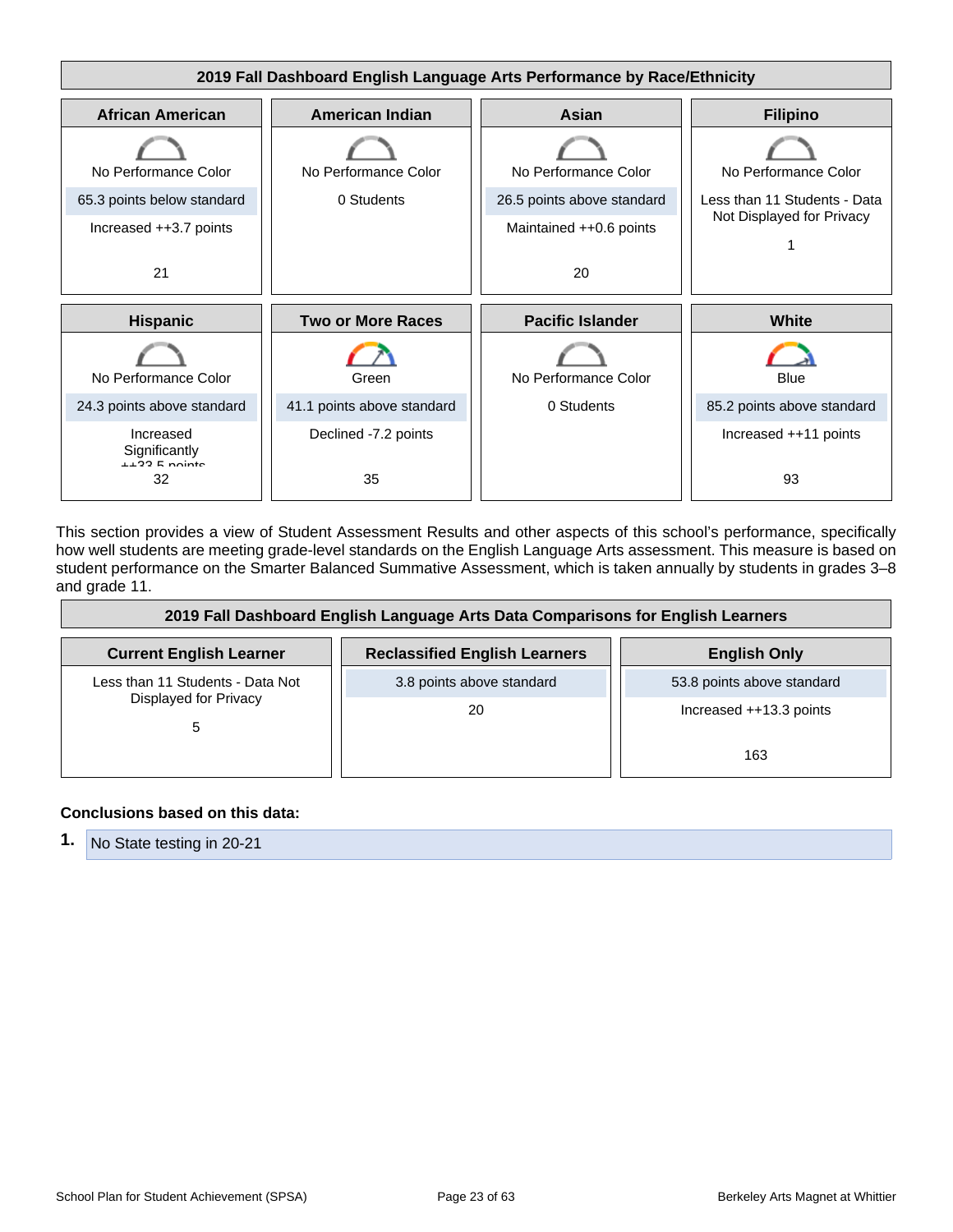

This section provides a view of Student Assessment Results and other aspects of this school's performance, specifically how well students are meeting grade-level standards on the English Language Arts assessment. This measure is based on student performance on the Smarter Balanced Summative Assessment, which is taken annually by students in grades 3–8 and grade 11.

| 2019 Fall Dashboard English Language Arts Data Comparisons for English Learners |                                      |                            |  |
|---------------------------------------------------------------------------------|--------------------------------------|----------------------------|--|
| <b>Current English Learner</b>                                                  | <b>Reclassified English Learners</b> | <b>English Only</b>        |  |
| Less than 11 Students - Data Not<br>Displayed for Privacy<br>5                  | 3.8 points above standard            | 53.8 points above standard |  |
|                                                                                 | 20                                   | Increased ++13.3 points    |  |
|                                                                                 |                                      | 163                        |  |

#### **Conclusions based on this data:**

|  | 1. No State testing in 20-21 |
|--|------------------------------|
|--|------------------------------|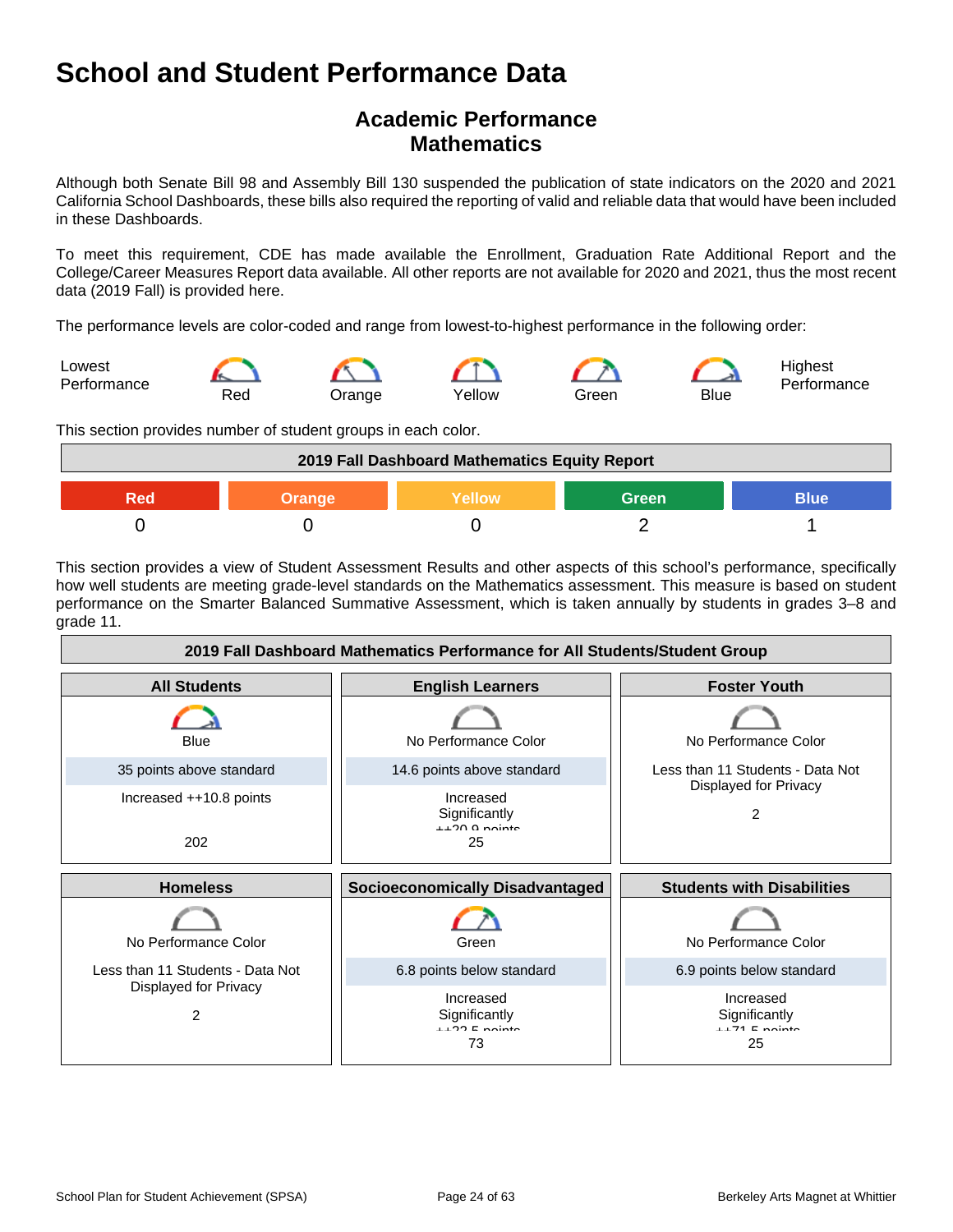## **Academic Performance Mathematics**

Although both Senate Bill 98 and Assembly Bill 130 suspended the publication of state indicators on the 2020 and 2021 California School Dashboards, these bills also required the reporting of valid and reliable data that would have been included in these Dashboards.

To meet this requirement, CDE has made available the Enrollment, Graduation Rate Additional Report and the College/Career Measures Report data available. All other reports are not available for 2020 and 2021, thus the most recent data (2019 Fall) is provided here.

The performance levels are color-coded and range from lowest-to-highest performance in the following order:



This section provides number of student groups in each color.



This section provides a view of Student Assessment Results and other aspects of this school's performance, specifically how well students are meeting grade-level standards on the Mathematics assessment. This measure is based on student performance on the Smarter Balanced Summative Assessment, which is taken annually by students in grades 3–8 and grade 11.

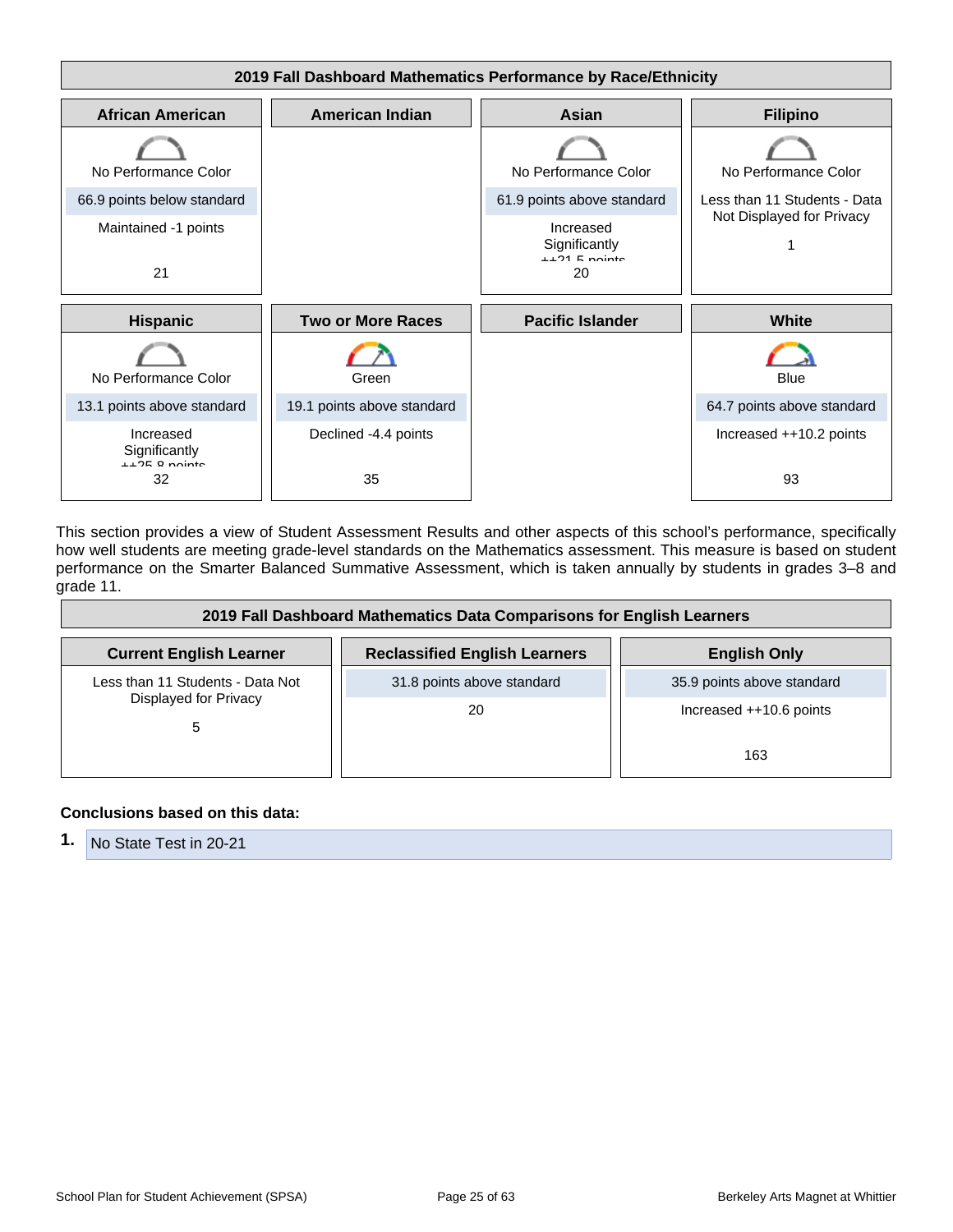

This section provides a view of Student Assessment Results and other aspects of this school's performance, specifically how well students are meeting grade-level standards on the Mathematics assessment. This measure is based on student performance on the Smarter Balanced Summative Assessment, which is taken annually by students in grades 3–8 and grade 11.

| 2019 Fall Dashboard Mathematics Data Comparisons for English Learners |                                      |                            |  |
|-----------------------------------------------------------------------|--------------------------------------|----------------------------|--|
| <b>Current English Learner</b>                                        | <b>Reclassified English Learners</b> | <b>English Only</b>        |  |
| Less than 11 Students - Data Not<br>Displayed for Privacy<br>5        | 31.8 points above standard           | 35.9 points above standard |  |
|                                                                       | 20                                   | Increased ++10.6 points    |  |
|                                                                       |                                      | 163                        |  |

#### **Conclusions based on this data:**

**1.** No State Test in 20-21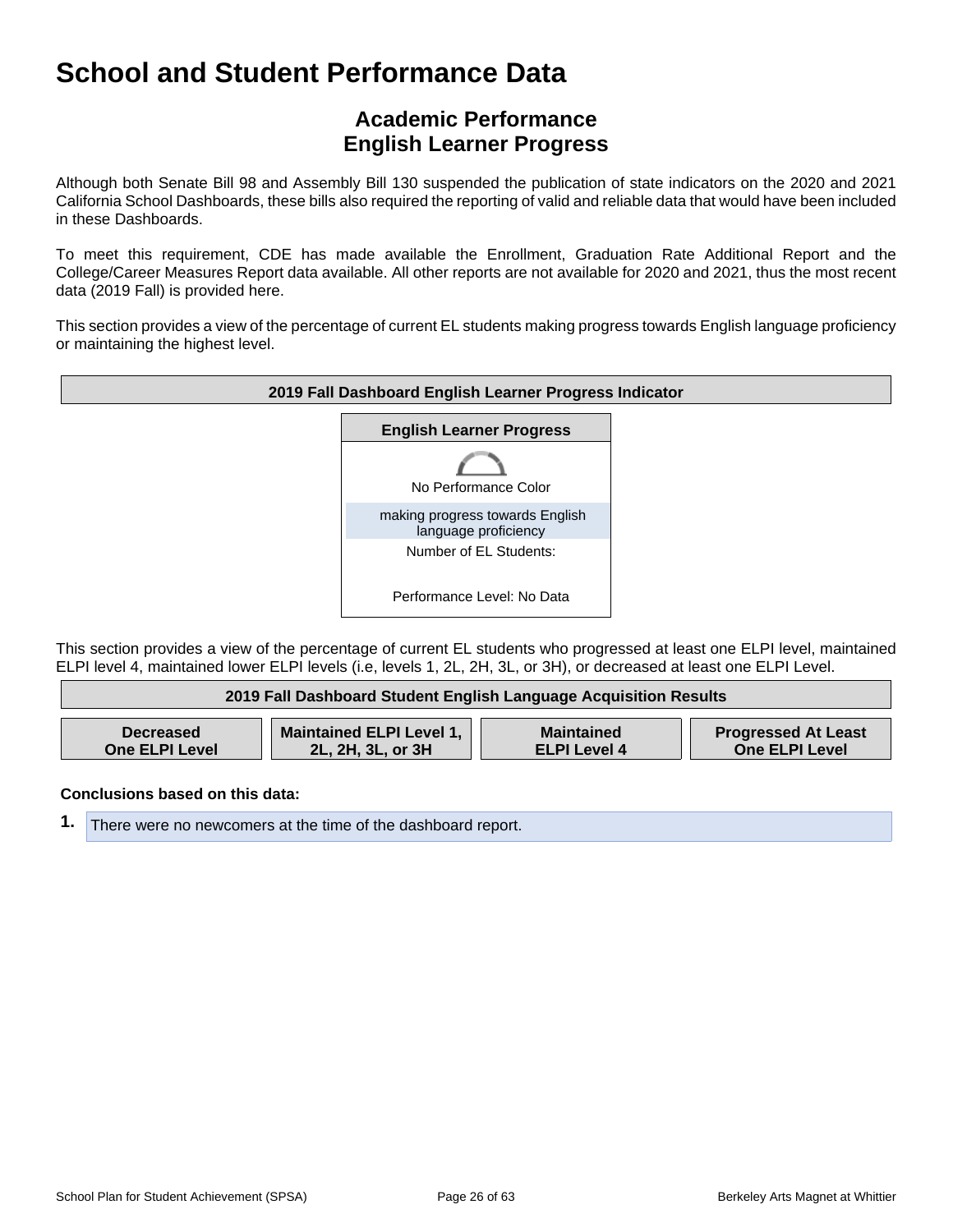## **Academic Performance English Learner Progress**

Although both Senate Bill 98 and Assembly Bill 130 suspended the publication of state indicators on the 2020 and 2021 California School Dashboards, these bills also required the reporting of valid and reliable data that would have been included in these Dashboards.

To meet this requirement, CDE has made available the Enrollment, Graduation Rate Additional Report and the College/Career Measures Report data available. All other reports are not available for 2020 and 2021, thus the most recent data (2019 Fall) is provided here.

This section provides a view of the percentage of current EL students making progress towards English language proficiency or maintaining the highest level.



This section provides a view of the percentage of current EL students who progressed at least one ELPI level, maintained ELPI level 4, maintained lower ELPI levels (i.e, levels 1, 2L, 2H, 3L, or 3H), or decreased at least one ELPI Level.

| 2019 Fall Dashboard Student English Language Acquisition Results |                                 |                     |                            |
|------------------------------------------------------------------|---------------------------------|---------------------|----------------------------|
| <b>Decreased</b>                                                 | <b>Maintained ELPI Level 1,</b> | <b>Maintained</b>   | <b>Progressed At Least</b> |
| <b>One ELPI Level</b>                                            | 2L, 2H, 3L, or 3H               | <b>ELPI Level 4</b> | <b>One ELPI Level</b>      |

**Conclusions based on this data:**

**1.** There were no newcomers at the time of the dashboard report.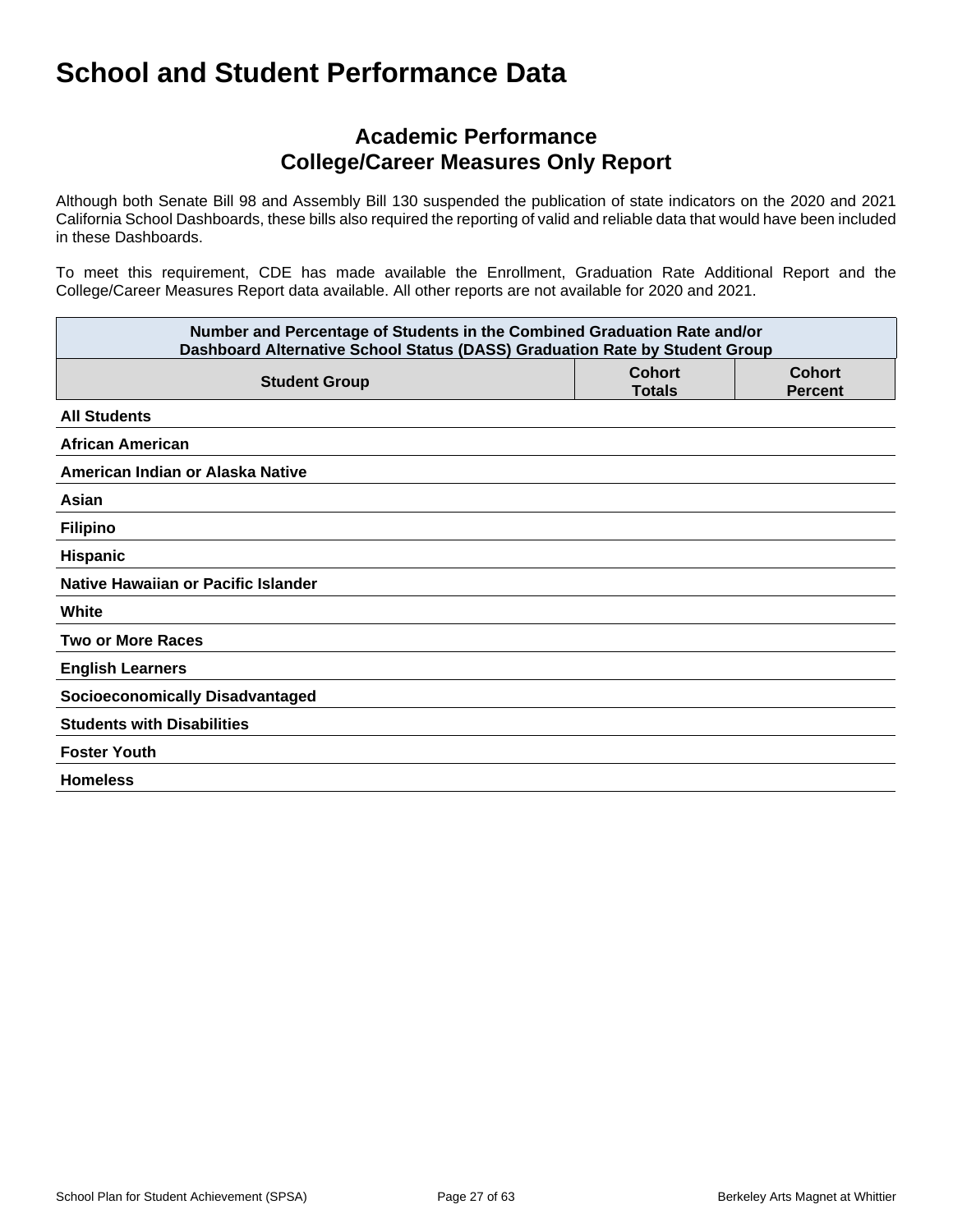## **Academic Performance College/Career Measures Only Report**

Although both Senate Bill 98 and Assembly Bill 130 suspended the publication of state indicators on the 2020 and 2021 California School Dashboards, these bills also required the reporting of valid and reliable data that would have been included in these Dashboards.

To meet this requirement, CDE has made available the Enrollment, Graduation Rate Additional Report and the College/Career Measures Report data available. All other reports are not available for 2020 and 2021.

| Number and Percentage of Students in the Combined Graduation Rate and/or<br>Dashboard Alternative School Status (DASS) Graduation Rate by Student Group |                                |                                 |  |
|---------------------------------------------------------------------------------------------------------------------------------------------------------|--------------------------------|---------------------------------|--|
| <b>Student Group</b>                                                                                                                                    | <b>Cohort</b><br><b>Totals</b> | <b>Cohort</b><br><b>Percent</b> |  |
| <b>All Students</b>                                                                                                                                     |                                |                                 |  |
| <b>African American</b>                                                                                                                                 |                                |                                 |  |
| American Indian or Alaska Native                                                                                                                        |                                |                                 |  |
| Asian                                                                                                                                                   |                                |                                 |  |
| <b>Filipino</b>                                                                                                                                         |                                |                                 |  |
| Hispanic                                                                                                                                                |                                |                                 |  |
| Native Hawaiian or Pacific Islander                                                                                                                     |                                |                                 |  |
| White                                                                                                                                                   |                                |                                 |  |
| <b>Two or More Races</b>                                                                                                                                |                                |                                 |  |
| <b>English Learners</b>                                                                                                                                 |                                |                                 |  |
| <b>Socioeconomically Disadvantaged</b>                                                                                                                  |                                |                                 |  |
| <b>Students with Disabilities</b>                                                                                                                       |                                |                                 |  |
| <b>Foster Youth</b>                                                                                                                                     |                                |                                 |  |
| <b>Homeless</b>                                                                                                                                         |                                |                                 |  |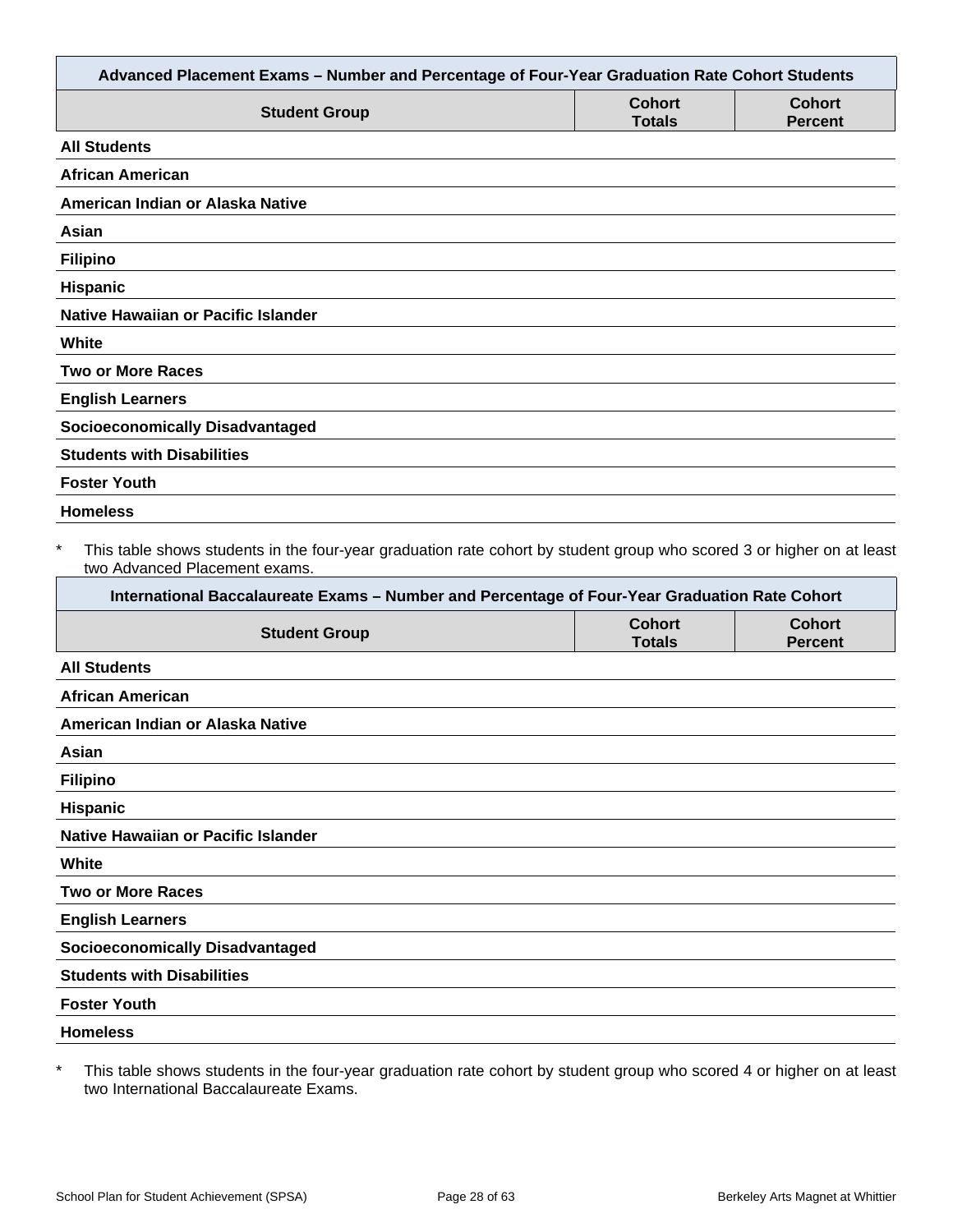| Advanced Placement Exams - Number and Percentage of Four-Year Graduation Rate Cohort Students                                                                                                                                                                     |                                |                                 |
|-------------------------------------------------------------------------------------------------------------------------------------------------------------------------------------------------------------------------------------------------------------------|--------------------------------|---------------------------------|
| <b>Student Group</b>                                                                                                                                                                                                                                              | <b>Cohort</b><br><b>Totals</b> | <b>Cohort</b><br><b>Percent</b> |
| <b>All Students</b>                                                                                                                                                                                                                                               |                                |                                 |
| <b>African American</b>                                                                                                                                                                                                                                           |                                |                                 |
| American Indian or Alaska Native                                                                                                                                                                                                                                  |                                |                                 |
| Asian                                                                                                                                                                                                                                                             |                                |                                 |
| <b>Filipino</b>                                                                                                                                                                                                                                                   |                                |                                 |
| Hispanic                                                                                                                                                                                                                                                          |                                |                                 |
| <b>Native Hawaiian or Pacific Islander</b>                                                                                                                                                                                                                        |                                |                                 |
| White                                                                                                                                                                                                                                                             |                                |                                 |
| <b>Two or More Races</b>                                                                                                                                                                                                                                          |                                |                                 |
| <b>English Learners</b>                                                                                                                                                                                                                                           |                                |                                 |
| <b>Socioeconomically Disadvantaged</b>                                                                                                                                                                                                                            |                                |                                 |
| <b>Students with Disabilities</b>                                                                                                                                                                                                                                 |                                |                                 |
| <b>Foster Youth</b>                                                                                                                                                                                                                                               |                                |                                 |
| <b>Homeless</b>                                                                                                                                                                                                                                                   |                                |                                 |
| $\ast$<br>This table shows students in the four-year graduation rate cohort by student group who scored 3 or higher on at least<br>two Advanced Placement exams.<br>International Baccalaureate Exams - Number and Percentage of Four-Year Graduation Rate Cohort |                                |                                 |
| <b>Student Group</b>                                                                                                                                                                                                                                              | <b>Cohort</b><br><b>Totals</b> | <b>Cohort</b><br><b>Percent</b> |
| <b>All Students</b>                                                                                                                                                                                                                                               |                                |                                 |
| <b>African American</b>                                                                                                                                                                                                                                           |                                |                                 |
| American Indian or Alaska Native                                                                                                                                                                                                                                  |                                |                                 |
| Asian                                                                                                                                                                                                                                                             |                                |                                 |
| <b>Filipino</b>                                                                                                                                                                                                                                                   |                                |                                 |
| Hispanic                                                                                                                                                                                                                                                          |                                |                                 |
| Native Hawaiian or Pacific Islander                                                                                                                                                                                                                               |                                |                                 |
| White                                                                                                                                                                                                                                                             |                                |                                 |
| <b>Two or More Races</b>                                                                                                                                                                                                                                          |                                |                                 |
| <b>English Learners</b>                                                                                                                                                                                                                                           |                                |                                 |
| <b>Socioeconomically Disadvantaged</b>                                                                                                                                                                                                                            |                                |                                 |
| <b>Students with Disabilities</b>                                                                                                                                                                                                                                 |                                |                                 |
| <b>Foster Youth</b>                                                                                                                                                                                                                                               |                                |                                 |
| <b>Homeless</b>                                                                                                                                                                                                                                                   |                                |                                 |
|                                                                                                                                                                                                                                                                   |                                |                                 |

\* This table shows students in the four-year graduation rate cohort by student group who scored 4 or higher on at least two International Baccalaureate Exams.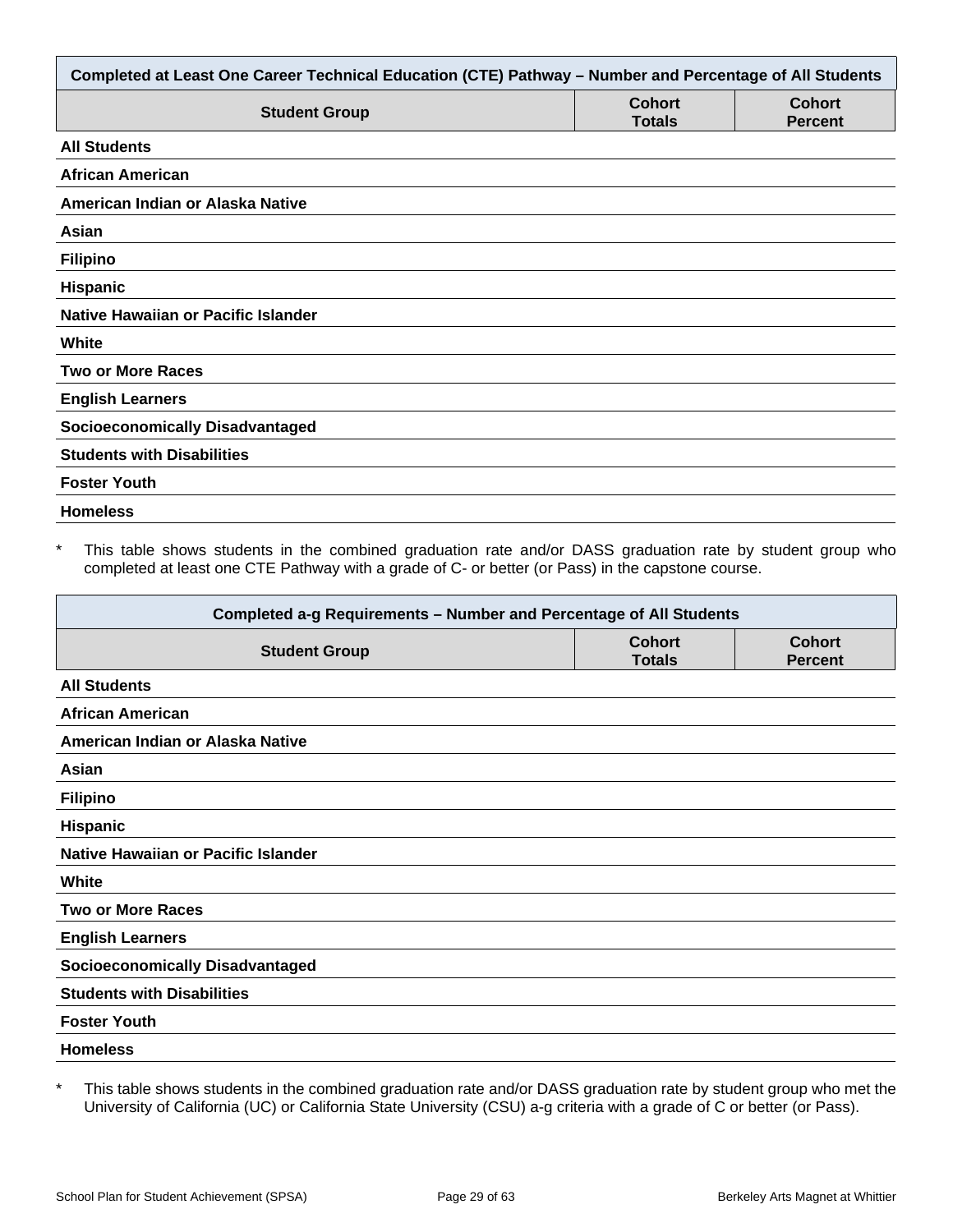| Completed at Least One Career Technical Education (CTE) Pathway - Number and Percentage of All Students |                                |                                 |  |
|---------------------------------------------------------------------------------------------------------|--------------------------------|---------------------------------|--|
| <b>Student Group</b>                                                                                    | <b>Cohort</b><br><b>Totals</b> | <b>Cohort</b><br><b>Percent</b> |  |
| <b>All Students</b>                                                                                     |                                |                                 |  |
| <b>African American</b>                                                                                 |                                |                                 |  |
| American Indian or Alaska Native                                                                        |                                |                                 |  |
| Asian                                                                                                   |                                |                                 |  |
| <b>Filipino</b>                                                                                         |                                |                                 |  |
| Hispanic                                                                                                |                                |                                 |  |
| Native Hawaiian or Pacific Islander                                                                     |                                |                                 |  |
| White                                                                                                   |                                |                                 |  |
| <b>Two or More Races</b>                                                                                |                                |                                 |  |
| <b>English Learners</b>                                                                                 |                                |                                 |  |
| <b>Socioeconomically Disadvantaged</b>                                                                  |                                |                                 |  |
| <b>Students with Disabilities</b>                                                                       |                                |                                 |  |
| <b>Foster Youth</b>                                                                                     |                                |                                 |  |
| <b>Homeless</b>                                                                                         |                                |                                 |  |

This table shows students in the combined graduation rate and/or DASS graduation rate by student group who completed at least one CTE Pathway with a grade of C- or better (or Pass) in the capstone course.

| Completed a-g Requirements - Number and Percentage of All Students |                                |                                 |  |
|--------------------------------------------------------------------|--------------------------------|---------------------------------|--|
| <b>Student Group</b>                                               | <b>Cohort</b><br><b>Totals</b> | <b>Cohort</b><br><b>Percent</b> |  |
| <b>All Students</b>                                                |                                |                                 |  |
| <b>African American</b>                                            |                                |                                 |  |
| American Indian or Alaska Native                                   |                                |                                 |  |
| Asian                                                              |                                |                                 |  |
| <b>Filipino</b>                                                    |                                |                                 |  |
| <b>Hispanic</b>                                                    |                                |                                 |  |
| Native Hawaiian or Pacific Islander                                |                                |                                 |  |
| White                                                              |                                |                                 |  |
| <b>Two or More Races</b>                                           |                                |                                 |  |
| <b>English Learners</b>                                            |                                |                                 |  |
| <b>Socioeconomically Disadvantaged</b>                             |                                |                                 |  |
| <b>Students with Disabilities</b>                                  |                                |                                 |  |
| <b>Foster Youth</b>                                                |                                |                                 |  |
| <b>Homeless</b>                                                    |                                |                                 |  |

\* This table shows students in the combined graduation rate and/or DASS graduation rate by student group who met the University of California (UC) or California State University (CSU) a-g criteria with a grade of C or better (or Pass).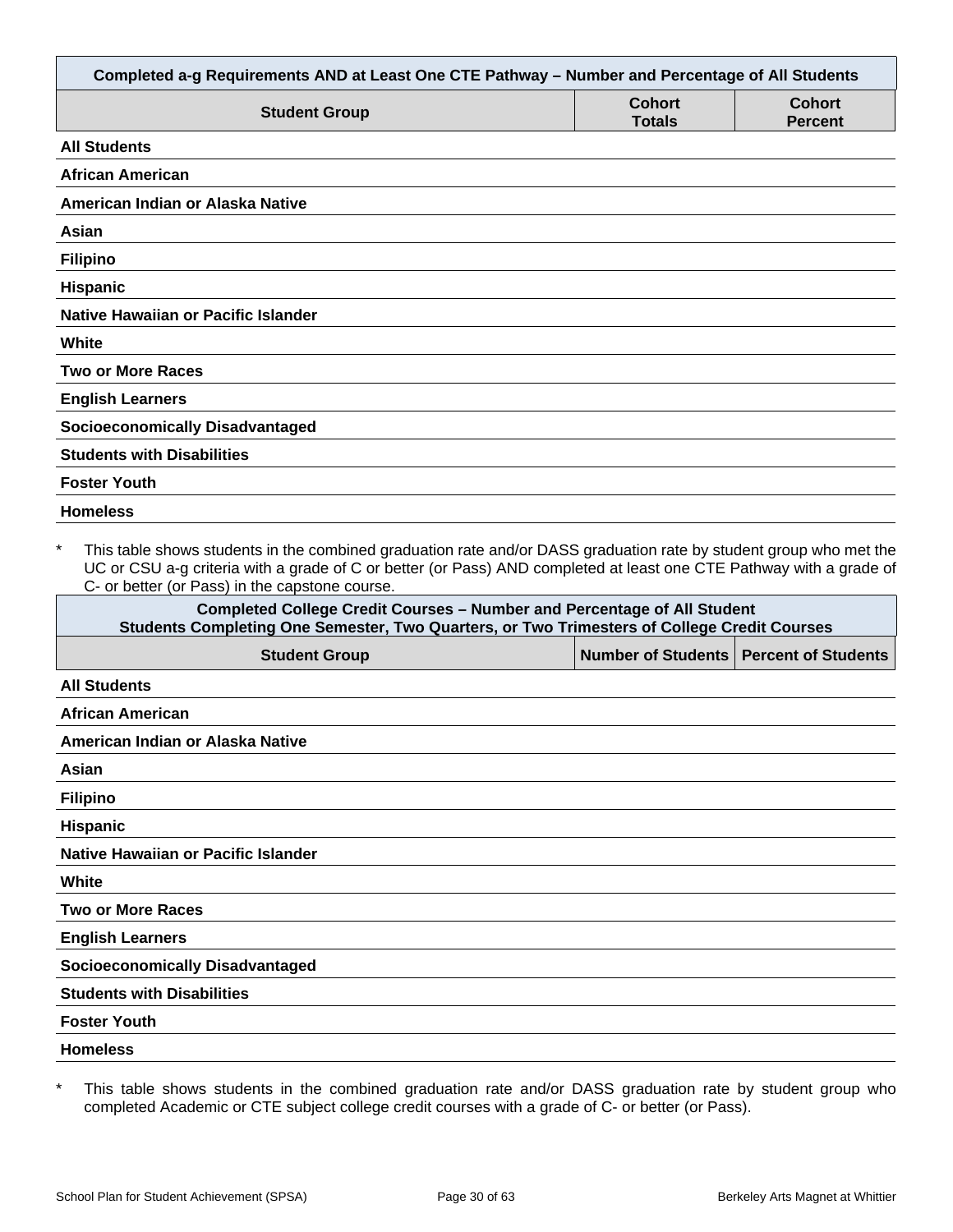| Completed a-g Requirements AND at Least One CTE Pathway - Number and Percentage of All Students                                                                                                                                                                                                        |                                |                                 |
|--------------------------------------------------------------------------------------------------------------------------------------------------------------------------------------------------------------------------------------------------------------------------------------------------------|--------------------------------|---------------------------------|
| <b>Student Group</b>                                                                                                                                                                                                                                                                                   | <b>Cohort</b><br><b>Totals</b> | <b>Cohort</b><br><b>Percent</b> |
| <b>All Students</b>                                                                                                                                                                                                                                                                                    |                                |                                 |
| <b>African American</b>                                                                                                                                                                                                                                                                                |                                |                                 |
| American Indian or Alaska Native                                                                                                                                                                                                                                                                       |                                |                                 |
| Asian                                                                                                                                                                                                                                                                                                  |                                |                                 |
| <b>Filipino</b>                                                                                                                                                                                                                                                                                        |                                |                                 |
| <b>Hispanic</b>                                                                                                                                                                                                                                                                                        |                                |                                 |
| Native Hawaiian or Pacific Islander                                                                                                                                                                                                                                                                    |                                |                                 |
| White                                                                                                                                                                                                                                                                                                  |                                |                                 |
| <b>Two or More Races</b>                                                                                                                                                                                                                                                                               |                                |                                 |
| <b>English Learners</b>                                                                                                                                                                                                                                                                                |                                |                                 |
| <b>Socioeconomically Disadvantaged</b>                                                                                                                                                                                                                                                                 |                                |                                 |
| <b>Students with Disabilities</b>                                                                                                                                                                                                                                                                      |                                |                                 |
| <b>Foster Youth</b>                                                                                                                                                                                                                                                                                    |                                |                                 |
| <b>Homeless</b>                                                                                                                                                                                                                                                                                        |                                |                                 |
| $\star$<br>This table shows students in the combined graduation rate and/or DASS graduation rate by student group who met the<br>UC or CSU a-g criteria with a grade of C or better (or Pass) AND completed at least one CTE Pathway with a grade of<br>C- or better (or Pass) in the capstone course. |                                |                                 |
| <b>Completed College Credit Courses - Number and Percentage of All Student</b><br>Students Completing One Semester, Two Quarters, or Two Trimesters of College Credit Courses                                                                                                                          |                                |                                 |
| <b>Student Group</b>                                                                                                                                                                                                                                                                                   | <b>Number of Students</b>      | <b>Percent of Students</b>      |
| <b>All Students</b>                                                                                                                                                                                                                                                                                    |                                |                                 |
| African American                                                                                                                                                                                                                                                                                       |                                |                                 |
| American Indian or Alaska Native                                                                                                                                                                                                                                                                       |                                |                                 |
| Asian                                                                                                                                                                                                                                                                                                  |                                |                                 |

|  | Filipino |  |
|--|----------|--|
|  |          |  |

**Hispanic**

**Native Hawaiian or Pacific Islander**

**White**

**Two or More Races**

**English Learners**

**Socioeconomically Disadvantaged**

**Students with Disabilities**

**Foster Youth**

**Homeless**

\* This table shows students in the combined graduation rate and/or DASS graduation rate by student group who completed Academic or CTE subject college credit courses with a grade of C- or better (or Pass).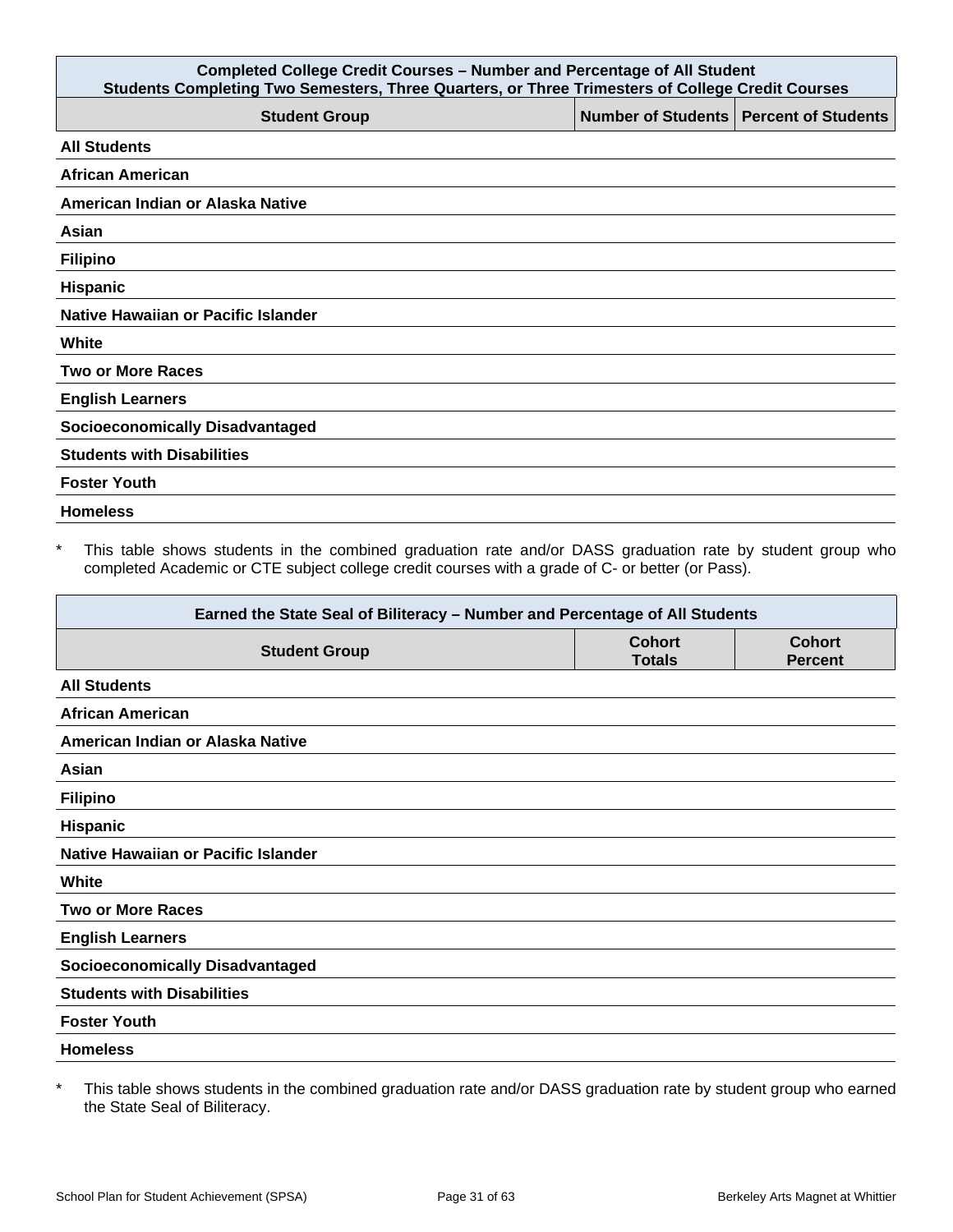| <b>Completed College Credit Courses - Number and Percentage of All Student</b><br>Students Completing Two Semesters, Three Quarters, or Three Trimesters of College Credit Courses |  |                                          |  |
|------------------------------------------------------------------------------------------------------------------------------------------------------------------------------------|--|------------------------------------------|--|
| <b>Student Group</b>                                                                                                                                                               |  | Number of Students   Percent of Students |  |
| <b>All Students</b>                                                                                                                                                                |  |                                          |  |
| <b>African American</b>                                                                                                                                                            |  |                                          |  |
| American Indian or Alaska Native                                                                                                                                                   |  |                                          |  |
| Asian                                                                                                                                                                              |  |                                          |  |
| <b>Filipino</b>                                                                                                                                                                    |  |                                          |  |
| Hispanic                                                                                                                                                                           |  |                                          |  |
| Native Hawaiian or Pacific Islander                                                                                                                                                |  |                                          |  |
| White                                                                                                                                                                              |  |                                          |  |
| <b>Two or More Races</b>                                                                                                                                                           |  |                                          |  |
| <b>English Learners</b>                                                                                                                                                            |  |                                          |  |
| <b>Socioeconomically Disadvantaged</b>                                                                                                                                             |  |                                          |  |
| <b>Students with Disabilities</b>                                                                                                                                                  |  |                                          |  |
| <b>Foster Youth</b>                                                                                                                                                                |  |                                          |  |
| <b>Homeless</b>                                                                                                                                                                    |  |                                          |  |

\* This table shows students in the combined graduation rate and/or DASS graduation rate by student group who completed Academic or CTE subject college credit courses with a grade of C- or better (or Pass).

| Earned the State Seal of Biliteracy - Number and Percentage of All Students |                                |                                 |
|-----------------------------------------------------------------------------|--------------------------------|---------------------------------|
| <b>Student Group</b>                                                        | <b>Cohort</b><br><b>Totals</b> | <b>Cohort</b><br><b>Percent</b> |
| <b>All Students</b>                                                         |                                |                                 |
| <b>African American</b>                                                     |                                |                                 |
| American Indian or Alaska Native                                            |                                |                                 |
| Asian                                                                       |                                |                                 |
| <b>Filipino</b>                                                             |                                |                                 |
| Hispanic                                                                    |                                |                                 |
| Native Hawaiian or Pacific Islander                                         |                                |                                 |
| White                                                                       |                                |                                 |
| <b>Two or More Races</b>                                                    |                                |                                 |
| <b>English Learners</b>                                                     |                                |                                 |
| <b>Socioeconomically Disadvantaged</b>                                      |                                |                                 |
| <b>Students with Disabilities</b>                                           |                                |                                 |
| <b>Foster Youth</b>                                                         |                                |                                 |
| <b>Homeless</b>                                                             |                                |                                 |

\* This table shows students in the combined graduation rate and/or DASS graduation rate by student group who earned the State Seal of Biliteracy.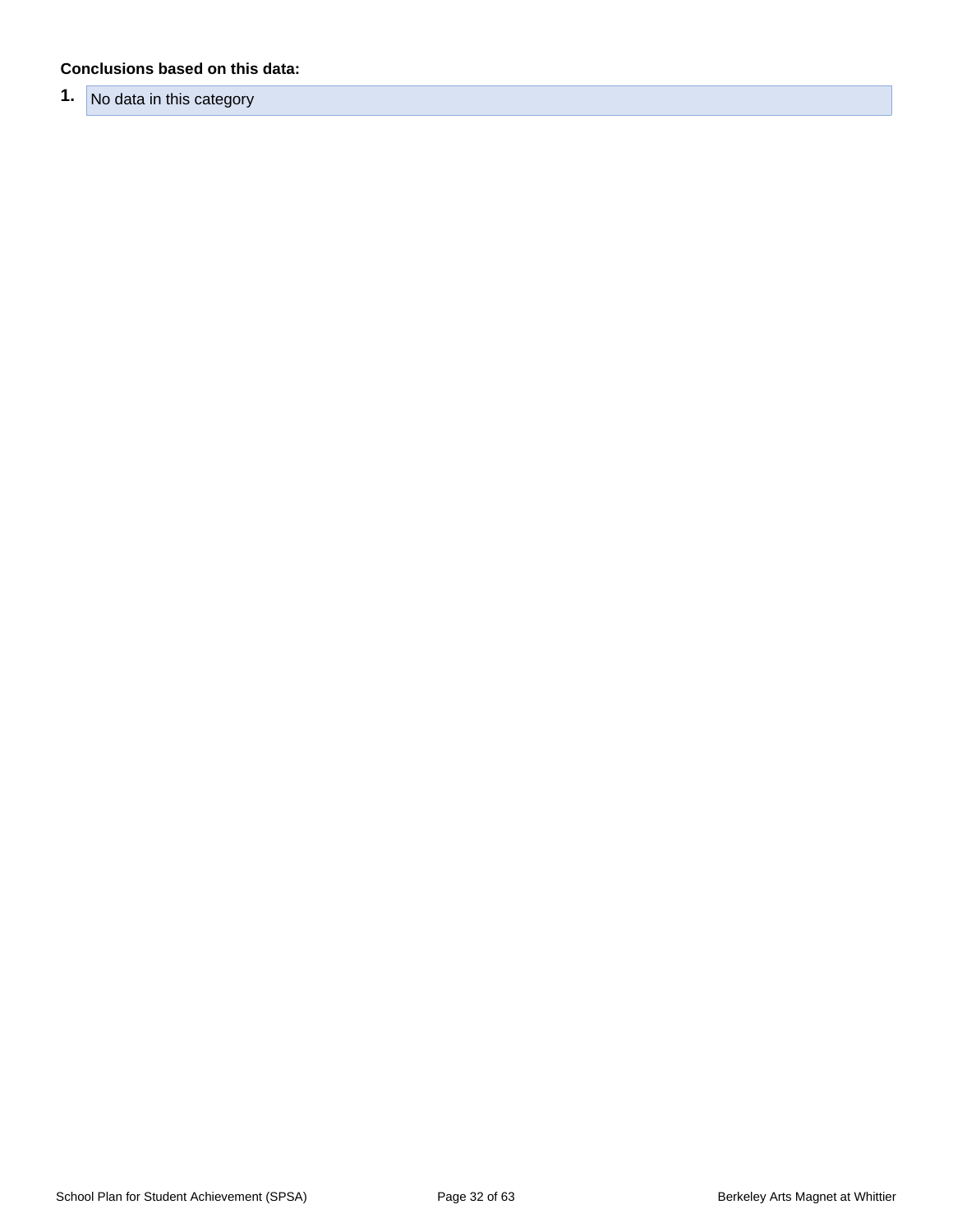#### **Conclusions based on this data:**

**1.** No data in this category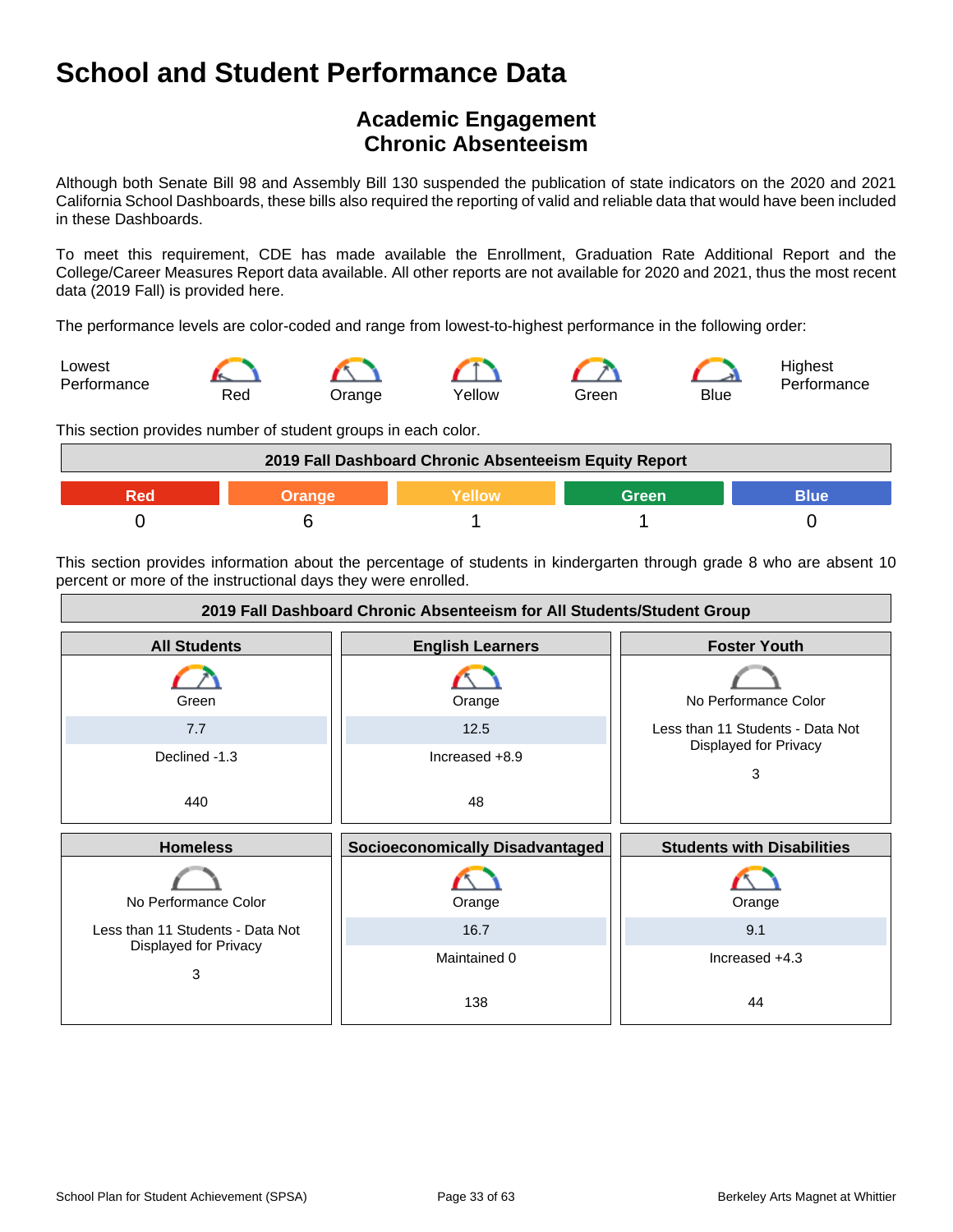## **Academic Engagement Chronic Absenteeism**

Although both Senate Bill 98 and Assembly Bill 130 suspended the publication of state indicators on the 2020 and 2021 California School Dashboards, these bills also required the reporting of valid and reliable data that would have been included in these Dashboards.

To meet this requirement, CDE has made available the Enrollment, Graduation Rate Additional Report and the College/Career Measures Report data available. All other reports are not available for 2020 and 2021, thus the most recent data (2019 Fall) is provided here.

The performance levels are color-coded and range from lowest-to-highest performance in the following order:



This section provides number of student groups in each color.



This section provides information about the percentage of students in kindergarten through grade 8 who are absent 10 percent or more of the instructional days they were enrolled.

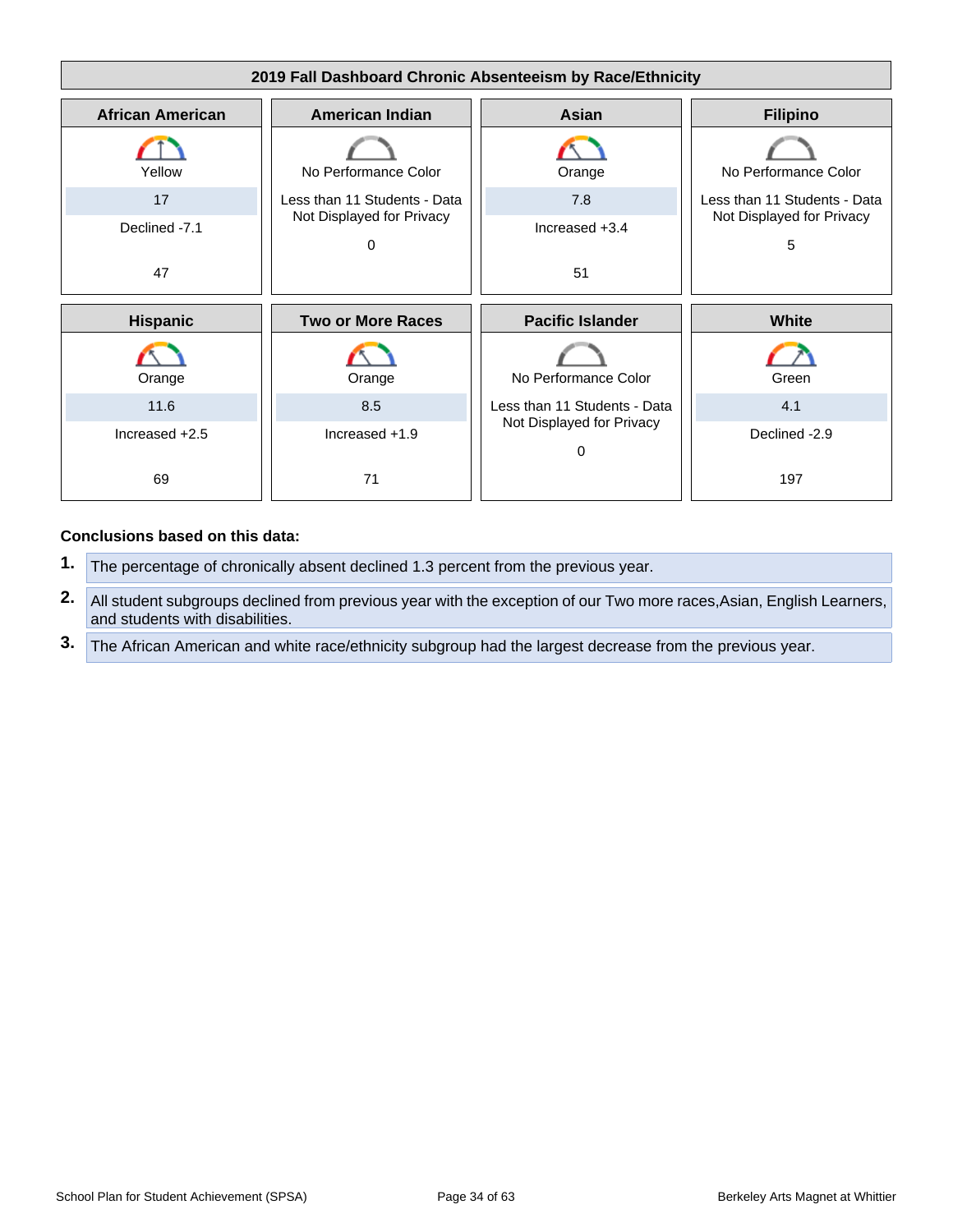

#### **Conclusions based on this data:**

- **1.** The percentage of chronically absent declined 1.3 percent from the previous year.
- **2.** All student subgroups declined from previous year with the exception of our Two more races,Asian, English Learners, and students with disabilities.
- **3.** The African American and white race/ethnicity subgroup had the largest decrease from the previous year.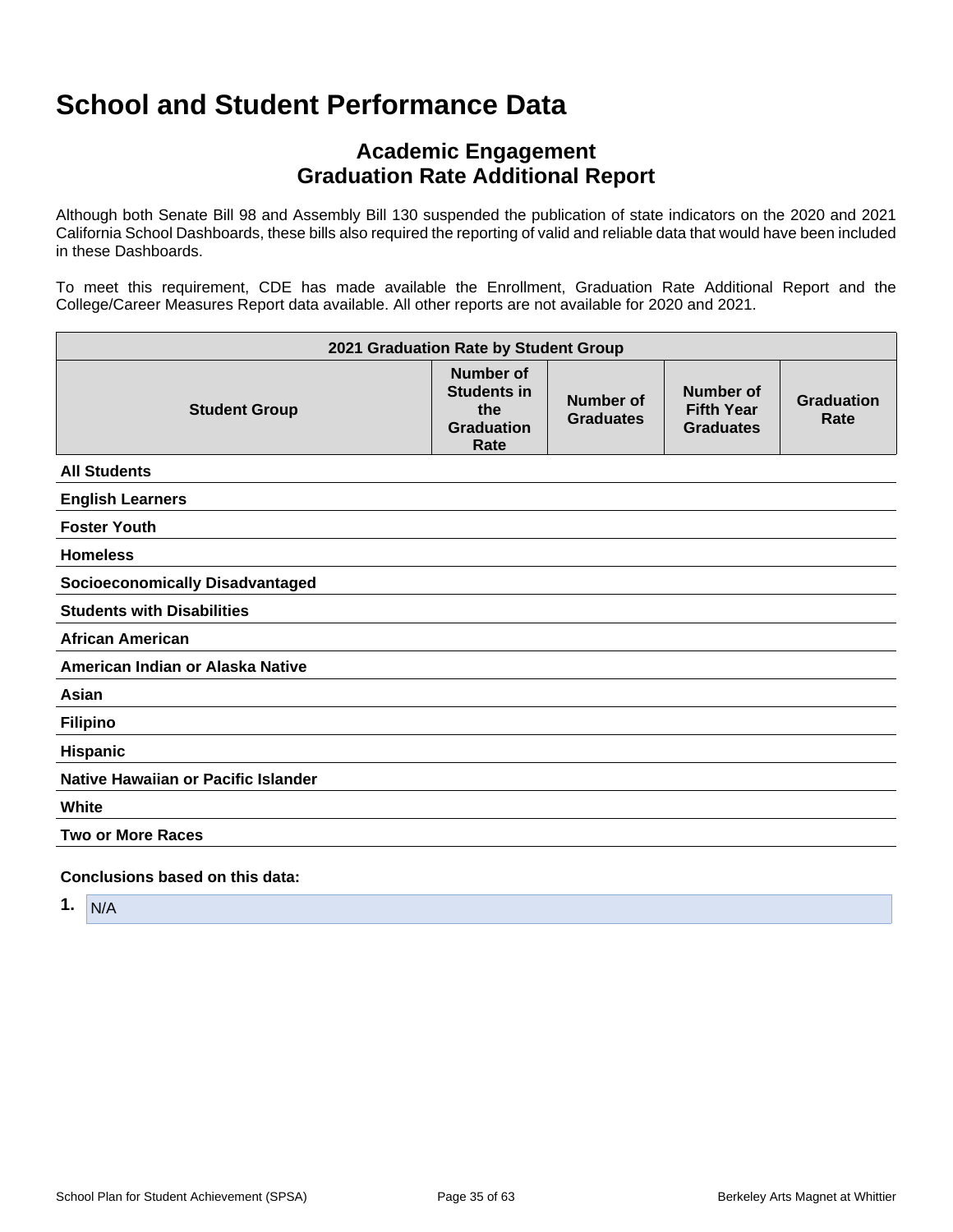## **Academic Engagement Graduation Rate Additional Report**

Although both Senate Bill 98 and Assembly Bill 130 suspended the publication of state indicators on the 2020 and 2021 California School Dashboards, these bills also required the reporting of valid and reliable data that would have been included in these Dashboards.

To meet this requirement, CDE has made available the Enrollment, Graduation Rate Additional Report and the College/Career Measures Report data available. All other reports are not available for 2020 and 2021.

| 2021 Graduation Rate by Student Group  |                                                                            |                                      |                                                           |                           |
|----------------------------------------|----------------------------------------------------------------------------|--------------------------------------|-----------------------------------------------------------|---------------------------|
| <b>Student Group</b>                   | <b>Number of</b><br><b>Students in</b><br>the<br><b>Graduation</b><br>Rate | <b>Number of</b><br><b>Graduates</b> | <b>Number of</b><br><b>Fifth Year</b><br><b>Graduates</b> | <b>Graduation</b><br>Rate |
| <b>All Students</b>                    |                                                                            |                                      |                                                           |                           |
| <b>English Learners</b>                |                                                                            |                                      |                                                           |                           |
| <b>Foster Youth</b>                    |                                                                            |                                      |                                                           |                           |
| <b>Homeless</b>                        |                                                                            |                                      |                                                           |                           |
| <b>Socioeconomically Disadvantaged</b> |                                                                            |                                      |                                                           |                           |
| <b>Students with Disabilities</b>      |                                                                            |                                      |                                                           |                           |
| <b>African American</b>                |                                                                            |                                      |                                                           |                           |
| American Indian or Alaska Native       |                                                                            |                                      |                                                           |                           |
| Asian                                  |                                                                            |                                      |                                                           |                           |
| <b>Filipino</b>                        |                                                                            |                                      |                                                           |                           |
| Hispanic                               |                                                                            |                                      |                                                           |                           |
| Native Hawaiian or Pacific Islander    |                                                                            |                                      |                                                           |                           |
| White                                  |                                                                            |                                      |                                                           |                           |
| <b>Two or More Races</b>               |                                                                            |                                      |                                                           |                           |
| Conclusions based on this data:        |                                                                            |                                      |                                                           |                           |

**1.** N/A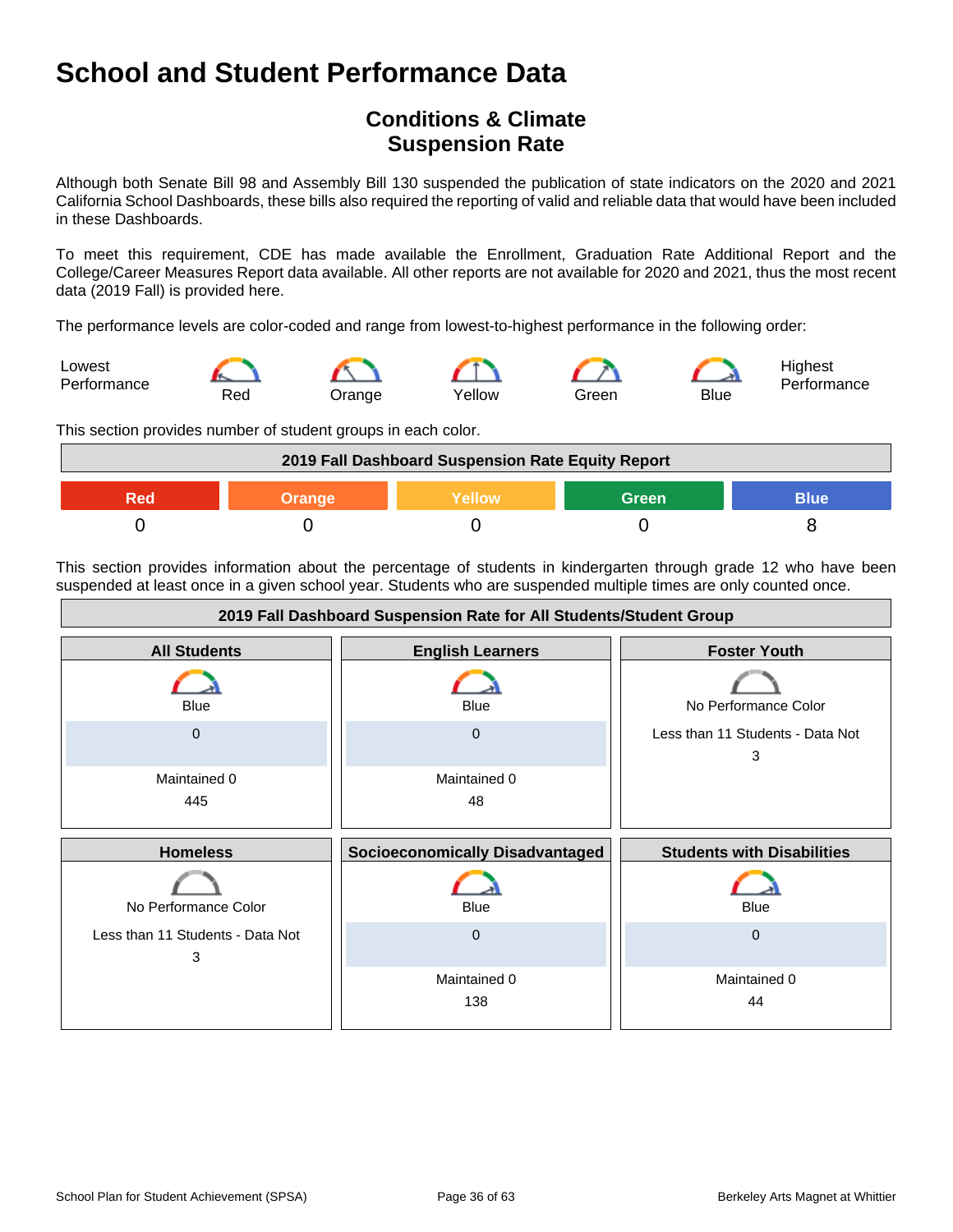## **Conditions & Climate Suspension Rate**

Although both Senate Bill 98 and Assembly Bill 130 suspended the publication of state indicators on the 2020 and 2021 California School Dashboards, these bills also required the reporting of valid and reliable data that would have been included in these Dashboards.

To meet this requirement, CDE has made available the Enrollment, Graduation Rate Additional Report and the College/Career Measures Report data available. All other reports are not available for 2020 and 2021, thus the most recent data (2019 Fall) is provided here.

The performance levels are color-coded and range from lowest-to-highest performance in the following order:



This section provides number of student groups in each color.



This section provides information about the percentage of students in kindergarten through grade 12 who have been suspended at least once in a given school year. Students who are suspended multiple times are only counted once.

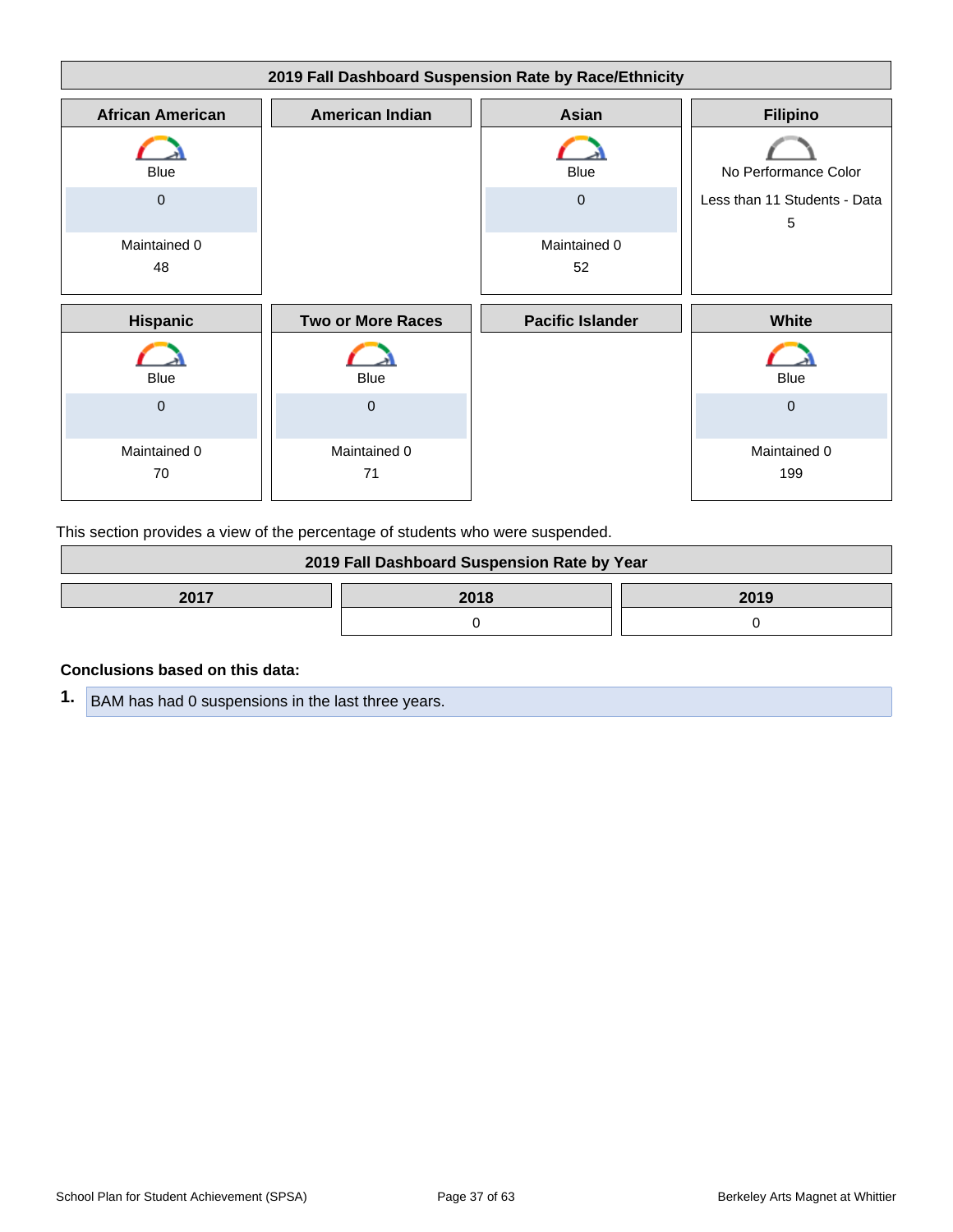| 2019 Fall Dashboard Suspension Rate by Race/Ethnicity |                          |                         |                                   |
|-------------------------------------------------------|--------------------------|-------------------------|-----------------------------------|
| <b>African American</b>                               | <b>American Indian</b>   | Asian                   | <b>Filipino</b>                   |
| <b>Blue</b>                                           |                          | <b>Blue</b>             | No Performance Color              |
| $\mathbf 0$                                           |                          | $\mathbf 0$             | Less than 11 Students - Data<br>5 |
| Maintained 0<br>48                                    |                          | Maintained 0<br>52      |                                   |
| <b>Hispanic</b>                                       | <b>Two or More Races</b> | <b>Pacific Islander</b> | White                             |
| <b>Blue</b>                                           | <b>Blue</b>              |                         | <b>Blue</b>                       |
| $\mathbf 0$                                           | $\mathbf 0$              |                         | $\mathbf 0$                       |
| Maintained 0<br>70                                    | Maintained 0<br>71       |                         | Maintained 0<br>199               |

This section provides a view of the percentage of students who were suspended.

| 2019 Fall Dashboard Suspension Rate by Year |  |  |
|---------------------------------------------|--|--|
| 2017<br>2018<br>2019                        |  |  |
|                                             |  |  |

#### **Conclusions based on this data:**

**1.** BAM has had 0 suspensions in the last three years.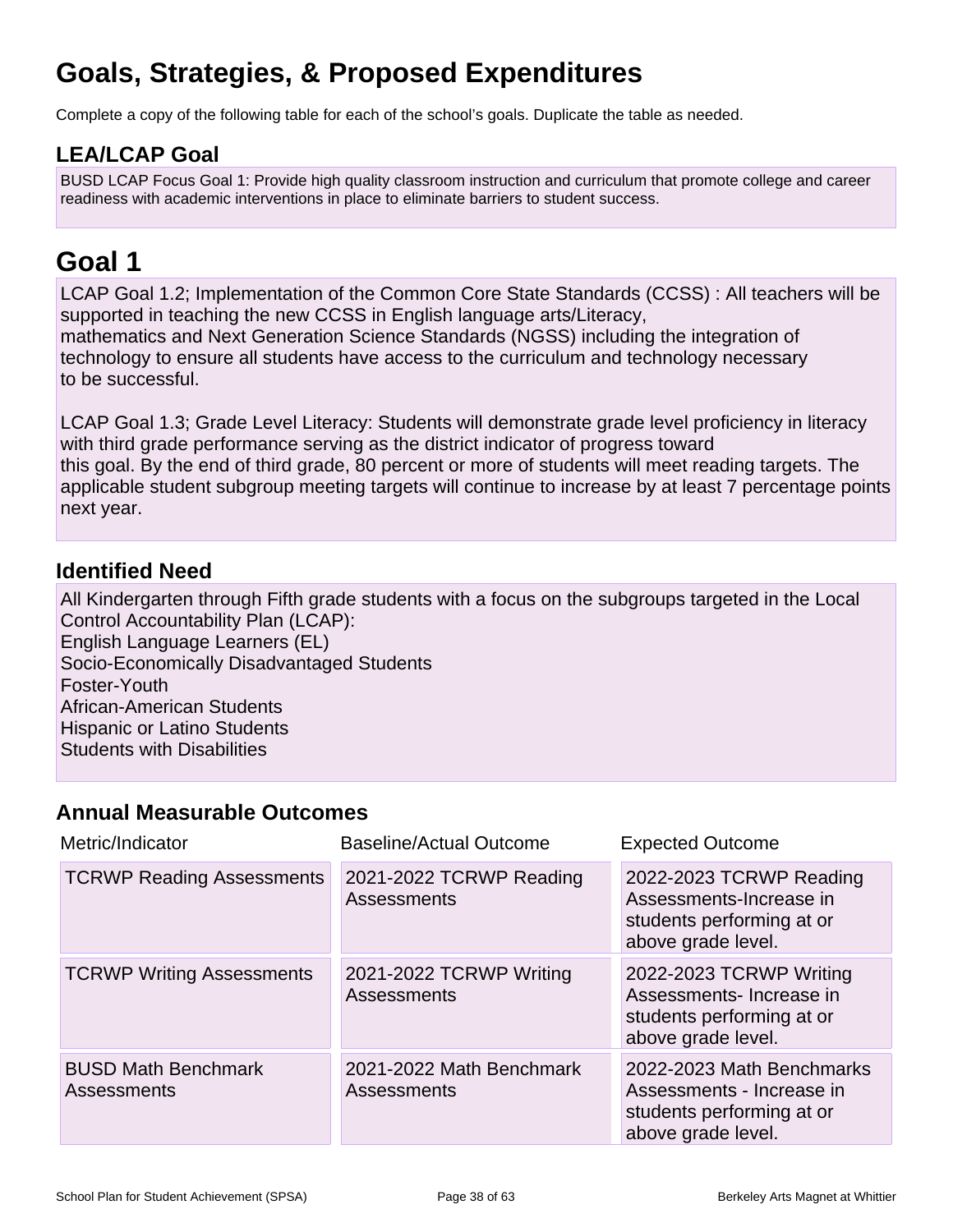## **Goals, Strategies, & Proposed Expenditures**

Complete a copy of the following table for each of the school's goals. Duplicate the table as needed.

## **LEA/LCAP Goal**

BUSD LCAP Focus Goal 1: Provide high quality classroom instruction and curriculum that promote college and career readiness with academic interventions in place to eliminate barriers to student success.

## **Goal 1**

LCAP Goal 1.2; Implementation of the Common Core State Standards (CCSS) : All teachers will be supported in teaching the new CCSS in English language arts/Literacy, mathematics and Next Generation Science Standards (NGSS) including the integration of technology to ensure all students have access to the curriculum and technology necessary to be successful.

LCAP Goal 1.3; Grade Level Literacy: Students will demonstrate grade level proficiency in literacy with third grade performance serving as the district indicator of progress toward this goal. By the end of third grade, 80 percent or more of students will meet reading targets. The applicable student subgroup meeting targets will continue to increase by at least 7 percentage points next year.

## **Identified Need**

All Kindergarten through Fifth grade students with a focus on the subgroups targeted in the Local Control Accountability Plan (LCAP): English Language Learners (EL) Socio-Economically Disadvantaged Students Foster-Youth African-American Students Hispanic or Latino Students Students with Disabilities

## **Annual Measurable Outcomes**

| Metric/Indicator                                 | <b>Baseline/Actual Outcome</b>                 | <b>Expected Outcome</b>                                                                                   |
|--------------------------------------------------|------------------------------------------------|-----------------------------------------------------------------------------------------------------------|
| <b>TCRWP Reading Assessments</b>                 | 2021-2022 TCRWP Reading<br>Assessments         | 2022-2023 TCRWP Reading<br>Assessments-Increase in<br>students performing at or<br>above grade level.     |
| <b>TCRWP Writing Assessments</b>                 | 2021-2022 TCRWP Writing<br><b>Assessments</b>  | 2022-2023 TCRWP Writing<br>Assessments-Increase in<br>students performing at or<br>above grade level.     |
| <b>BUSD Math Benchmark</b><br><b>Assessments</b> | 2021-2022 Math Benchmark<br><b>Assessments</b> | 2022-2023 Math Benchmarks<br>Assessments - Increase in<br>students performing at or<br>above grade level. |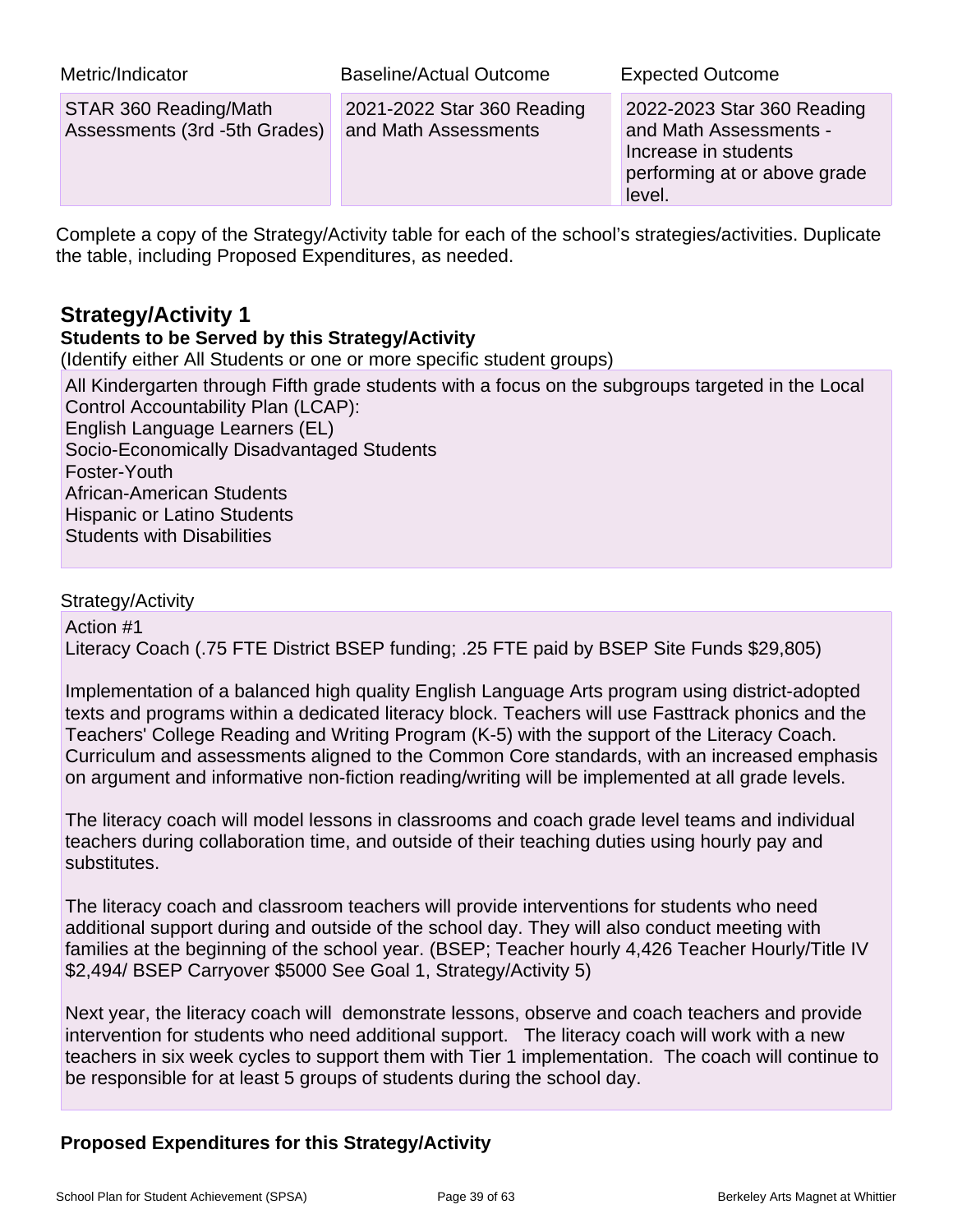| Metric/Indicator                                       | Baseline/Actual Outcome                            | <b>Expected Outcome</b>                                                                                                |
|--------------------------------------------------------|----------------------------------------------------|------------------------------------------------------------------------------------------------------------------------|
| STAR 360 Reading/Math<br>Assessments (3rd -5th Grades) | 2021-2022 Star 360 Reading<br>and Math Assessments | 2022-2023 Star 360 Reading<br>and Math Assessments -<br>Increase in students<br>performing at or above grade<br>level. |

Complete a copy of the Strategy/Activity table for each of the school's strategies/activities. Duplicate the table, including Proposed Expenditures, as needed.

## **Strategy/Activity 1**

### **Students to be Served by this Strategy/Activity**

(Identify either All Students or one or more specific student groups)

All Kindergarten through Fifth grade students with a focus on the subgroups targeted in the Local Control Accountability Plan (LCAP): English Language Learners (EL) Socio-Economically Disadvantaged Students Foster-Youth African-American Students Hispanic or Latino Students Students with Disabilities

### Strategy/Activity

Action #1 Literacy Coach (.75 FTE District BSEP funding; .25 FTE paid by BSEP Site Funds \$29,805)

Implementation of a balanced high quality English Language Arts program using district-adopted texts and programs within a dedicated literacy block. Teachers will use Fasttrack phonics and the Teachers' College Reading and Writing Program (K-5) with the support of the Literacy Coach. Curriculum and assessments aligned to the Common Core standards, with an increased emphasis on argument and informative non-fiction reading/writing will be implemented at all grade levels.

The literacy coach will model lessons in classrooms and coach grade level teams and individual teachers during collaboration time, and outside of their teaching duties using hourly pay and substitutes.

The literacy coach and classroom teachers will provide interventions for students who need additional support during and outside of the school day. They will also conduct meeting with families at the beginning of the school year. (BSEP; Teacher hourly 4,426 Teacher Hourly/Title IV \$2,494/ BSEP Carryover \$5000 See Goal 1, Strategy/Activity 5)

Next year, the literacy coach will demonstrate lessons, observe and coach teachers and provide intervention for students who need additional support. The literacy coach will work with a new teachers in six week cycles to support them with Tier 1 implementation. The coach will continue to be responsible for at least 5 groups of students during the school day.

### **Proposed Expenditures for this Strategy/Activity**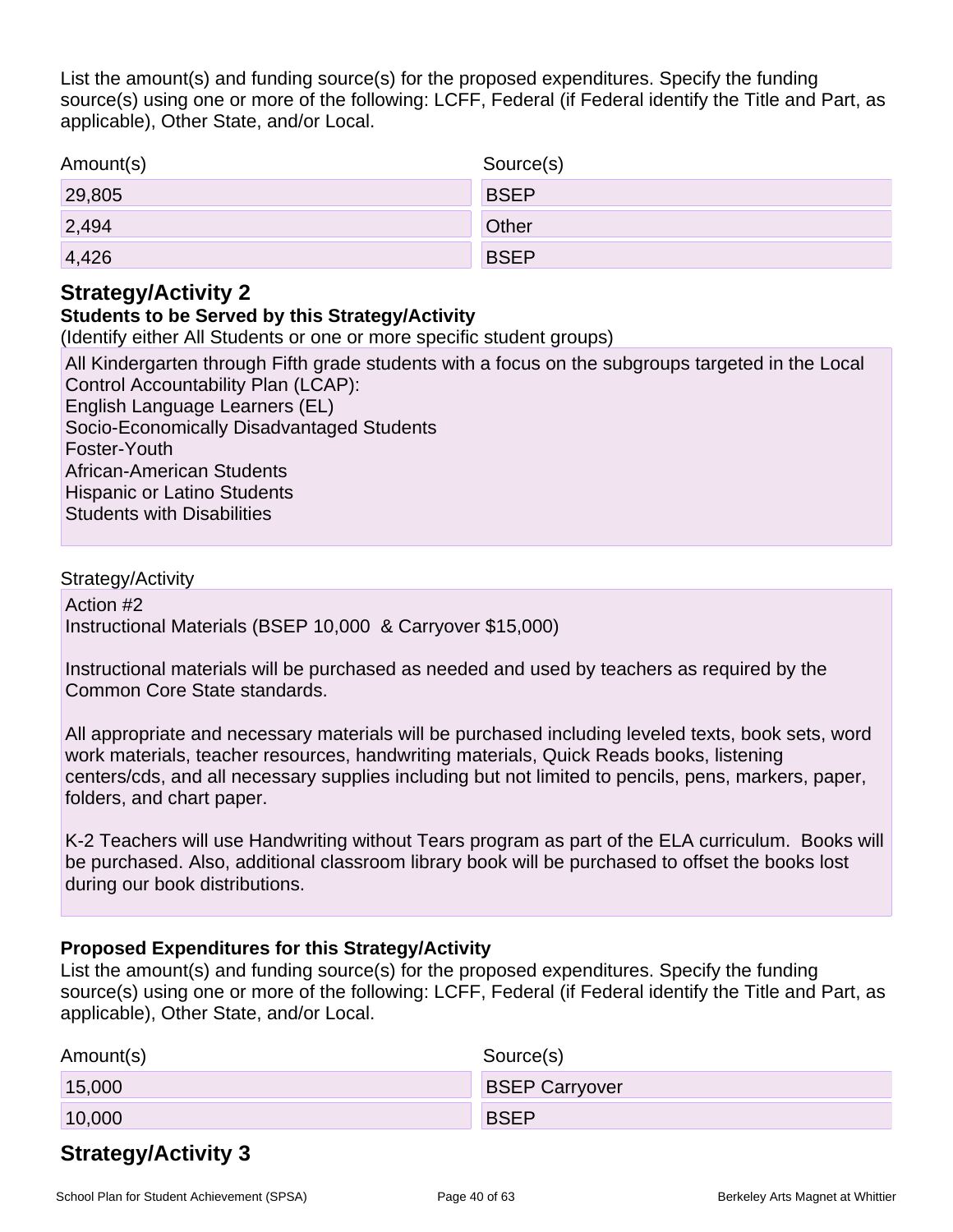List the amount(s) and funding source(s) for the proposed expenditures. Specify the funding source(s) using one or more of the following: LCFF, Federal (if Federal identify the Title and Part, as applicable), Other State, and/or Local.

| Amount(s) | Source(s)    |
|-----------|--------------|
| 29,805    | <b>BSEP</b>  |
| 2,494     | <b>Other</b> |
| 4,426     | <b>BSEP</b>  |

## **Strategy/Activity 2**

## **Students to be Served by this Strategy/Activity**

(Identify either All Students or one or more specific student groups)

All Kindergarten through Fifth grade students with a focus on the subgroups targeted in the Local Control Accountability Plan (LCAP): English Language Learners (EL) Socio-Economically Disadvantaged Students Foster-Youth African-American Students Hispanic or Latino Students Students with Disabilities

### Strategy/Activity

Action #2 Instructional Materials (BSEP 10,000 & Carryover \$15,000)

Instructional materials will be purchased as needed and used by teachers as required by the Common Core State standards.

All appropriate and necessary materials will be purchased including leveled texts, book sets, word work materials, teacher resources, handwriting materials, Quick Reads books, listening centers/cds, and all necessary supplies including but not limited to pencils, pens, markers, paper, folders, and chart paper.

K-2 Teachers will use Handwriting without Tears program as part of the ELA curriculum. Books will be purchased. Also, additional classroom library book will be purchased to offset the books lost during our book distributions.

### **Proposed Expenditures for this Strategy/Activity**

List the amount(s) and funding source(s) for the proposed expenditures. Specify the funding source(s) using one or more of the following: LCFF, Federal (if Federal identify the Title and Part, as applicable), Other State, and/or Local.

| Amount(s) | Source(s)             |
|-----------|-----------------------|
| 15,000    | <b>BSEP Carryover</b> |
| 10,000    | <b>BSEP</b>           |

## **Strategy/Activity 3**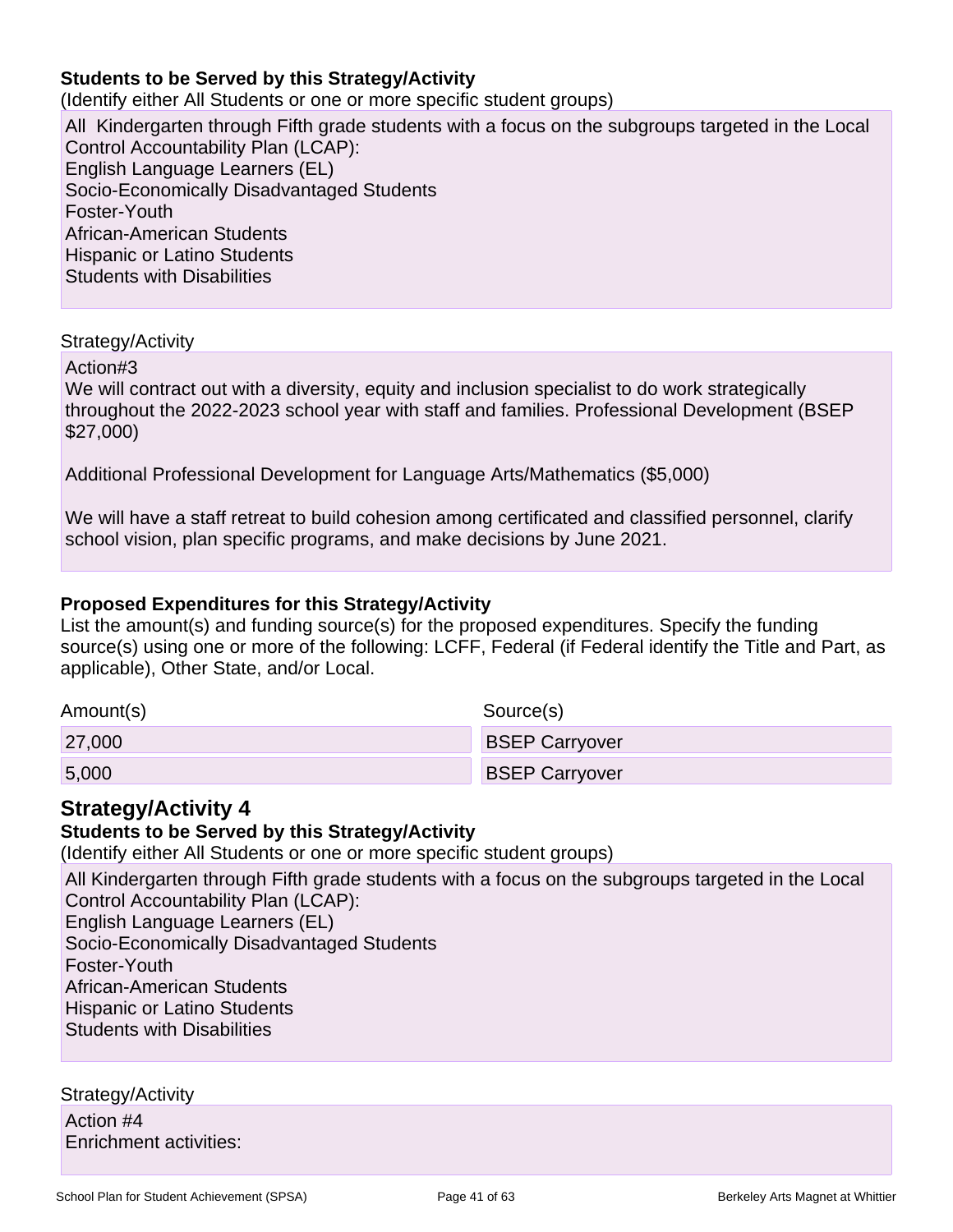### **Students to be Served by this Strategy/Activity**

(Identify either All Students or one or more specific student groups)

All Kindergarten through Fifth grade students with a focus on the subgroups targeted in the Local Control Accountability Plan (LCAP): English Language Learners (EL) Socio-Economically Disadvantaged Students Foster-Youth African-American Students Hispanic or Latino Students Students with Disabilities

#### Strategy/Activity

Action#3

We will contract out with a diversity, equity and inclusion specialist to do work strategically throughout the 2022-2023 school year with staff and families. Professional Development (BSEP \$27,000)

Additional Professional Development for Language Arts/Mathematics (\$5,000)

We will have a staff retreat to build cohesion among certificated and classified personnel, clarify school vision, plan specific programs, and make decisions by June 2021.

### **Proposed Expenditures for this Strategy/Activity**

List the amount(s) and funding source(s) for the proposed expenditures. Specify the funding source(s) using one or more of the following: LCFF, Federal (if Federal identify the Title and Part, as applicable), Other State, and/or Local.

| Amount(s) | Source(s)             |
|-----------|-----------------------|
| 27,000    | <b>BSEP Carryover</b> |
| 5,000     | <b>BSEP Carryover</b> |

## **Strategy/Activity 4**

#### **Students to be Served by this Strategy/Activity**

(Identify either All Students or one or more specific student groups)

All Kindergarten through Fifth grade students with a focus on the subgroups targeted in the Local Control Accountability Plan (LCAP): English Language Learners (EL) Socio-Economically Disadvantaged Students Foster-Youth African-American Students Hispanic or Latino Students Students with Disabilities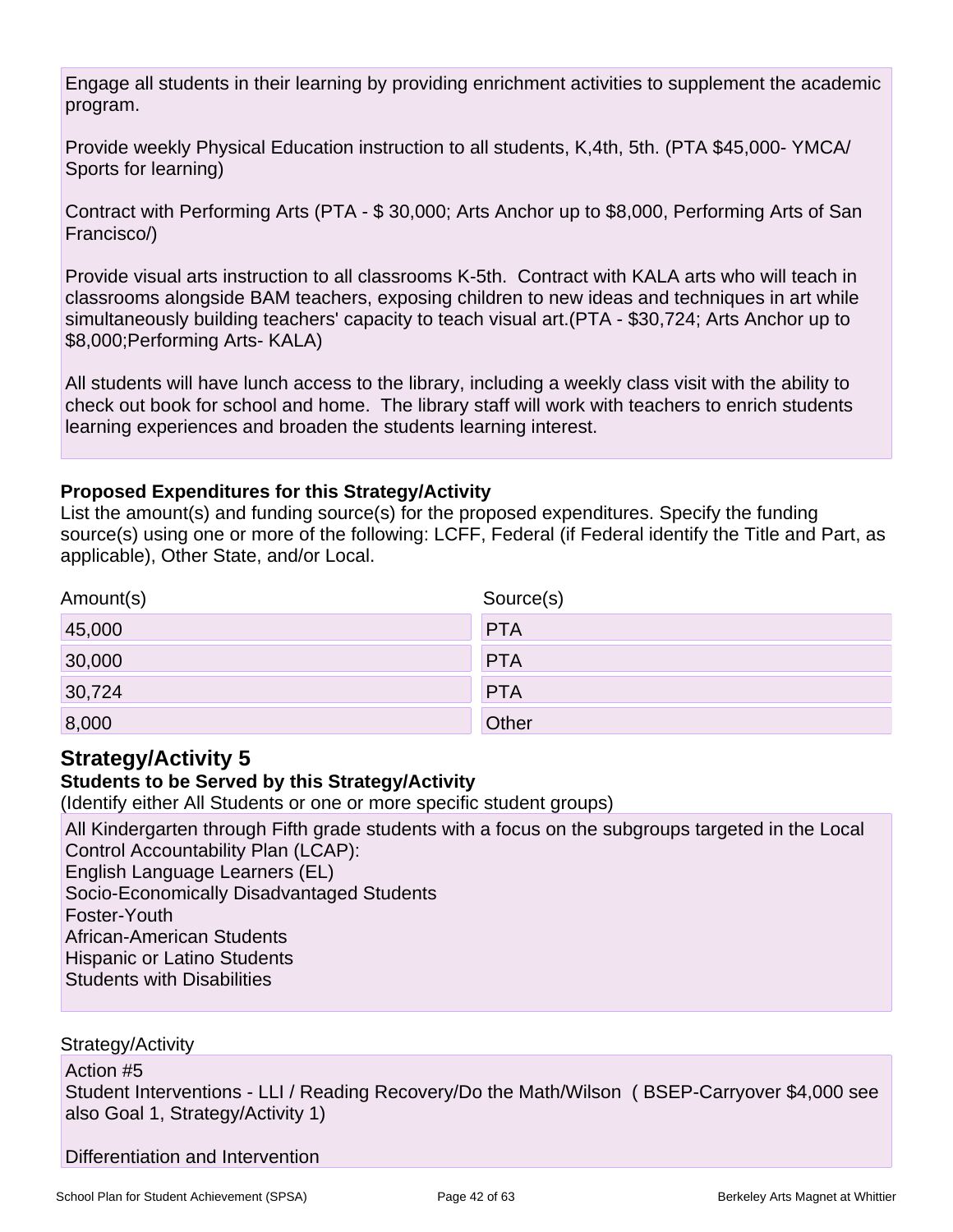Engage all students in their learning by providing enrichment activities to supplement the academic program.

Provide weekly Physical Education instruction to all students, K,4th, 5th. (PTA \$45,000- YMCA/ Sports for learning)

Contract with Performing Arts (PTA - \$ 30,000; Arts Anchor up to \$8,000, Performing Arts of San Francisco/)

Provide visual arts instruction to all classrooms K-5th. Contract with KALA arts who will teach in classrooms alongside BAM teachers, exposing children to new ideas and techniques in art while simultaneously building teachers' capacity to teach visual art.(PTA - \$30,724; Arts Anchor up to \$8,000;Performing Arts- KALA)

All students will have lunch access to the library, including a weekly class visit with the ability to check out book for school and home. The library staff will work with teachers to enrich students learning experiences and broaden the students learning interest.

## **Proposed Expenditures for this Strategy/Activity**

List the amount(s) and funding source(s) for the proposed expenditures. Specify the funding source(s) using one or more of the following: LCFF, Federal (if Federal identify the Title and Part, as applicable), Other State, and/or Local.

| Amount(s) | Source(s)  |
|-----------|------------|
| 45,000    | <b>PTA</b> |
| 30,000    | <b>PTA</b> |
| 30,724    | <b>PTA</b> |
| 8,000     | Other      |

## **Strategy/Activity 5**

### **Students to be Served by this Strategy/Activity**

(Identify either All Students or one or more specific student groups)

All Kindergarten through Fifth grade students with a focus on the subgroups targeted in the Local Control Accountability Plan (LCAP):

English Language Learners (EL)

Socio-Economically Disadvantaged Students

Foster-Youth

African-American Students

Hispanic or Latino Students

Students with Disabilities

Strategy/Activity

Action #5

Student Interventions - LLI / Reading Recovery/Do the Math/Wilson ( BSEP-Carryover \$4,000 see also Goal 1, Strategy/Activity 1)

Differentiation and Intervention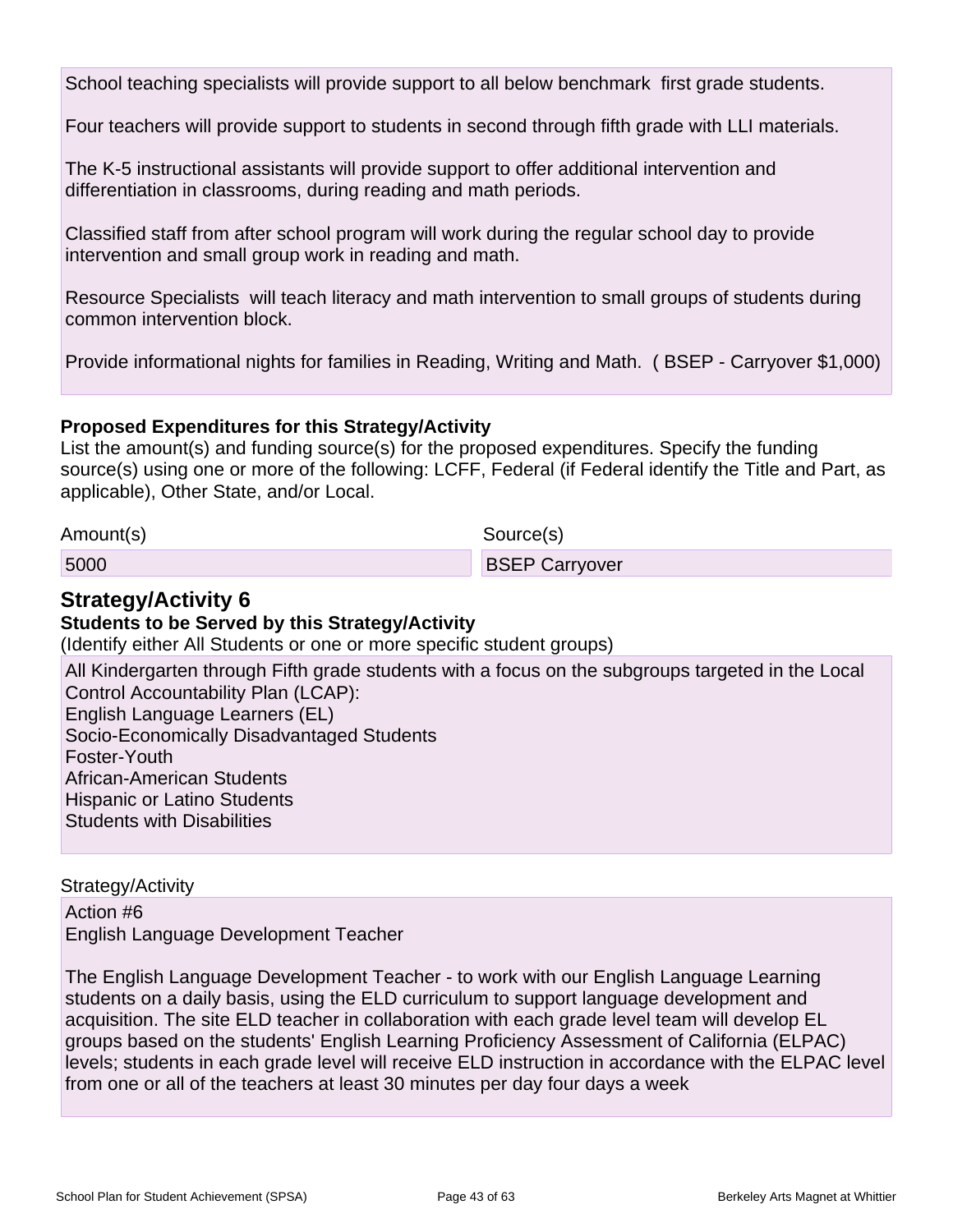School teaching specialists will provide support to all below benchmark first grade students.

Four teachers will provide support to students in second through fifth grade with LLI materials.

The K-5 instructional assistants will provide support to offer additional intervention and differentiation in classrooms, during reading and math periods.

Classified staff from after school program will work during the regular school day to provide intervention and small group work in reading and math.

Resource Specialists will teach literacy and math intervention to small groups of students during common intervention block.

Provide informational nights for families in Reading, Writing and Math. ( BSEP - Carryover \$1,000)

### **Proposed Expenditures for this Strategy/Activity**

List the amount(s) and funding source(s) for the proposed expenditures. Specify the funding source(s) using one or more of the following: LCFF, Federal (if Federal identify the Title and Part, as applicable), Other State, and/or Local.

| Amount(s) | Source(s)             |
|-----------|-----------------------|
| 5000      | <b>BSEP Carryover</b> |

## **Strategy/Activity 6**

#### **Students to be Served by this Strategy/Activity**

(Identify either All Students or one or more specific student groups)

All Kindergarten through Fifth grade students with a focus on the subgroups targeted in the Local Control Accountability Plan (LCAP): English Language Learners (EL) Socio-Economically Disadvantaged Students Foster-Youth African-American Students Hispanic or Latino Students Students with Disabilities

Strategy/Activity

Action #6 English Language Development Teacher

The English Language Development Teacher - to work with our English Language Learning students on a daily basis, using the ELD curriculum to support language development and acquisition. The site ELD teacher in collaboration with each grade level team will develop EL groups based on the students' English Learning Proficiency Assessment of California (ELPAC) levels; students in each grade level will receive ELD instruction in accordance with the ELPAC level from one or all of the teachers at least 30 minutes per day four days a week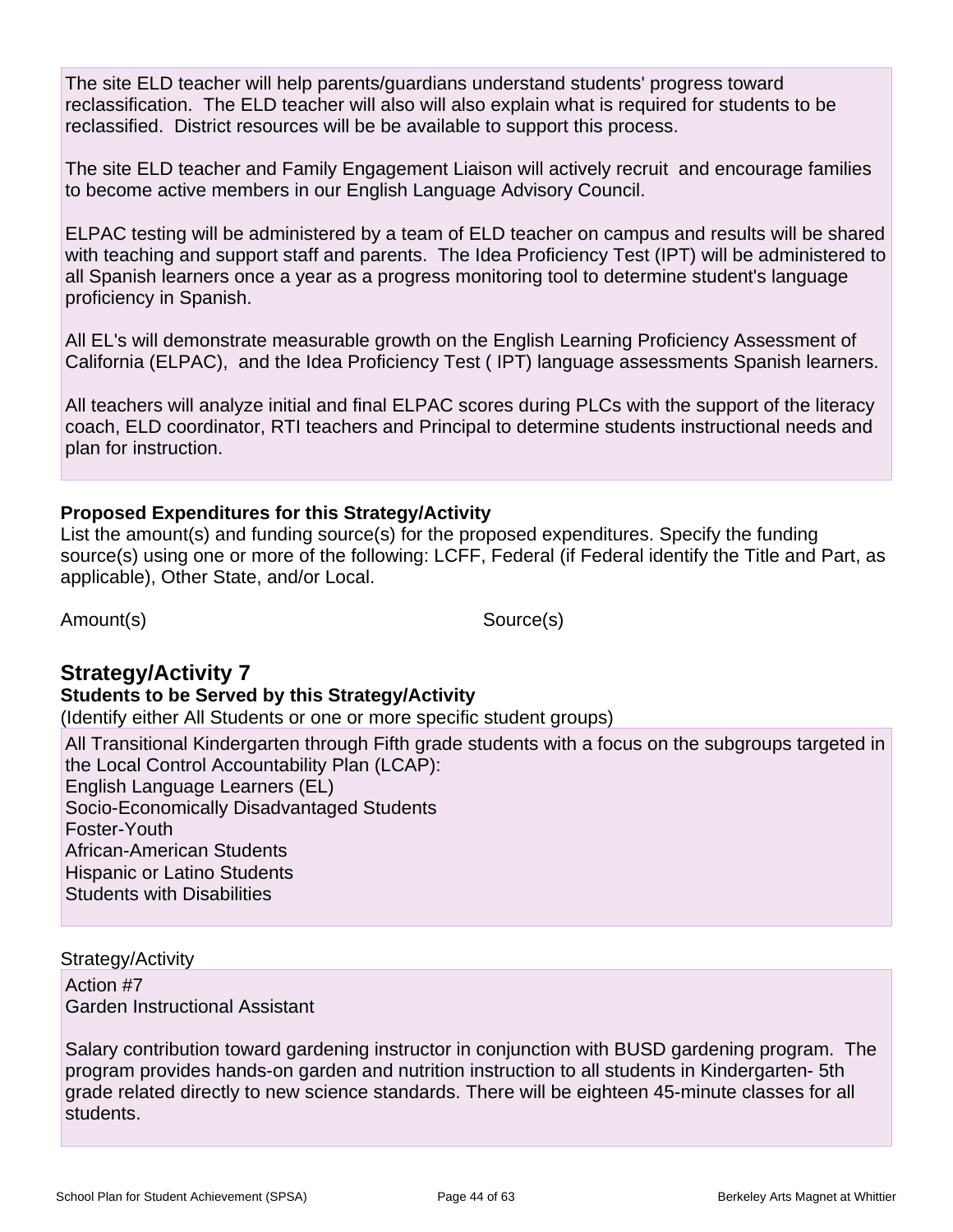The site ELD teacher will help parents/guardians understand students' progress toward reclassification. The ELD teacher will also will also explain what is required for students to be reclassified. District resources will be be available to support this process.

The site ELD teacher and Family Engagement Liaison will actively recruit and encourage families to become active members in our English Language Advisory Council.

ELPAC testing will be administered by a team of ELD teacher on campus and results will be shared with teaching and support staff and parents. The Idea Proficiency Test (IPT) will be administered to all Spanish learners once a year as a progress monitoring tool to determine student's language proficiency in Spanish.

All EL's will demonstrate measurable growth on the English Learning Proficiency Assessment of California (ELPAC), and the Idea Proficiency Test ( IPT) language assessments Spanish learners.

All teachers will analyze initial and final ELPAC scores during PLCs with the support of the literacy coach, ELD coordinator, RTI teachers and Principal to determine students instructional needs and plan for instruction.

### **Proposed Expenditures for this Strategy/Activity**

List the amount(s) and funding source(s) for the proposed expenditures. Specify the funding source(s) using one or more of the following: LCFF, Federal (if Federal identify the Title and Part, as applicable), Other State, and/or Local.

Amount(s) Source(s)

## **Strategy/Activity 7**

**Students to be Served by this Strategy/Activity**

(Identify either All Students or one or more specific student groups)

All Transitional Kindergarten through Fifth grade students with a focus on the subgroups targeted in the Local Control Accountability Plan (LCAP): English Language Learners (EL) Socio-Economically Disadvantaged Students Foster-Youth African-American Students Hispanic or Latino Students Students with Disabilities

#### Strategy/Activity

Action #7 Garden Instructional Assistant

Salary contribution toward gardening instructor in conjunction with BUSD gardening program. The program provides hands-on garden and nutrition instruction to all students in Kindergarten- 5th grade related directly to new science standards. There will be eighteen 45-minute classes for all students.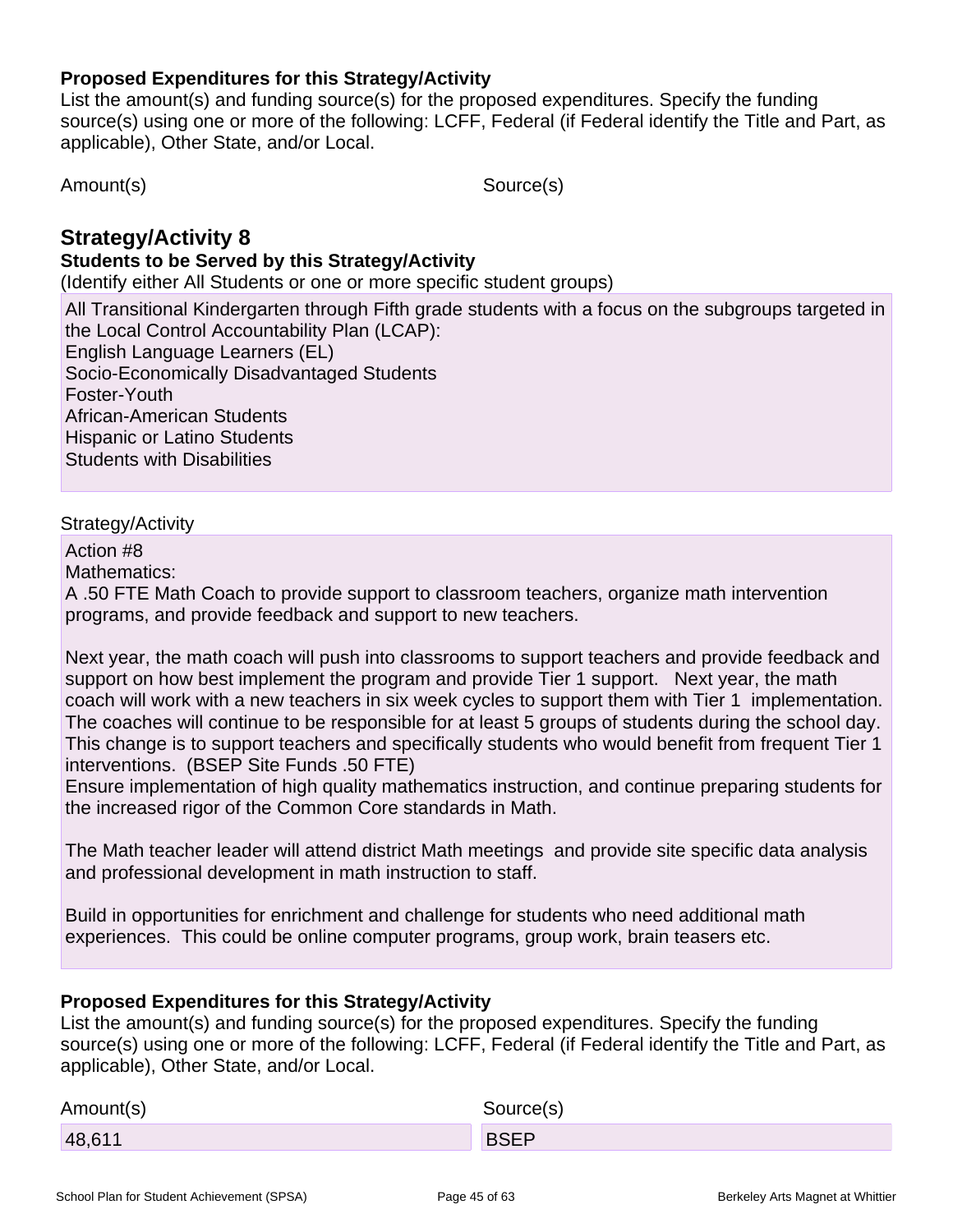### **Proposed Expenditures for this Strategy/Activity**

List the amount(s) and funding source(s) for the proposed expenditures. Specify the funding source(s) using one or more of the following: LCFF, Federal (if Federal identify the Title and Part, as applicable), Other State, and/or Local.

Amount(s) Source(s)

## **Strategy/Activity 8**

### **Students to be Served by this Strategy/Activity**

(Identify either All Students or one or more specific student groups)

All Transitional Kindergarten through Fifth grade students with a focus on the subgroups targeted in the Local Control Accountability Plan (LCAP):

English Language Learners (EL) Socio-Economically Disadvantaged Students

Foster-Youth African-American Students

Hispanic or Latino Students

Students with Disabilities

### Strategy/Activity

Action #8

Mathematics:

A .50 FTE Math Coach to provide support to classroom teachers, organize math intervention programs, and provide feedback and support to new teachers.

Next year, the math coach will push into classrooms to support teachers and provide feedback and support on how best implement the program and provide Tier 1 support. Next year, the math coach will work with a new teachers in six week cycles to support them with Tier 1 implementation. The coaches will continue to be responsible for at least 5 groups of students during the school day. This change is to support teachers and specifically students who would benefit from frequent Tier 1 interventions. (BSEP Site Funds .50 FTE)

Ensure implementation of high quality mathematics instruction, and continue preparing students for the increased rigor of the Common Core standards in Math.

The Math teacher leader will attend district Math meetings and provide site specific data analysis and professional development in math instruction to staff.

Build in opportunities for enrichment and challenge for students who need additional math experiences. This could be online computer programs, group work, brain teasers etc.

### **Proposed Expenditures for this Strategy/Activity**

List the amount(s) and funding source(s) for the proposed expenditures. Specify the funding source(s) using one or more of the following: LCFF, Federal (if Federal identify the Title and Part, as applicable), Other State, and/or Local.

| Amount(s) | Source(s)   |
|-----------|-------------|
| 48,611    | <b>BSEP</b> |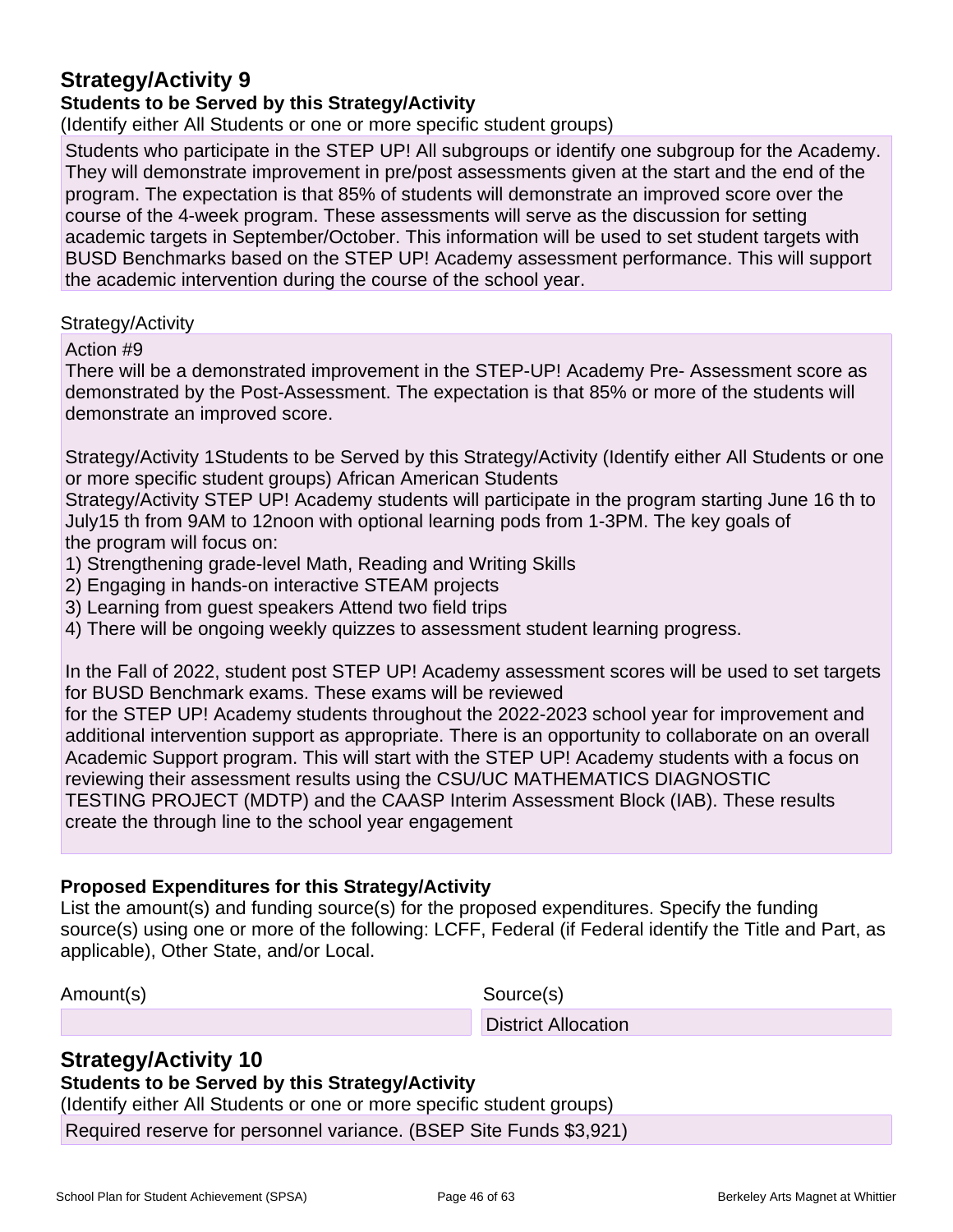## **Strategy/Activity 9**

### **Students to be Served by this Strategy/Activity**

(Identify either All Students or one or more specific student groups)

Students who participate in the STEP UP! All subgroups or identify one subgroup for the Academy. They will demonstrate improvement in pre/post assessments given at the start and the end of the program. The expectation is that 85% of students will demonstrate an improved score over the course of the 4-week program. These assessments will serve as the discussion for setting academic targets in September/October. This information will be used to set student targets with BUSD Benchmarks based on the STEP UP! Academy assessment performance. This will support the academic intervention during the course of the school year.

### Strategy/Activity

Action #9

There will be a demonstrated improvement in the STEP-UP! Academy Pre- Assessment score as demonstrated by the Post-Assessment. The expectation is that 85% or more of the students will demonstrate an improved score.

Strategy/Activity 1Students to be Served by this Strategy/Activity (Identify either All Students or one or more specific student groups) African American Students

Strategy/Activity STEP UP! Academy students will participate in the program starting June 16 th to July15 th from 9AM to 12noon with optional learning pods from 1-3PM. The key goals of the program will focus on:

- 1) Strengthening grade-level Math, Reading and Writing Skills
- 2) Engaging in hands-on interactive STEAM projects
- 3) Learning from guest speakers Attend two field trips
- 4) There will be ongoing weekly quizzes to assessment student learning progress.

In the Fall of 2022, student post STEP UP! Academy assessment scores will be used to set targets for BUSD Benchmark exams. These exams will be reviewed

for the STEP UP! Academy students throughout the 2022-2023 school year for improvement and additional intervention support as appropriate. There is an opportunity to collaborate on an overall Academic Support program. This will start with the STEP UP! Academy students with a focus on reviewing their assessment results using the CSU/UC MATHEMATICS DIAGNOSTIC TESTING PROJECT (MDTP) and the CAASP Interim Assessment Block (IAB). These results create the through line to the school year engagement

### **Proposed Expenditures for this Strategy/Activity**

List the amount(s) and funding source(s) for the proposed expenditures. Specify the funding source(s) using one or more of the following: LCFF, Federal (if Federal identify the Title and Part, as applicable), Other State, and/or Local.

Amount(s) Source(s)

District Allocation

## **Strategy/Activity 10**

### **Students to be Served by this Strategy/Activity**

(Identify either All Students or one or more specific student groups)

Required reserve for personnel variance. (BSEP Site Funds \$3,921)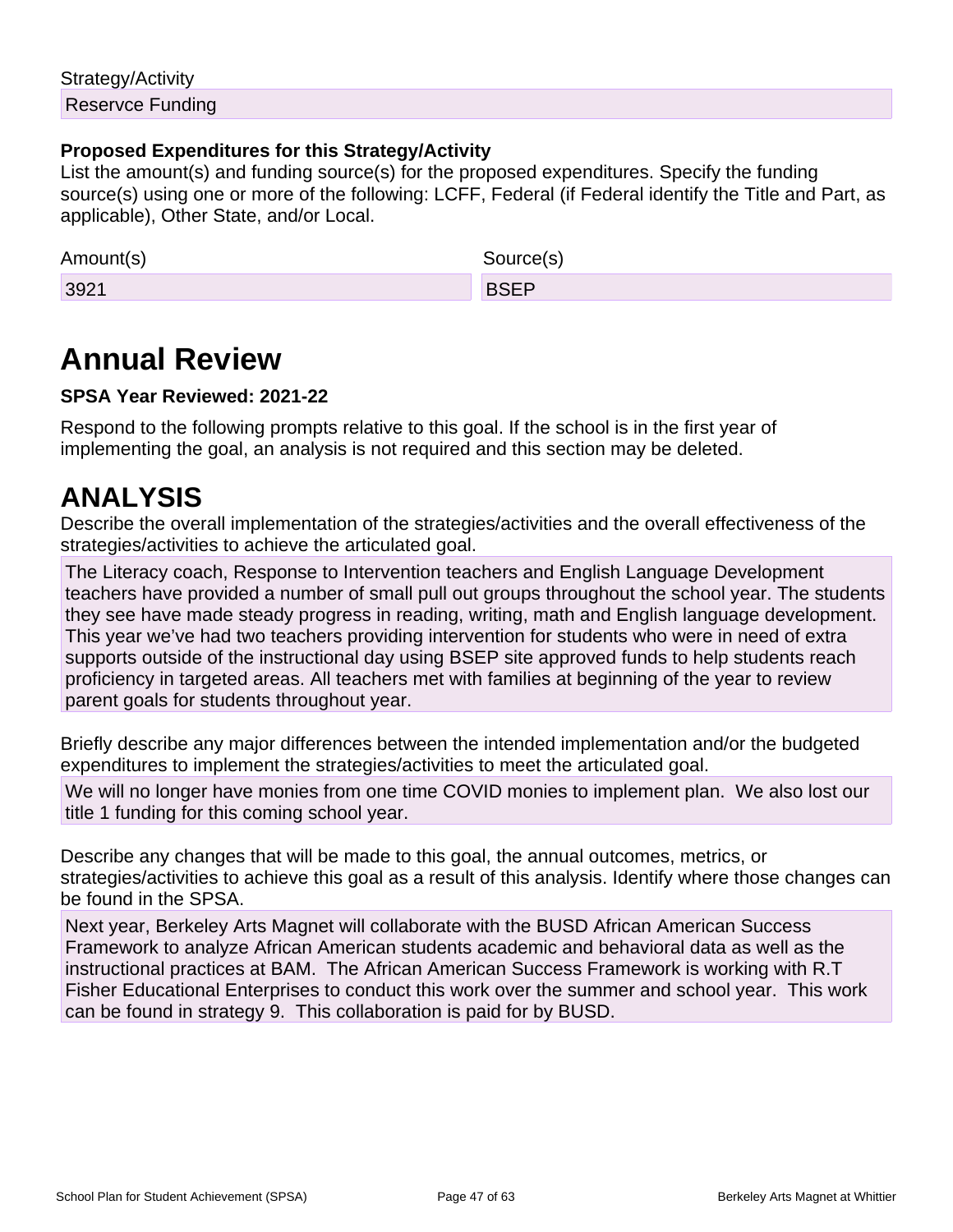## Strategy/Activity Reservce Funding

### **Proposed Expenditures for this Strategy/Activity**

List the amount(s) and funding source(s) for the proposed expenditures. Specify the funding source(s) using one or more of the following: LCFF, Federal (if Federal identify the Title and Part, as applicable), Other State, and/or Local.

| Amount(s) | Source(s)   |
|-----------|-------------|
| 3921      | <b>BSEP</b> |

## **Annual Review**

### **SPSA Year Reviewed: 2021-22**

Respond to the following prompts relative to this goal. If the school is in the first year of implementing the goal, an analysis is not required and this section may be deleted.

## **ANALYSIS**

Describe the overall implementation of the strategies/activities and the overall effectiveness of the strategies/activities to achieve the articulated goal.

The Literacy coach, Response to Intervention teachers and English Language Development teachers have provided a number of small pull out groups throughout the school year. The students they see have made steady progress in reading, writing, math and English language development. This year we've had two teachers providing intervention for students who were in need of extra supports outside of the instructional day using BSEP site approved funds to help students reach proficiency in targeted areas. All teachers met with families at beginning of the year to review parent goals for students throughout year.

Briefly describe any major differences between the intended implementation and/or the budgeted expenditures to implement the strategies/activities to meet the articulated goal.

We will no longer have monies from one time COVID monies to implement plan. We also lost our title 1 funding for this coming school year.

Describe any changes that will be made to this goal, the annual outcomes, metrics, or strategies/activities to achieve this goal as a result of this analysis. Identify where those changes can be found in the SPSA.

Next year, Berkeley Arts Magnet will collaborate with the BUSD African American Success Framework to analyze African American students academic and behavioral data as well as the instructional practices at BAM. The African American Success Framework is working with R.T Fisher Educational Enterprises to conduct this work over the summer and school year. This work can be found in strategy 9. This collaboration is paid for by BUSD.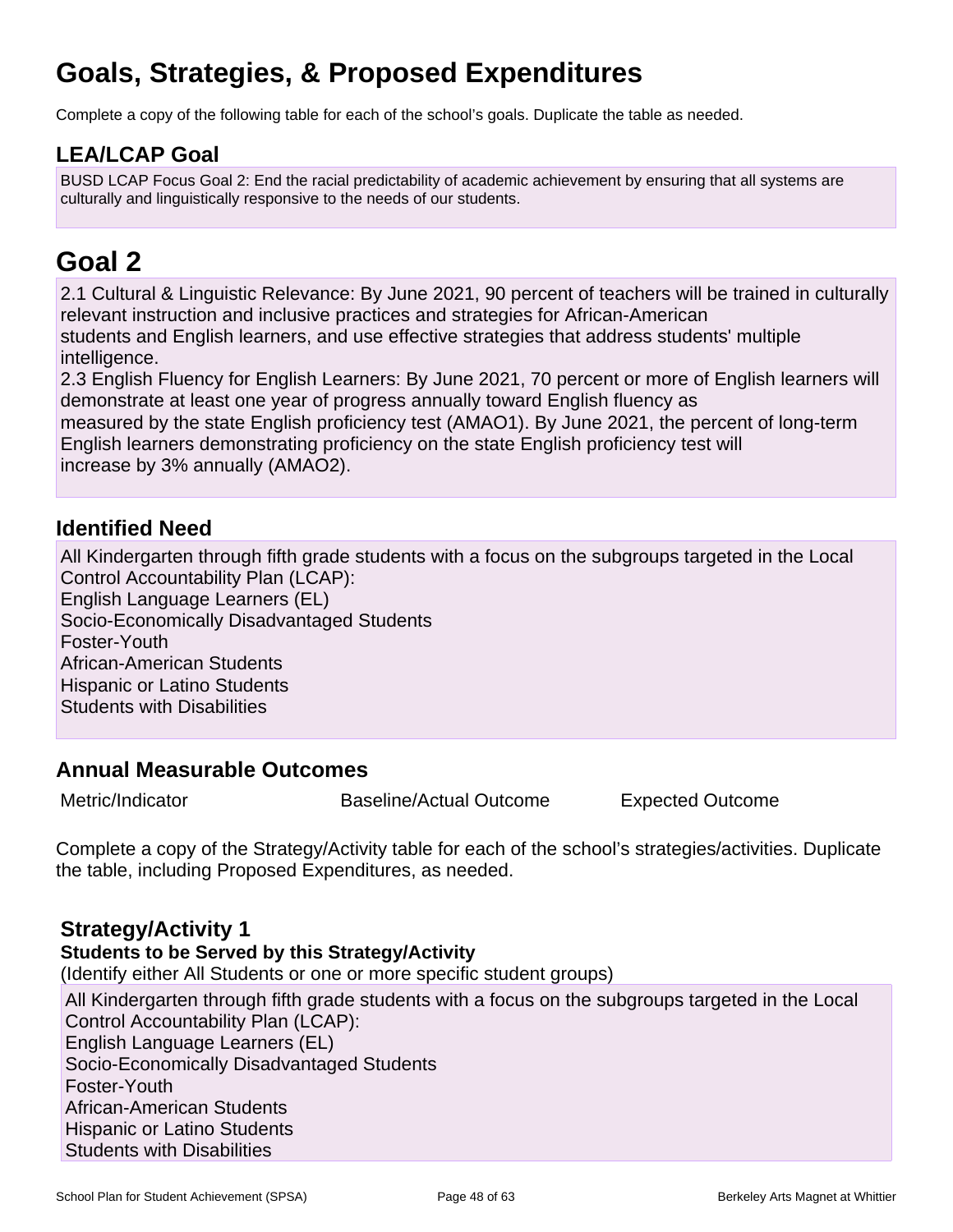## **Goals, Strategies, & Proposed Expenditures**

Complete a copy of the following table for each of the school's goals. Duplicate the table as needed.

## **LEA/LCAP Goal**

BUSD LCAP Focus Goal 2: End the racial predictability of academic achievement by ensuring that all systems are culturally and linguistically responsive to the needs of our students.

## **Goal 2**

2.1 Cultural & Linguistic Relevance: By June 2021, 90 percent of teachers will be trained in culturally relevant instruction and inclusive practices and strategies for African-American students and English learners, and use effective strategies that address students' multiple intelligence.

2.3 English Fluency for English Learners: By June 2021, 70 percent or more of English learners will demonstrate at least one year of progress annually toward English fluency as

measured by the state English proficiency test (AMAO1). By June 2021, the percent of long-term English learners demonstrating proficiency on the state English proficiency test will increase by 3% annually (AMAO2).

## **Identified Need**

All Kindergarten through fifth grade students with a focus on the subgroups targeted in the Local Control Accountability Plan (LCAP): English Language Learners (EL) Socio-Economically Disadvantaged Students Foster-Youth African-American Students Hispanic or Latino Students Students with Disabilities

## **Annual Measurable Outcomes**

Metric/Indicator **Baseline/Actual Outcome** Expected Outcome

Complete a copy of the Strategy/Activity table for each of the school's strategies/activities. Duplicate the table, including Proposed Expenditures, as needed.

## **Strategy/Activity 1**

**Students to be Served by this Strategy/Activity**

(Identify either All Students or one or more specific student groups)

All Kindergarten through fifth grade students with a focus on the subgroups targeted in the Local Control Accountability Plan (LCAP): English Language Learners (EL) Socio-Economically Disadvantaged Students Foster-Youth African-American Students Hispanic or Latino Students Students with Disabilities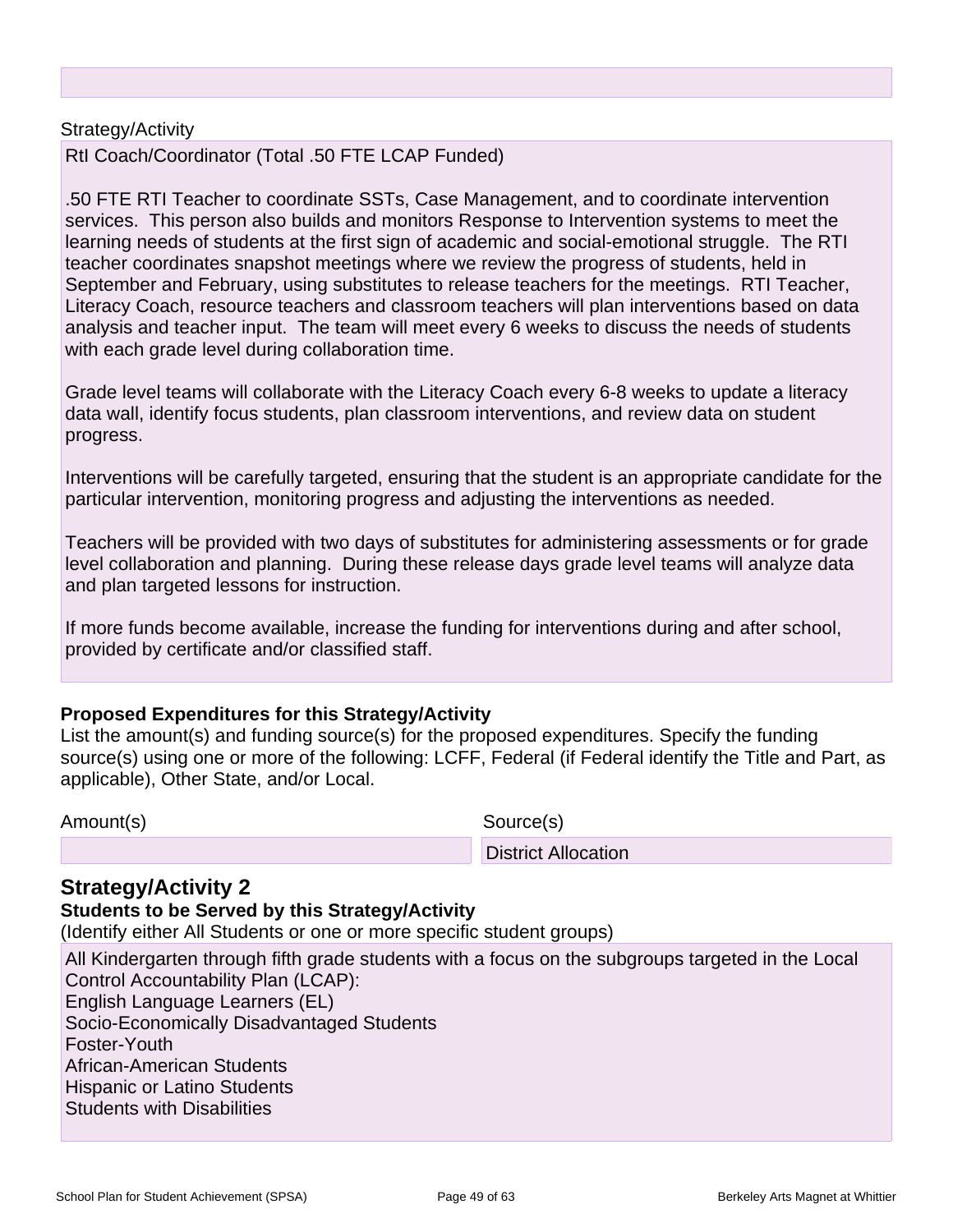#### Strategy/Activity

RtI Coach/Coordinator (Total .50 FTE LCAP Funded)

.50 FTE RTI Teacher to coordinate SSTs, Case Management, and to coordinate intervention services. This person also builds and monitors Response to Intervention systems to meet the learning needs of students at the first sign of academic and social-emotional struggle. The RTI teacher coordinates snapshot meetings where we review the progress of students, held in September and February, using substitutes to release teachers for the meetings. RTI Teacher, Literacy Coach, resource teachers and classroom teachers will plan interventions based on data analysis and teacher input. The team will meet every 6 weeks to discuss the needs of students with each grade level during collaboration time.

Grade level teams will collaborate with the Literacy Coach every 6-8 weeks to update a literacy data wall, identify focus students, plan classroom interventions, and review data on student progress.

Interventions will be carefully targeted, ensuring that the student is an appropriate candidate for the particular intervention, monitoring progress and adjusting the interventions as needed.

Teachers will be provided with two days of substitutes for administering assessments or for grade level collaboration and planning. During these release days grade level teams will analyze data and plan targeted lessons for instruction.

If more funds become available, increase the funding for interventions during and after school, provided by certificate and/or classified staff.

### **Proposed Expenditures for this Strategy/Activity**

List the amount(s) and funding source(s) for the proposed expenditures. Specify the funding source(s) using one or more of the following: LCFF, Federal (if Federal identify the Title and Part, as applicable), Other State, and/or Local.

Amount(s) Source(s)

District Allocation

## **Strategy/Activity 2**

#### **Students to be Served by this Strategy/Activity**

(Identify either All Students or one or more specific student groups)

All Kindergarten through fifth grade students with a focus on the subgroups targeted in the Local Control Accountability Plan (LCAP): English Language Learners (EL) Socio-Economically Disadvantaged Students Foster-Youth African-American Students Hispanic or Latino Students Students with Disabilities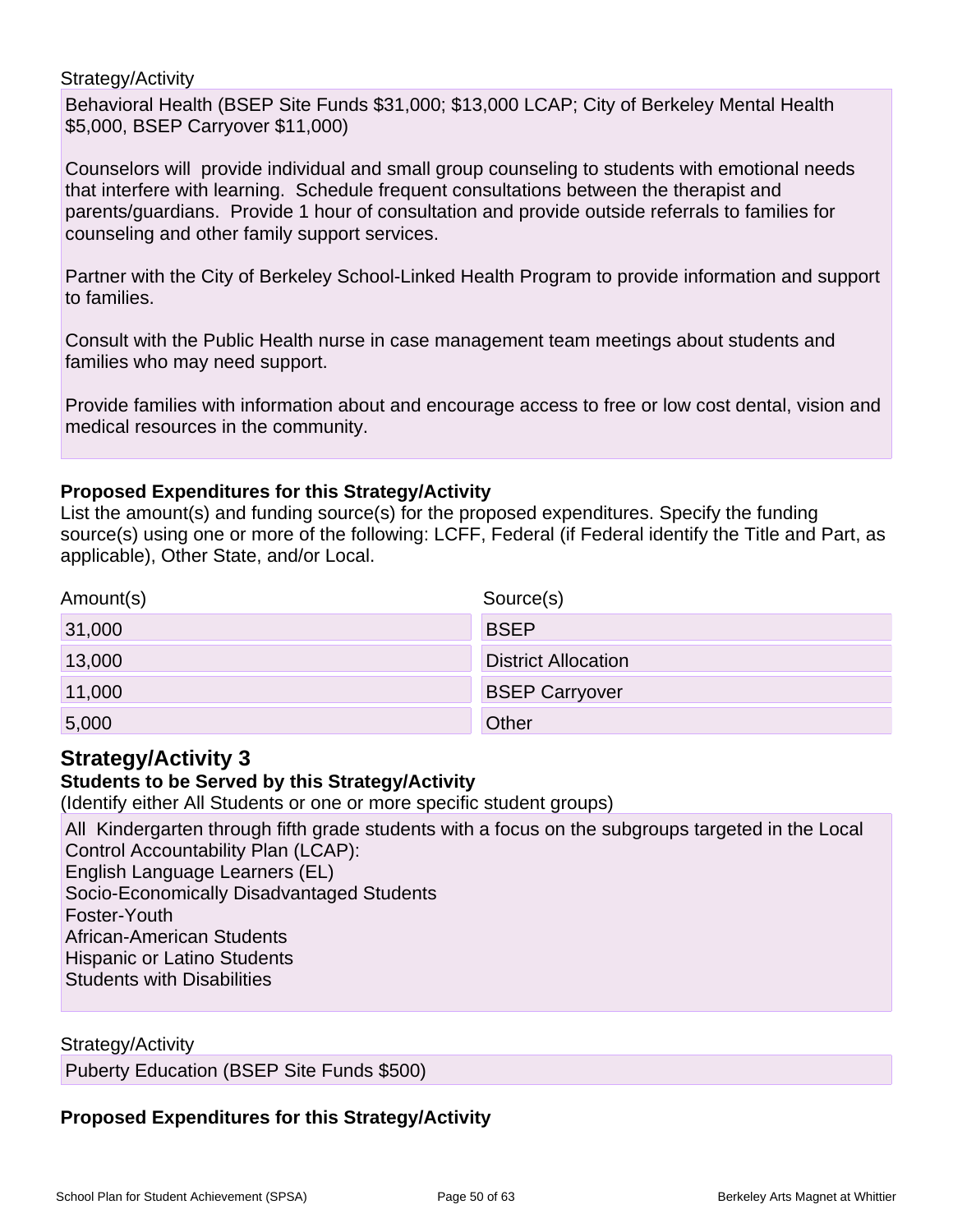### Strategy/Activity

Behavioral Health (BSEP Site Funds \$31,000; \$13,000 LCAP; City of Berkeley Mental Health \$5,000, BSEP Carryover \$11,000)

Counselors will provide individual and small group counseling to students with emotional needs that interfere with learning. Schedule frequent consultations between the therapist and parents/guardians. Provide 1 hour of consultation and provide outside referrals to families for counseling and other family support services.

Partner with the City of Berkeley School-Linked Health Program to provide information and support to families.

Consult with the Public Health nurse in case management team meetings about students and families who may need support.

Provide families with information about and encourage access to free or low cost dental, vision and medical resources in the community.

### **Proposed Expenditures for this Strategy/Activity**

List the amount(s) and funding source(s) for the proposed expenditures. Specify the funding source(s) using one or more of the following: LCFF, Federal (if Federal identify the Title and Part, as applicable), Other State, and/or Local.

| Amount(s) | Source(s)                  |
|-----------|----------------------------|
| 31,000    | <b>BSEP</b>                |
| 13,000    | <b>District Allocation</b> |
| 11,000    | <b>BSEP Carryover</b>      |
| 5,000     | Other                      |

## **Strategy/Activity 3**

### **Students to be Served by this Strategy/Activity**

(Identify either All Students or one or more specific student groups)

All Kindergarten through fifth grade students with a focus on the subgroups targeted in the Local Control Accountability Plan (LCAP):

English Language Learners (EL)

Socio-Economically Disadvantaged Students

Foster-Youth

African-American Students

Hispanic or Latino Students

Students with Disabilities

Strategy/Activity

Puberty Education (BSEP Site Funds \$500)

## **Proposed Expenditures for this Strategy/Activity**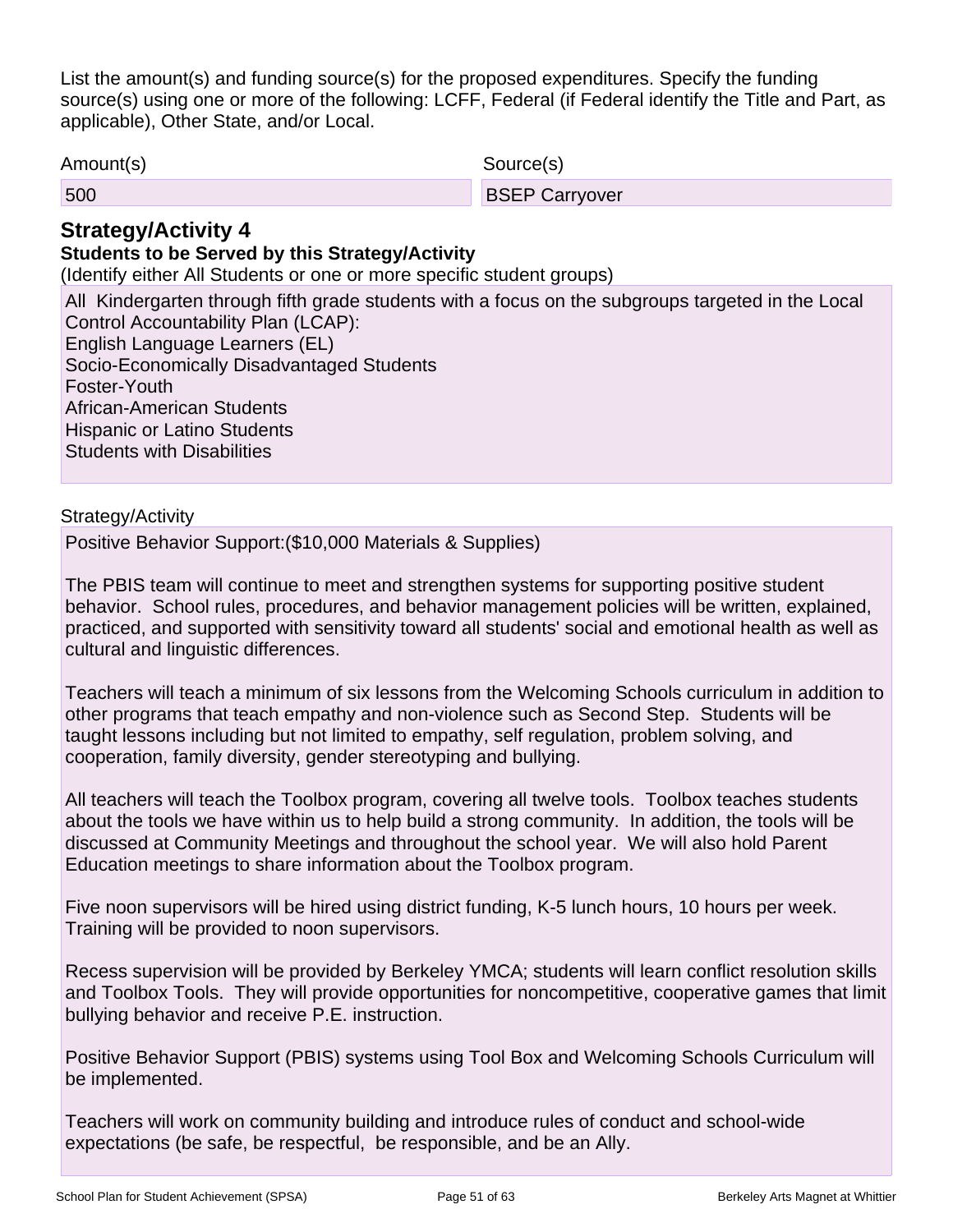List the amount(s) and funding source(s) for the proposed expenditures. Specify the funding source(s) using one or more of the following: LCFF, Federal (if Federal identify the Title and Part, as applicable), Other State, and/or Local.

Amount(s) Source(s)

| 500 | <b>BSEP Carryover</b> |
|-----|-----------------------|
|     |                       |

## **Strategy/Activity 4**

## **Students to be Served by this Strategy/Activity**

(Identify either All Students or one or more specific student groups)

All Kindergarten through fifth grade students with a focus on the subgroups targeted in the Local Control Accountability Plan (LCAP): English Language Learners (EL) Socio-Economically Disadvantaged Students Foster-Youth

African-American Students

Hispanic or Latino Students

Students with Disabilities

### Strategy/Activity

Positive Behavior Support:(\$10,000 Materials & Supplies)

The PBIS team will continue to meet and strengthen systems for supporting positive student behavior. School rules, procedures, and behavior management policies will be written, explained, practiced, and supported with sensitivity toward all students' social and emotional health as well as cultural and linguistic differences.

Teachers will teach a minimum of six lessons from the Welcoming Schools curriculum in addition to other programs that teach empathy and non-violence such as Second Step. Students will be taught lessons including but not limited to empathy, self regulation, problem solving, and cooperation, family diversity, gender stereotyping and bullying.

All teachers will teach the Toolbox program, covering all twelve tools. Toolbox teaches students about the tools we have within us to help build a strong community. In addition, the tools will be discussed at Community Meetings and throughout the school year. We will also hold Parent Education meetings to share information about the Toolbox program.

Five noon supervisors will be hired using district funding, K-5 lunch hours, 10 hours per week. Training will be provided to noon supervisors.

Recess supervision will be provided by Berkeley YMCA; students will learn conflict resolution skills and Toolbox Tools. They will provide opportunities for noncompetitive, cooperative games that limit bullying behavior and receive P.E. instruction.

Positive Behavior Support (PBIS) systems using Tool Box and Welcoming Schools Curriculum will be implemented.

Teachers will work on community building and introduce rules of conduct and school-wide expectations (be safe, be respectful, be responsible, and be an Ally.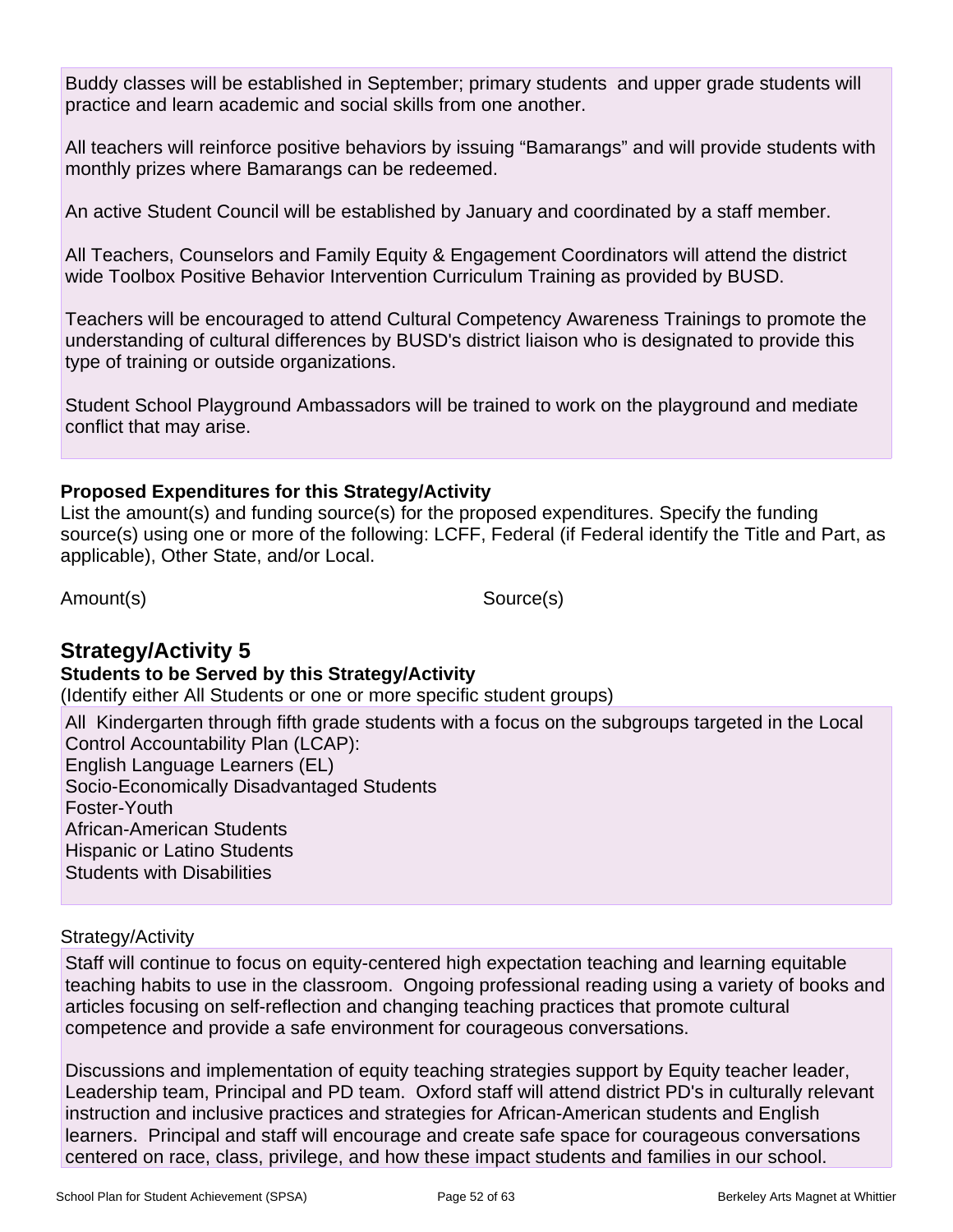Buddy classes will be established in September; primary students and upper grade students will practice and learn academic and social skills from one another.

All teachers will reinforce positive behaviors by issuing "Bamarangs" and will provide students with monthly prizes where Bamarangs can be redeemed.

An active Student Council will be established by January and coordinated by a staff member.

All Teachers, Counselors and Family Equity & Engagement Coordinators will attend the district wide Toolbox Positive Behavior Intervention Curriculum Training as provided by BUSD.

Teachers will be encouraged to attend Cultural Competency Awareness Trainings to promote the understanding of cultural differences by BUSD's district liaison who is designated to provide this type of training or outside organizations.

Student School Playground Ambassadors will be trained to work on the playground and mediate conflict that may arise.

## **Proposed Expenditures for this Strategy/Activity**

List the amount(s) and funding source(s) for the proposed expenditures. Specify the funding source(s) using one or more of the following: LCFF, Federal (if Federal identify the Title and Part, as applicable), Other State, and/or Local.

Amount(s) Source(s)

## **Strategy/Activity 5**

### **Students to be Served by this Strategy/Activity**

(Identify either All Students or one or more specific student groups)

All Kindergarten through fifth grade students with a focus on the subgroups targeted in the Local Control Accountability Plan (LCAP): English Language Learners (EL) Socio-Economically Disadvantaged Students Foster-Youth African-American Students Hispanic or Latino Students Students with Disabilities

### Strategy/Activity

Staff will continue to focus on equity-centered high expectation teaching and learning equitable teaching habits to use in the classroom. Ongoing professional reading using a variety of books and articles focusing on self-reflection and changing teaching practices that promote cultural competence and provide a safe environment for courageous conversations.

Discussions and implementation of equity teaching strategies support by Equity teacher leader, Leadership team, Principal and PD team. Oxford staff will attend district PD's in culturally relevant instruction and inclusive practices and strategies for African-American students and English learners. Principal and staff will encourage and create safe space for courageous conversations centered on race, class, privilege, and how these impact students and families in our school.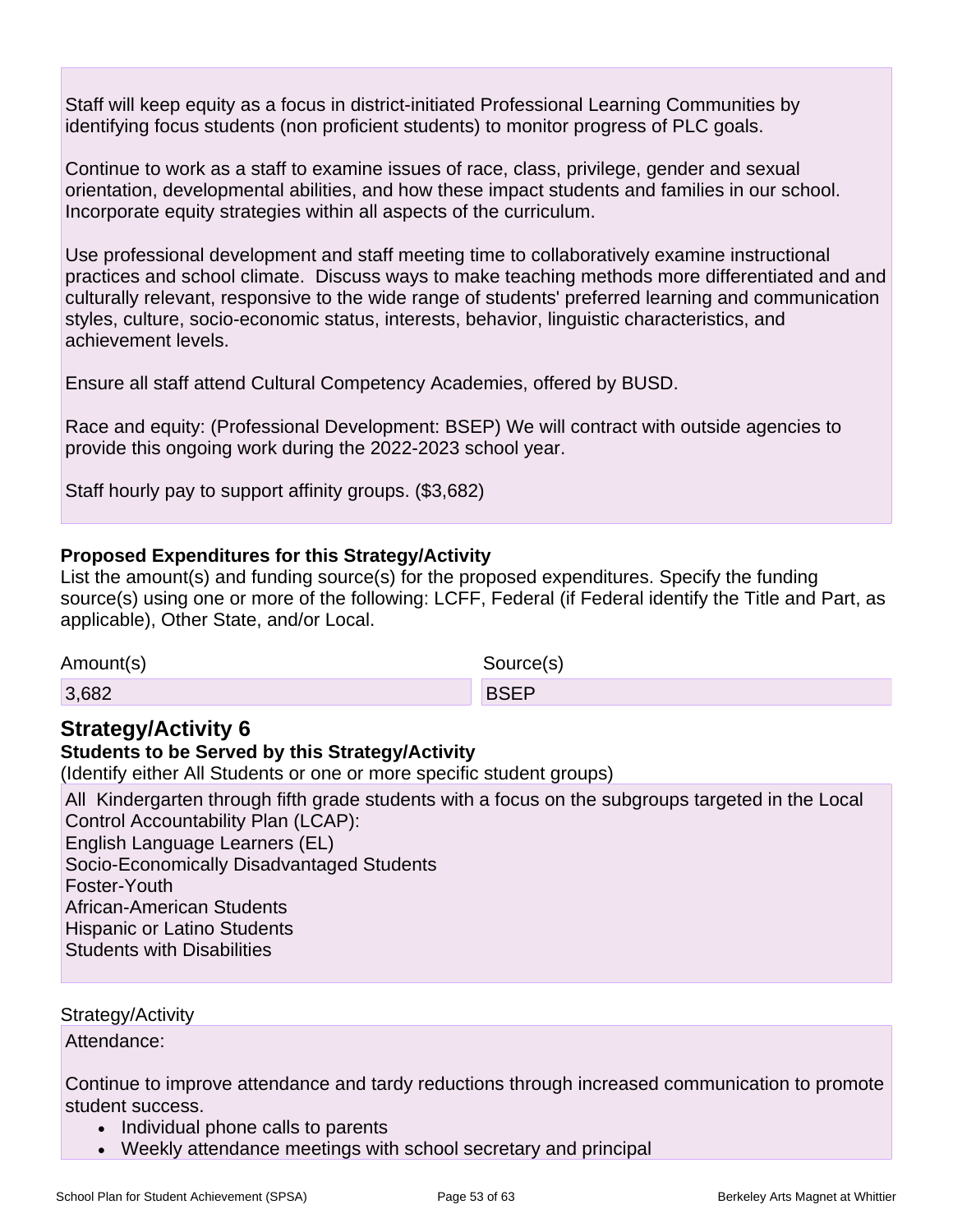Staff will keep equity as a focus in district-initiated Professional Learning Communities by identifying focus students (non proficient students) to monitor progress of PLC goals.

Continue to work as a staff to examine issues of race, class, privilege, gender and sexual orientation, developmental abilities, and how these impact students and families in our school. Incorporate equity strategies within all aspects of the curriculum.

Use professional development and staff meeting time to collaboratively examine instructional practices and school climate. Discuss ways to make teaching methods more differentiated and and culturally relevant, responsive to the wide range of students' preferred learning and communication styles, culture, socio-economic status, interests, behavior, linguistic characteristics, and achievement levels.

Ensure all staff attend Cultural Competency Academies, offered by BUSD.

Race and equity: (Professional Development: BSEP) We will contract with outside agencies to provide this ongoing work during the 2022-2023 school year.

Staff hourly pay to support affinity groups. (\$3,682)

### **Proposed Expenditures for this Strategy/Activity**

List the amount(s) and funding source(s) for the proposed expenditures. Specify the funding source(s) using one or more of the following: LCFF, Federal (if Federal identify the Title and Part, as applicable), Other State, and/or Local.

Amount(s) Source(s)

3,682 BSEP

## **Strategy/Activity 6**

### **Students to be Served by this Strategy/Activity**

(Identify either All Students or one or more specific student groups)

All Kindergarten through fifth grade students with a focus on the subgroups targeted in the Local Control Accountability Plan (LCAP): English Language Learners (EL) Socio-Economically Disadvantaged Students

Foster-Youth

African-American Students

Hispanic or Latino Students

Students with Disabilities

Strategy/Activity

Attendance:

Continue to improve attendance and tardy reductions through increased communication to promote student success.

- Individual phone calls to parents
- Weekly attendance meetings with school secretary and principal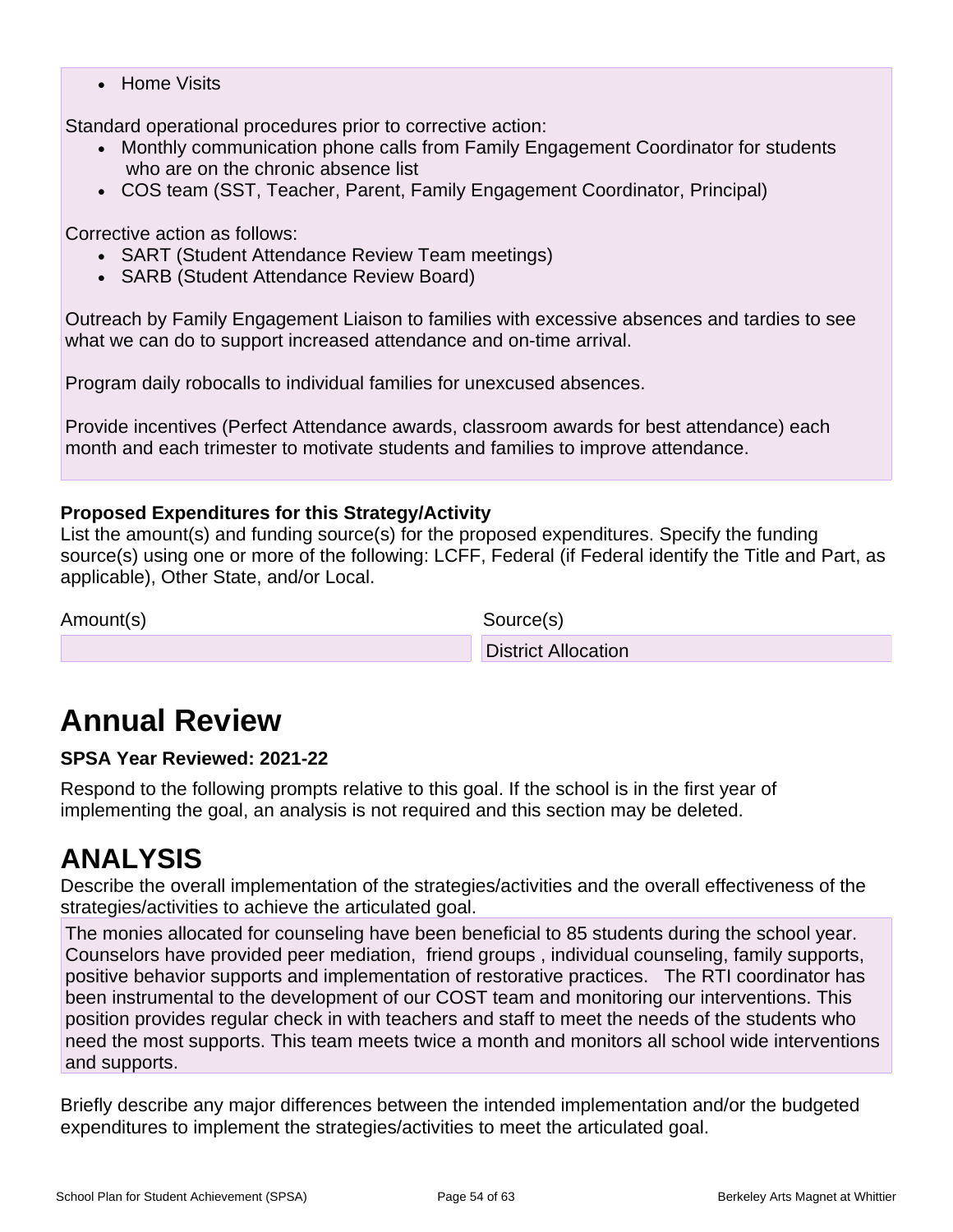• Home Visits

Standard operational procedures prior to corrective action:

- Monthly communication phone calls from Family Engagement Coordinator for students who are on the chronic absence list
- COS team (SST, Teacher, Parent, Family Engagement Coordinator, Principal)

### Corrective action as follows:

- SART (Student Attendance Review Team meetings)
- SARB (Student Attendance Review Board)

Outreach by Family Engagement Liaison to families with excessive absences and tardies to see what we can do to support increased attendance and on-time arrival.

Program daily robocalls to individual families for unexcused absences.

Provide incentives (Perfect Attendance awards, classroom awards for best attendance) each month and each trimester to motivate students and families to improve attendance.

## **Proposed Expenditures for this Strategy/Activity**

List the amount(s) and funding source(s) for the proposed expenditures. Specify the funding source(s) using one or more of the following: LCFF, Federal (if Federal identify the Title and Part, as applicable), Other State, and/or Local.

Amount(s) Source(s)

District Allocation

# **Annual Review**

### **SPSA Year Reviewed: 2021-22**

Respond to the following prompts relative to this goal. If the school is in the first year of implementing the goal, an analysis is not required and this section may be deleted.

## **ANALYSIS**

Describe the overall implementation of the strategies/activities and the overall effectiveness of the strategies/activities to achieve the articulated goal.

The monies allocated for counseling have been beneficial to 85 students during the school year. Counselors have provided peer mediation, friend groups , individual counseling, family supports, positive behavior supports and implementation of restorative practices. The RTI coordinator has been instrumental to the development of our COST team and monitoring our interventions. This position provides regular check in with teachers and staff to meet the needs of the students who need the most supports. This team meets twice a month and monitors all school wide interventions and supports.

Briefly describe any major differences between the intended implementation and/or the budgeted expenditures to implement the strategies/activities to meet the articulated goal.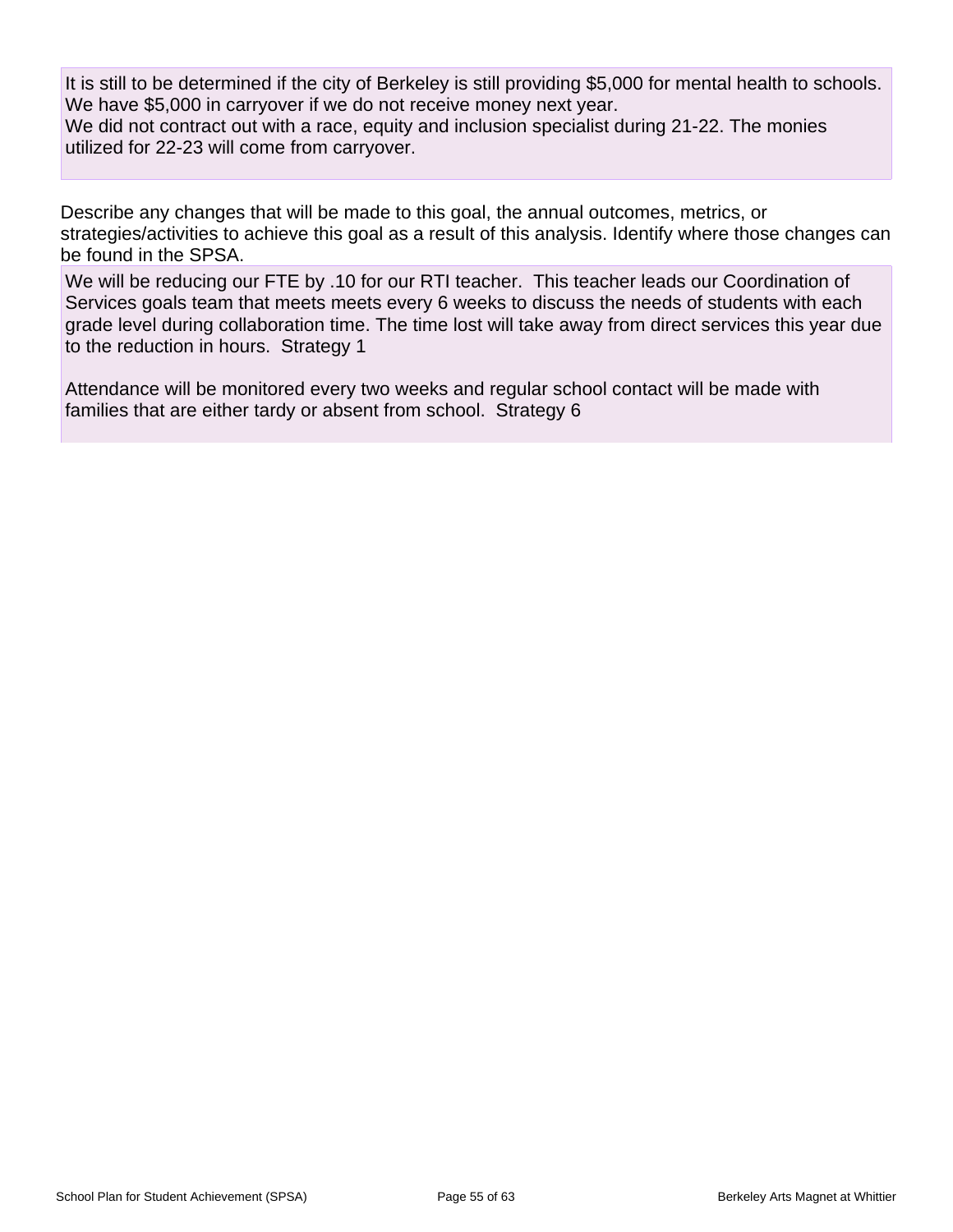It is still to be determined if the city of Berkeley is still providing \$5,000 for mental health to schools. We have \$5,000 in carryover if we do not receive money next year.

We did not contract out with a race, equity and inclusion specialist during 21-22. The monies utilized for 22-23 will come from carryover.

Describe any changes that will be made to this goal, the annual outcomes, metrics, or strategies/activities to achieve this goal as a result of this analysis. Identify where those changes can be found in the SPSA.

We will be reducing our FTE by .10 for our RTI teacher. This teacher leads our Coordination of Services goals team that meets meets every 6 weeks to discuss the needs of students with each grade level during collaboration time. The time lost will take away from direct services this year due to the reduction in hours. Strategy 1

Attendance will be monitored every two weeks and regular school contact will be made with families that are either tardy or absent from school. Strategy 6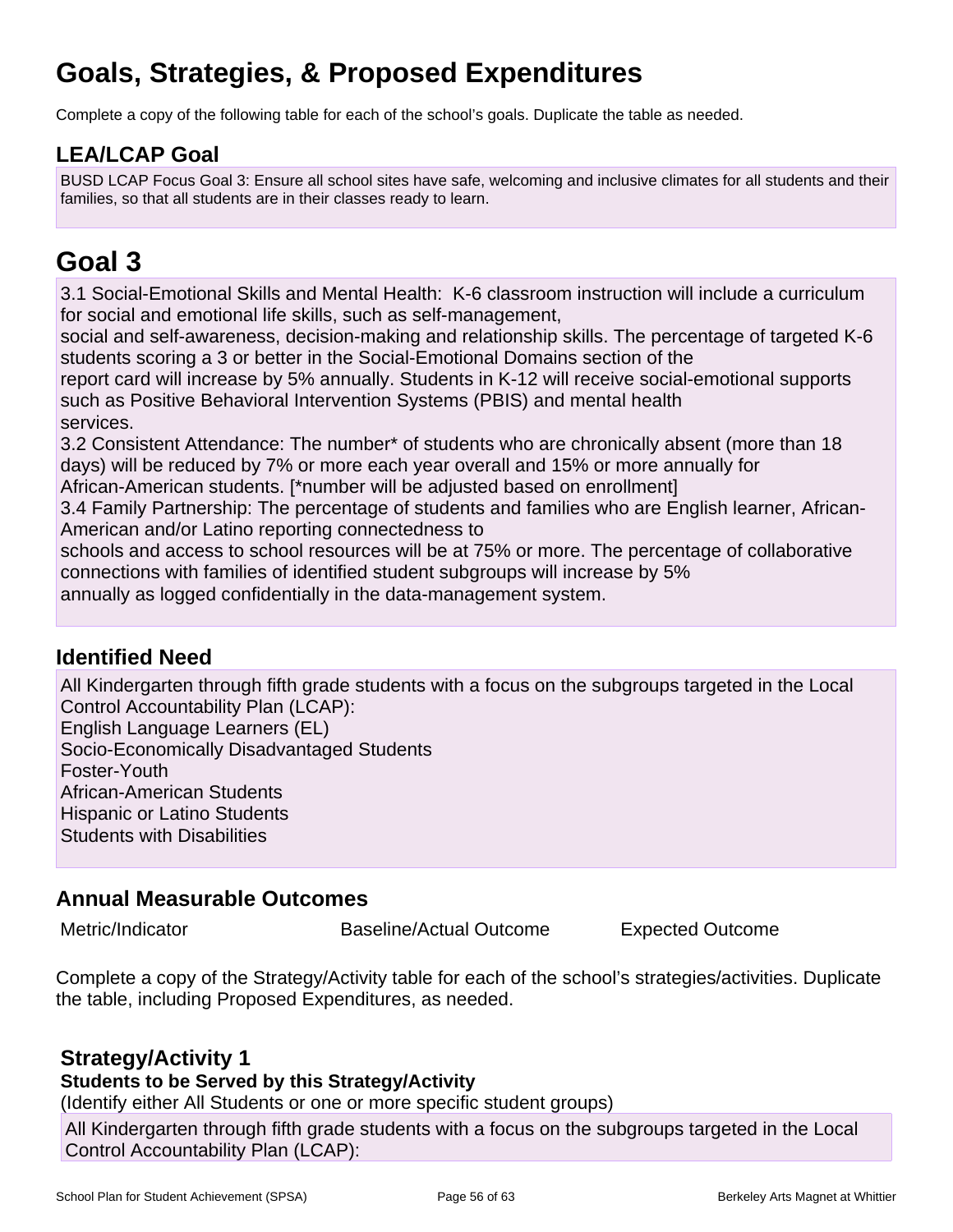## **Goals, Strategies, & Proposed Expenditures**

Complete a copy of the following table for each of the school's goals. Duplicate the table as needed.

## **LEA/LCAP Goal**

BUSD LCAP Focus Goal 3: Ensure all school sites have safe, welcoming and inclusive climates for all students and their families, so that all students are in their classes ready to learn.

## **Goal 3**

3.1 Social-Emotional Skills and Mental Health: K-6 classroom instruction will include a curriculum for social and emotional life skills, such as self-management,

social and self-awareness, decision-making and relationship skills. The percentage of targeted K-6 students scoring a 3 or better in the Social-Emotional Domains section of the

report card will increase by 5% annually. Students in K-12 will receive social-emotional supports such as Positive Behavioral Intervention Systems (PBIS) and mental health services.

3.2 Consistent Attendance: The number\* of students who are chronically absent (more than 18 days) will be reduced by 7% or more each year overall and 15% or more annually for

African-American students. [\*number will be adjusted based on enrollment]

3.4 Family Partnership: The percentage of students and families who are English learner, African-American and/or Latino reporting connectedness to

schools and access to school resources will be at 75% or more. The percentage of collaborative connections with families of identified student subgroups will increase by 5%

annually as logged confidentially in the data-management system.

## **Identified Need**

All Kindergarten through fifth grade students with a focus on the subgroups targeted in the Local Control Accountability Plan (LCAP): English Language Learners (EL) Socio-Economically Disadvantaged Students Foster-Youth African-American Students Hispanic or Latino Students Students with Disabilities

## **Annual Measurable Outcomes**

Metric/Indicator Baseline/Actual Outcome Expected Outcome

Complete a copy of the Strategy/Activity table for each of the school's strategies/activities. Duplicate the table, including Proposed Expenditures, as needed.

## **Strategy/Activity 1**

### **Students to be Served by this Strategy/Activity**

(Identify either All Students or one or more specific student groups)

All Kindergarten through fifth grade students with a focus on the subgroups targeted in the Local Control Accountability Plan (LCAP):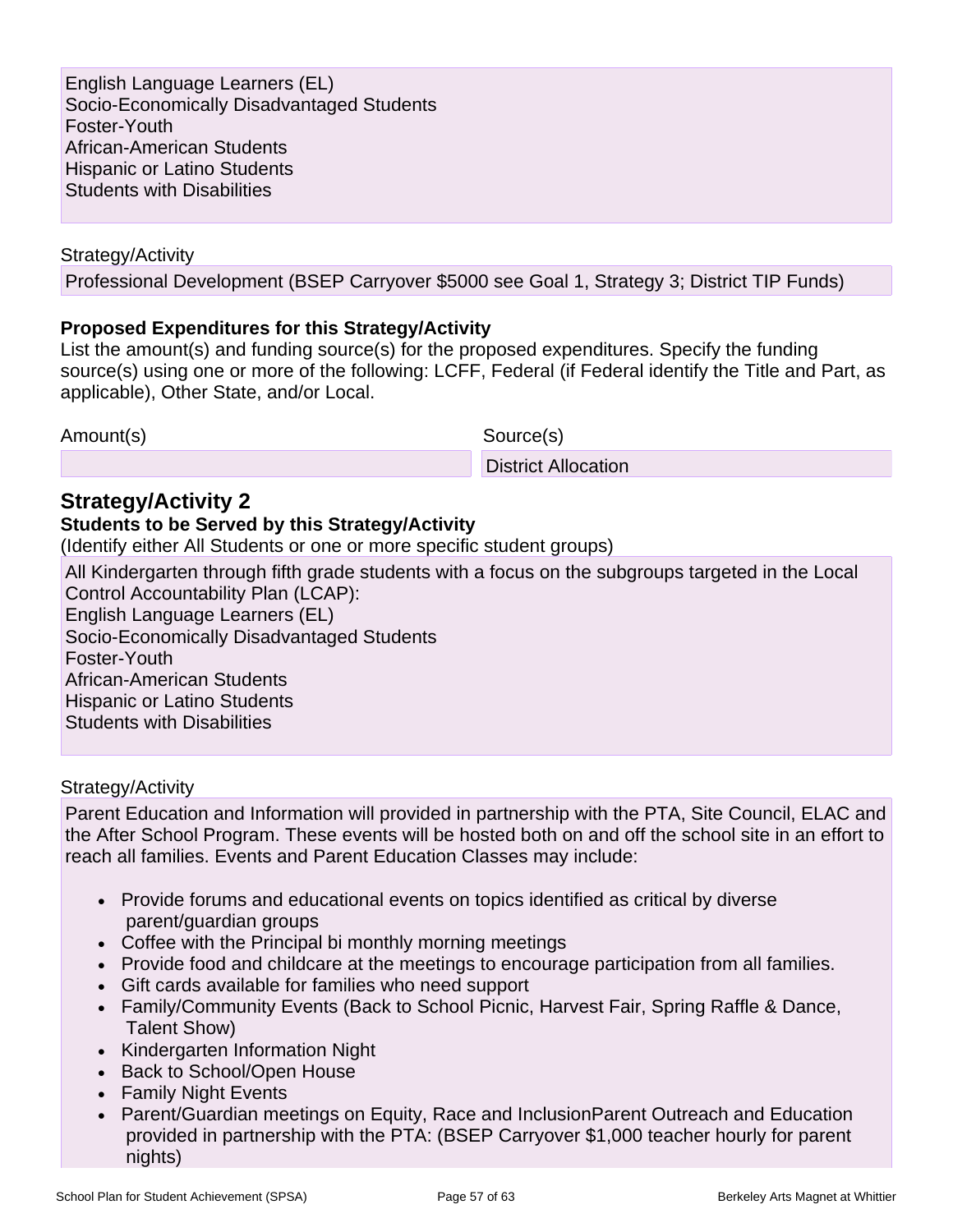English Language Learners (EL) Socio-Economically Disadvantaged Students Foster-Youth African-American Students Hispanic or Latino Students Students with Disabilities

Strategy/Activity

Professional Development (BSEP Carryover \$5000 see Goal 1, Strategy 3; District TIP Funds)

### **Proposed Expenditures for this Strategy/Activity**

List the amount(s) and funding source(s) for the proposed expenditures. Specify the funding source(s) using one or more of the following: LCFF, Federal (if Federal identify the Title and Part, as applicable), Other State, and/or Local.

Amount(s) Source(s)

District Allocation

## **Strategy/Activity 2**

### **Students to be Served by this Strategy/Activity**

(Identify either All Students or one or more specific student groups)

All Kindergarten through fifth grade students with a focus on the subgroups targeted in the Local Control Accountability Plan (LCAP): English Language Learners (EL) Socio-Economically Disadvantaged Students Foster-Youth African-American Students Hispanic or Latino Students Students with Disabilities

### Strategy/Activity

Parent Education and Information will provided in partnership with the PTA, Site Council, ELAC and the After School Program. These events will be hosted both on and off the school site in an effort to reach all families. Events and Parent Education Classes may include:

- Provide forums and educational events on topics identified as critical by diverse parent/guardian groups
- Coffee with the Principal bi monthly morning meetings
- Provide food and childcare at the meetings to encourage participation from all families.
- Gift cards available for families who need support
- Family/Community Events (Back to School Picnic, Harvest Fair, Spring Raffle & Dance, Talent Show)
- Kindergarten Information Night
- Back to School/Open House
- Family Night Events
- Parent/Guardian meetings on Equity, Race and InclusionParent Outreach and Education provided in partnership with the PTA: (BSEP Carryover \$1,000 teacher hourly for parent nights)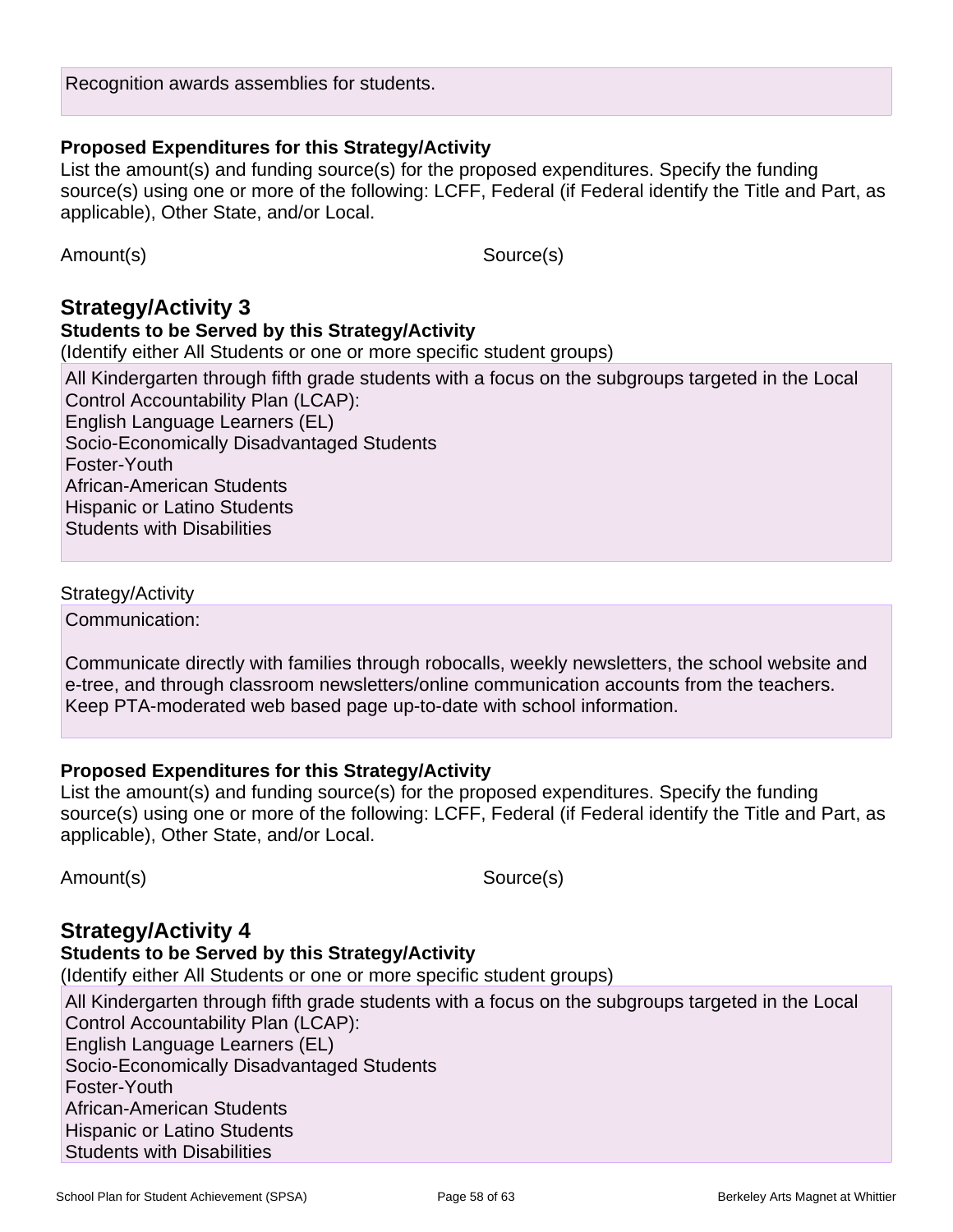Recognition awards assemblies for students.

List the amount(s) and funding source(s) for the proposed expenditures. Specify the funding source(s) using one or more of the following: LCFF, Federal (if Federal identify the Title and Part, as applicable), Other State, and/or Local.

Amount(s) Source(s)

## **Strategy/Activity 3**

### **Students to be Served by this Strategy/Activity**

(Identify either All Students or one or more specific student groups)

All Kindergarten through fifth grade students with a focus on the subgroups targeted in the Local Control Accountability Plan (LCAP): English Language Learners (EL) Socio-Economically Disadvantaged Students Foster-Youth African-American Students Hispanic or Latino Students Students with Disabilities

#### Strategy/Activity

Communication:

Communicate directly with families through robocalls, weekly newsletters, the school website and e-tree, and through classroom newsletters/online communication accounts from the teachers. Keep PTA-moderated web based page up-to-date with school information.

#### **Proposed Expenditures for this Strategy/Activity**

List the amount(s) and funding source(s) for the proposed expenditures. Specify the funding source(s) using one or more of the following: LCFF, Federal (if Federal identify the Title and Part, as applicable), Other State, and/or Local.

Amount(s) Source(s)

## **Strategy/Activity 4**

## **Students to be Served by this Strategy/Activity**

(Identify either All Students or one or more specific student groups)

All Kindergarten through fifth grade students with a focus on the subgroups targeted in the Local Control Accountability Plan (LCAP): English Language Learners (EL) Socio-Economically Disadvantaged Students Foster-Youth African-American Students Hispanic or Latino Students Students with Disabilities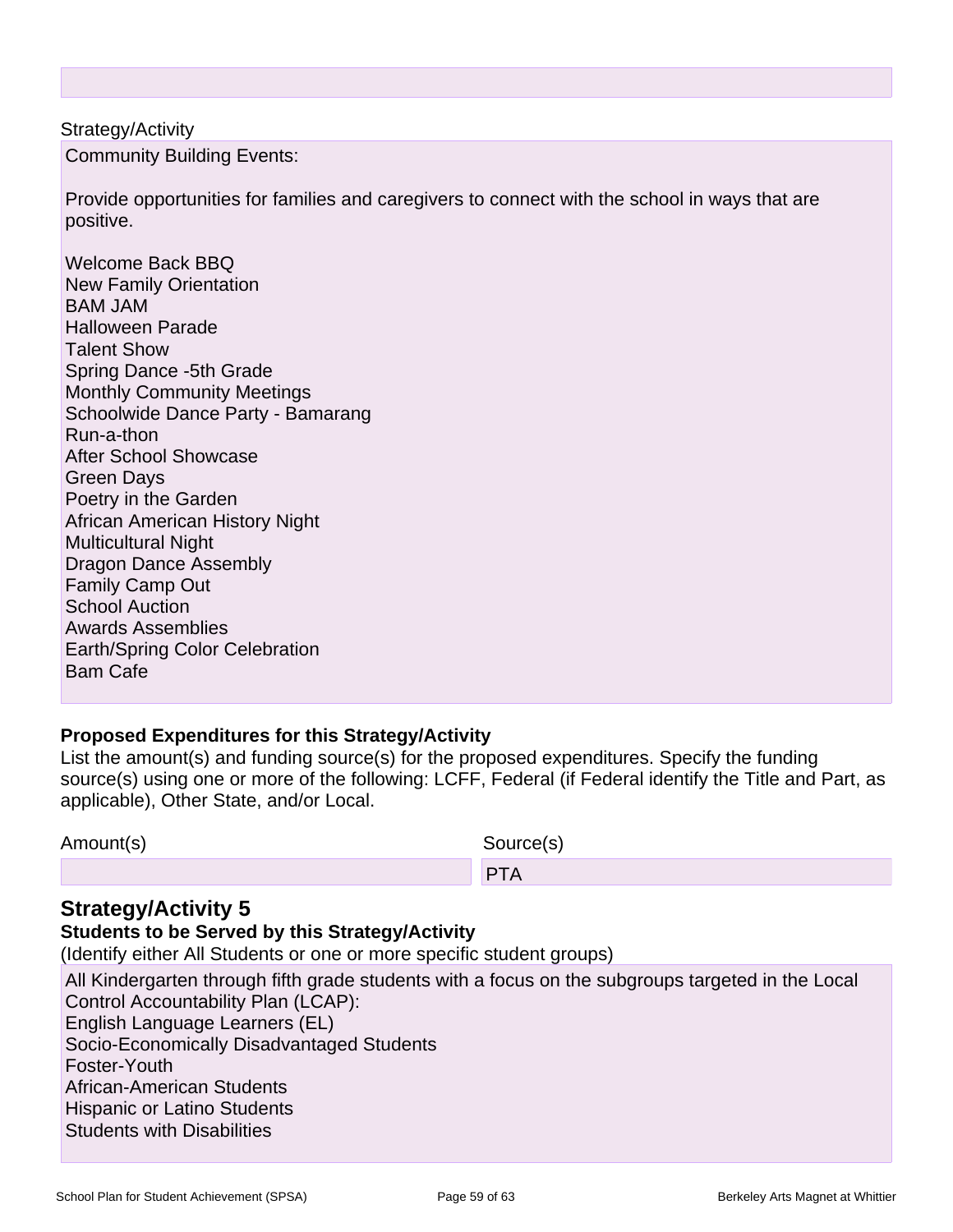Strategy/Activity Community Building Events:

Provide opportunities for families and caregivers to connect with the school in ways that are positive.

Welcome Back BBQ New Family Orientation BAM JAM Halloween Parade Talent Show Spring Dance -5th Grade Monthly Community Meetings Schoolwide Dance Party - Bamarang Run-a-thon After School Showcase Green Days Poetry in the Garden African American History Night Multicultural Night Dragon Dance Assembly Family Camp Out School Auction Awards Assemblies Earth/Spring Color Celebration Bam Cafe

## **Proposed Expenditures for this Strategy/Activity**

List the amount(s) and funding source(s) for the proposed expenditures. Specify the funding source(s) using one or more of the following: LCFF, Federal (if Federal identify the Title and Part, as applicable), Other State, and/or Local.

| Amount(s) | Source(s) |
|-----------|-----------|
|           | PTA       |

## **Strategy/Activity 5**

### **Students to be Served by this Strategy/Activity**

(Identify either All Students or one or more specific student groups)

All Kindergarten through fifth grade students with a focus on the subgroups targeted in the Local Control Accountability Plan (LCAP): English Language Learners (EL) Socio-Economically Disadvantaged Students Foster-Youth African-American Students Hispanic or Latino Students Students with Disabilities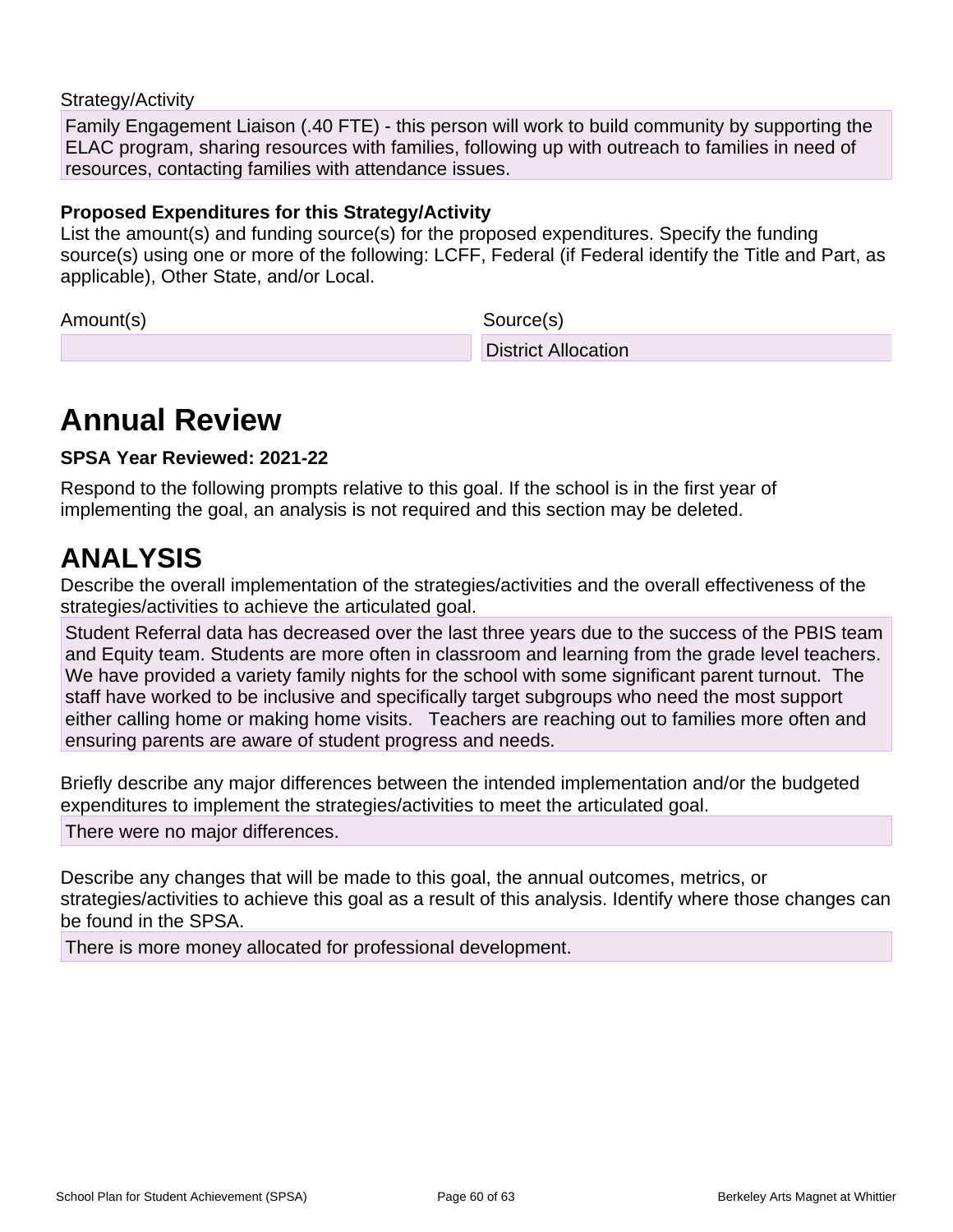### Strategy/Activity

Family Engagement Liaison (.40 FTE) - this person will work to build community by supporting the ELAC program, sharing resources with families, following up with outreach to families in need of resources, contacting families with attendance issues.

### **Proposed Expenditures for this Strategy/Activity**

List the amount(s) and funding source(s) for the proposed expenditures. Specify the funding source(s) using one or more of the following: LCFF, Federal (if Federal identify the Title and Part, as applicable), Other State, and/or Local.

Amount(s) Source(s)

District Allocation

## **Annual Review**

### **SPSA Year Reviewed: 2021-22**

Respond to the following prompts relative to this goal. If the school is in the first year of implementing the goal, an analysis is not required and this section may be deleted.

## **ANALYSIS**

Describe the overall implementation of the strategies/activities and the overall effectiveness of the strategies/activities to achieve the articulated goal.

Student Referral data has decreased over the last three years due to the success of the PBIS team and Equity team. Students are more often in classroom and learning from the grade level teachers. We have provided a variety family nights for the school with some significant parent turnout. The staff have worked to be inclusive and specifically target subgroups who need the most support either calling home or making home visits. Teachers are reaching out to families more often and ensuring parents are aware of student progress and needs.

Briefly describe any major differences between the intended implementation and/or the budgeted expenditures to implement the strategies/activities to meet the articulated goal.

There were no major differences.

Describe any changes that will be made to this goal, the annual outcomes, metrics, or strategies/activities to achieve this goal as a result of this analysis. Identify where those changes can be found in the SPSA.

There is more money allocated for professional development.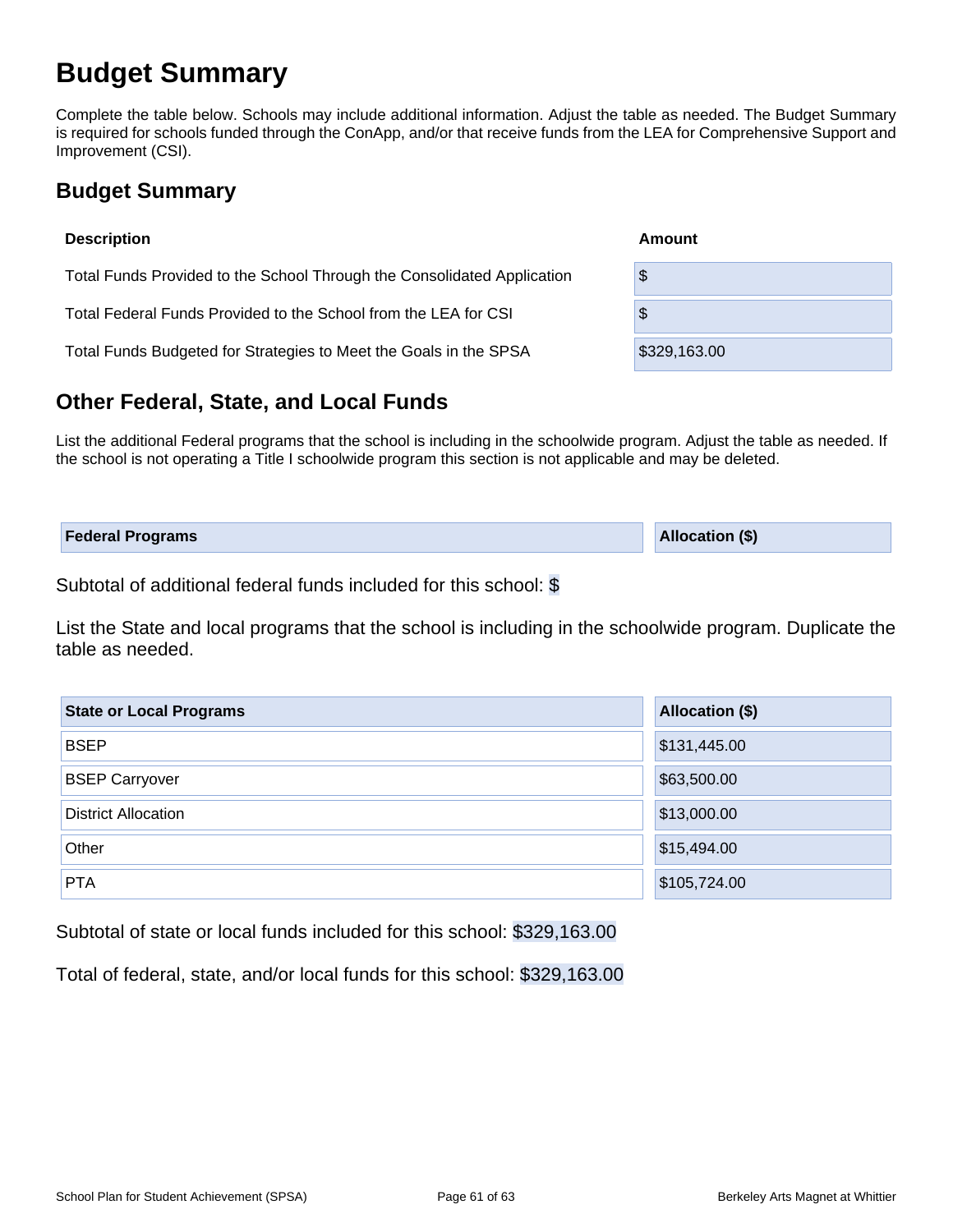## **Budget Summary**

Complete the table below. Schools may include additional information. Adjust the table as needed. The Budget Summary is required for schools funded through the ConApp, and/or that receive funds from the LEA for Comprehensive Support and Improvement (CSI).

## **Budget Summary**

| <b>Description</b>                                                      | Amount       |  |  |  |  |  |
|-------------------------------------------------------------------------|--------------|--|--|--|--|--|
| Total Funds Provided to the School Through the Consolidated Application | \$           |  |  |  |  |  |
| Total Federal Funds Provided to the School from the LEA for CSI         | \$           |  |  |  |  |  |
| Total Funds Budgeted for Strategies to Meet the Goals in the SPSA       | \$329,163.00 |  |  |  |  |  |

## **Other Federal, State, and Local Funds**

List the additional Federal programs that the school is including in the schoolwide program. Adjust the table as needed. If the school is not operating a Title I schoolwide program this section is not applicable and may be deleted.

| <b>Federal Programs</b> | <b>Allocation (\$)</b> |
|-------------------------|------------------------|
|                         |                        |

Subtotal of additional federal funds included for this school: \$

List the State and local programs that the school is including in the schoolwide program. Duplicate the table as needed.

| <b>State or Local Programs</b> | <b>Allocation (\$)</b> |
|--------------------------------|------------------------|
| <b>BSEP</b>                    | \$131,445.00           |
| <b>BSEP Carryover</b>          | \$63,500.00            |
| <b>District Allocation</b>     | \$13,000.00            |
| Other                          | \$15,494.00            |
| <b>PTA</b>                     | \$105,724.00           |

Subtotal of state or local funds included for this school: \$329,163.00

Total of federal, state, and/or local funds for this school: \$329,163.00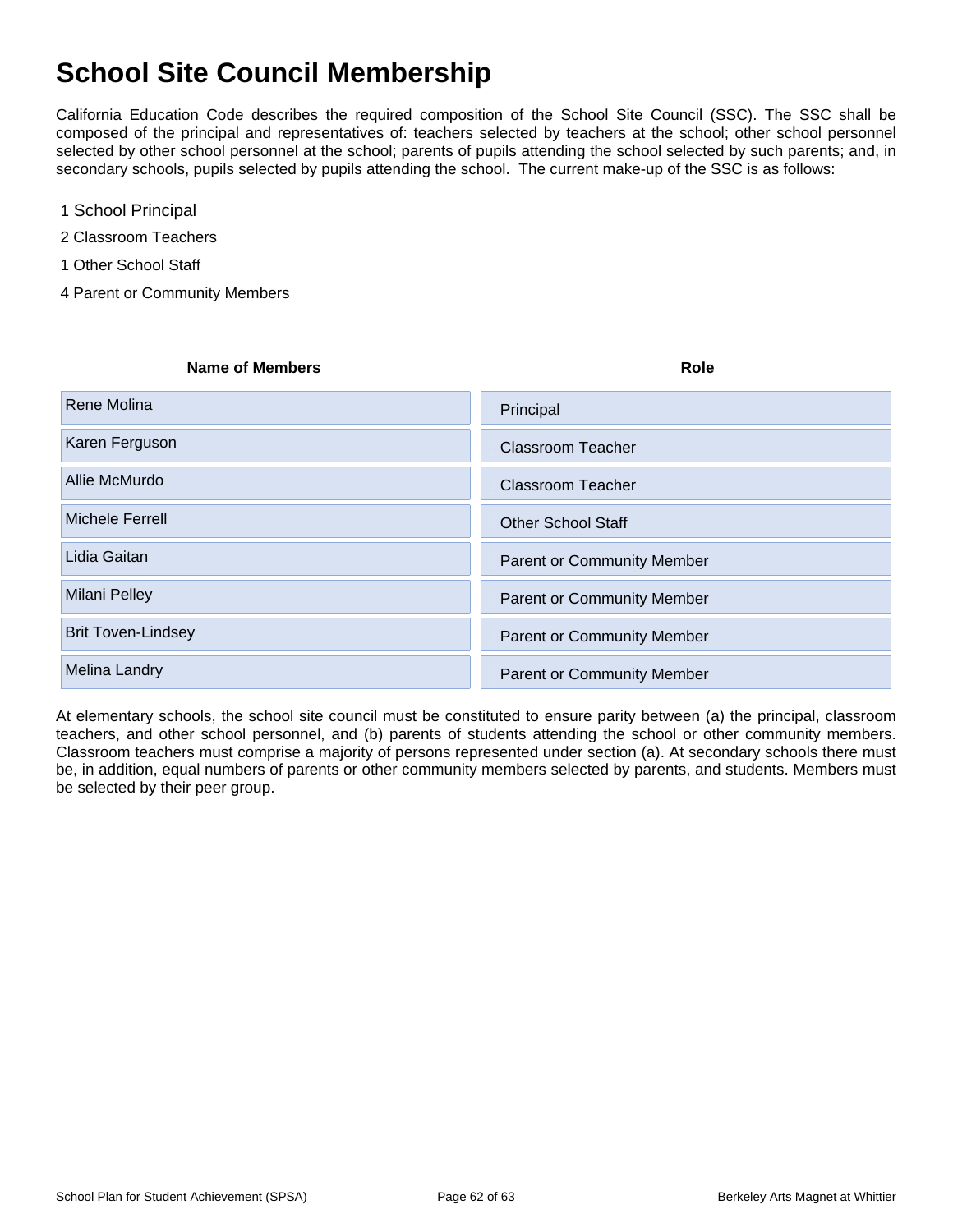## **School Site Council Membership**

California Education Code describes the required composition of the School Site Council (SSC). The SSC shall be composed of the principal and representatives of: teachers selected by teachers at the school; other school personnel selected by other school personnel at the school; parents of pupils attending the school selected by such parents; and, in secondary schools, pupils selected by pupils attending the school. The current make-up of the SSC is as follows:

- 1 School Principal
- 2 Classroom Teachers
- 1 Other School Staff
- 4 Parent or Community Members

| <b>Name of Members</b> | Role |
|------------------------|------|
|                        |      |

| Rene Molina               | Principal                         |
|---------------------------|-----------------------------------|
| Karen Ferguson            | <b>Classroom Teacher</b>          |
| Allie McMurdo             | <b>Classroom Teacher</b>          |
| <b>Michele Ferrell</b>    | <b>Other School Staff</b>         |
| Lidia Gaitan              | <b>Parent or Community Member</b> |
| <b>Milani Pelley</b>      | <b>Parent or Community Member</b> |
| <b>Brit Toven-Lindsey</b> | <b>Parent or Community Member</b> |
| <b>Melina Landry</b>      | <b>Parent or Community Member</b> |

At elementary schools, the school site council must be constituted to ensure parity between (a) the principal, classroom teachers, and other school personnel, and (b) parents of students attending the school or other community members. Classroom teachers must comprise a majority of persons represented under section (a). At secondary schools there must be, in addition, equal numbers of parents or other community members selected by parents, and students. Members must be selected by their peer group.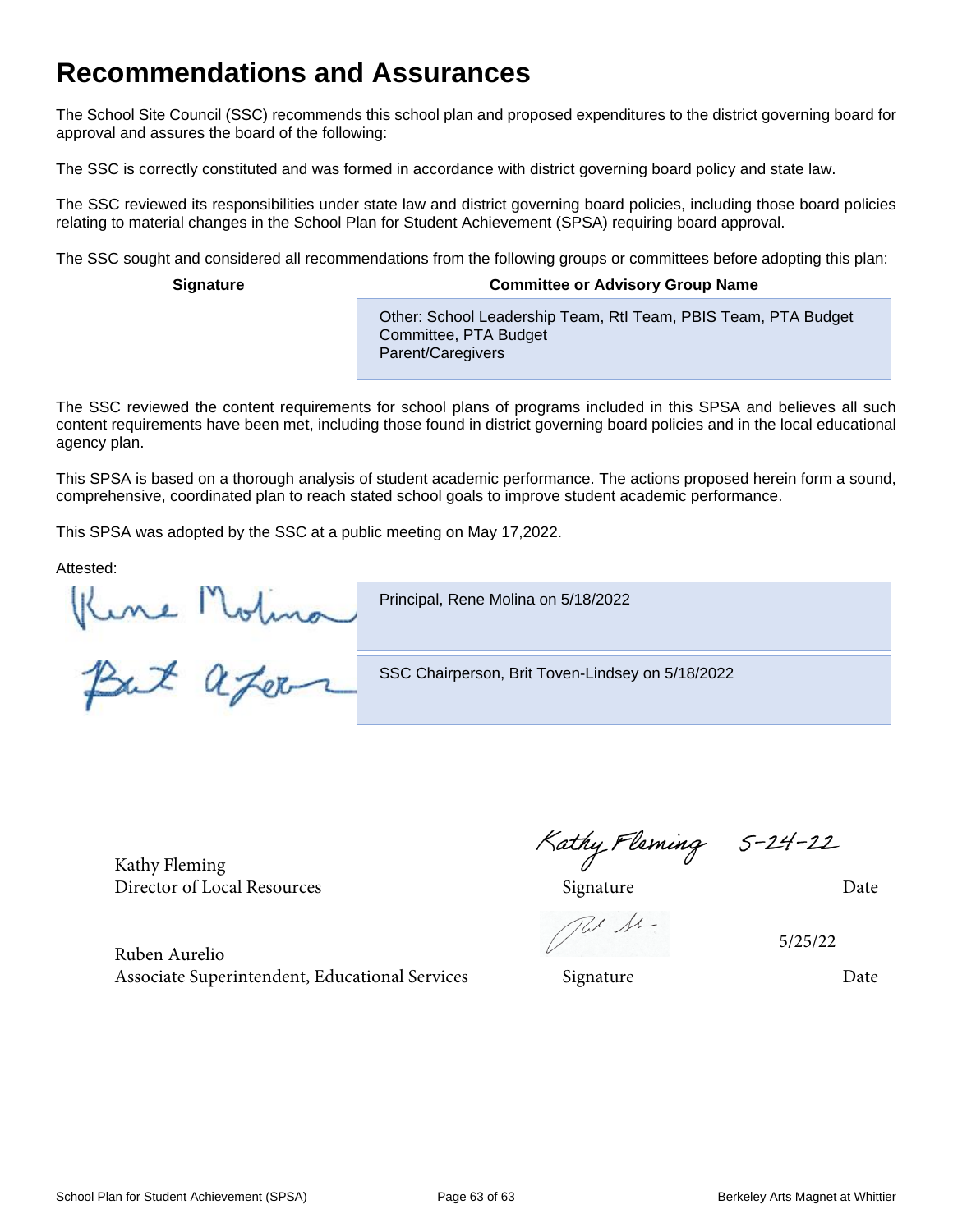## **Recommendations and Assurances**

The School Site Council (SSC) recommends this school plan and proposed expenditures to the district governing board for approval and assures the board of the following:

The SSC is correctly constituted and was formed in accordance with district governing board policy and state law.

The SSC reviewed its responsibilities under state law and district governing board policies, including those board policies relating to material changes in the School Plan for Student Achievement (SPSA) requiring board approval.

The SSC sought and considered all recommendations from the following groups or committees before adopting this plan:

#### **Signature Committee or Advisory Group Name**

Other: School Leadership Team, RtI Team, PBIS Team, PTA Budget Committee, PTA Budget Parent/Caregivers

The SSC reviewed the content requirements for school plans of programs included in this SPSA and believes all such content requirements have been met, including those found in district governing board policies and in the local educational agency plan.

This SPSA is based on a thorough analysis of student academic performance. The actions proposed herein form a sound, comprehensive, coordinated plan to reach stated school goals to improve student academic performance.

This SPSA was adopted by the SSC at a public meeting on May 17,2022.

Attested:

Principal, Rene Molina on 5/18/2022

Kine Molina

SSC Chairperson, Brit Toven-Lindsey on 5/18/2022

Kathy Fleming

Ruben Aurelio Associate Superintendent, Educational Services Signature Signature Date

Kathy Fleming<br>Director of Local Resources<br>Director of Local Resources<br>Date

Re Se

5/25/22